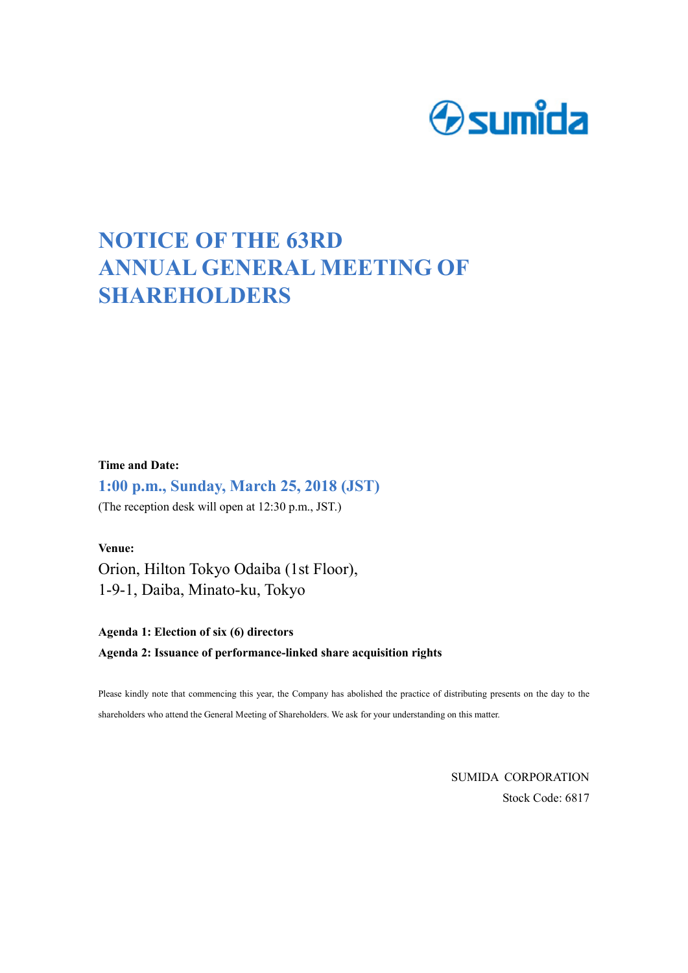

## **NOTICE OF THE 63RD ANNUAL GENERAL MEETING OF SHAREHOLDERS**

**Time and Date:** 

**1:00 p.m., Sunday, March 25, 2018 (JST)**

(The reception desk will open at 12:30 p.m., JST.)

**Venue:**  Orion, Hilton Tokyo Odaiba (1st Floor), 1-9-1, Daiba, Minato-ku, Tokyo

**Agenda 1: Election of six (6) directors Agenda 2: Issuance of performance-linked share acquisition rights** 

Please kindly note that commencing this year, the Company has abolished the practice of distributing presents on the day to the shareholders who attend the General Meeting of Shareholders. We ask for your understanding on this matter.

> SUMIDA CORPORATION Stock Code: 6817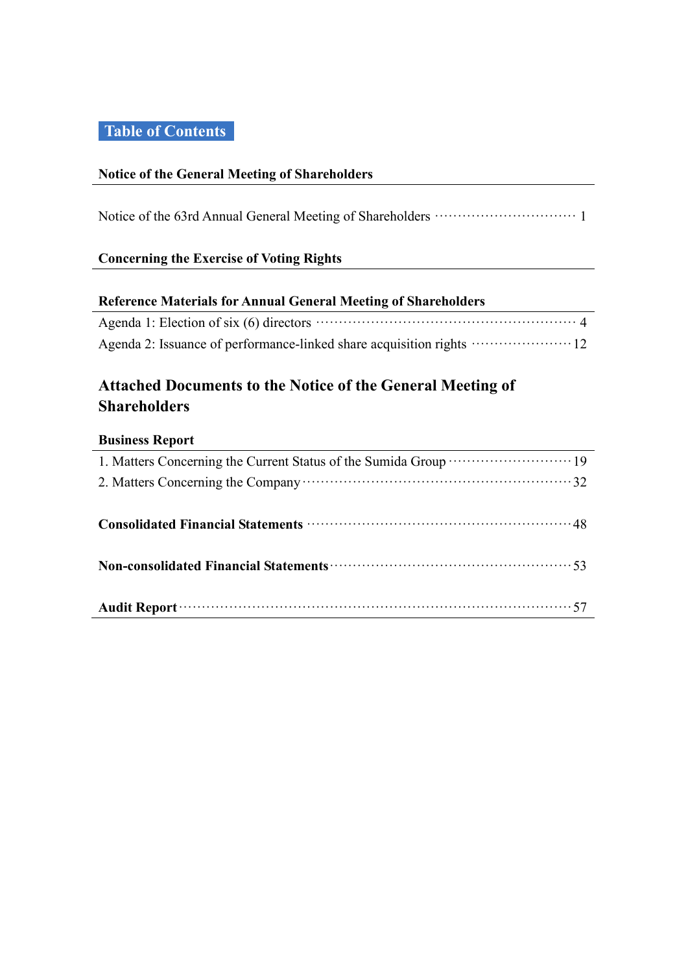## **Table of Contents**

## **Notice of the General Meeting of Shareholders**

Notice of the 63rd Annual General Meeting of Shareholders ······························· 1

## **Concerning the Exercise of Voting Rights**

## **Reference Materials for Annual General Meeting of Shareholders**

## **Attached Documents to the Notice of the General Meeting of Shareholders**

## **Business Report**

| Consolidated Financial Statements manufactured and 48     |
|-----------------------------------------------------------|
|                                                           |
| Non-consolidated Financial Statements manufactured and 53 |
|                                                           |
|                                                           |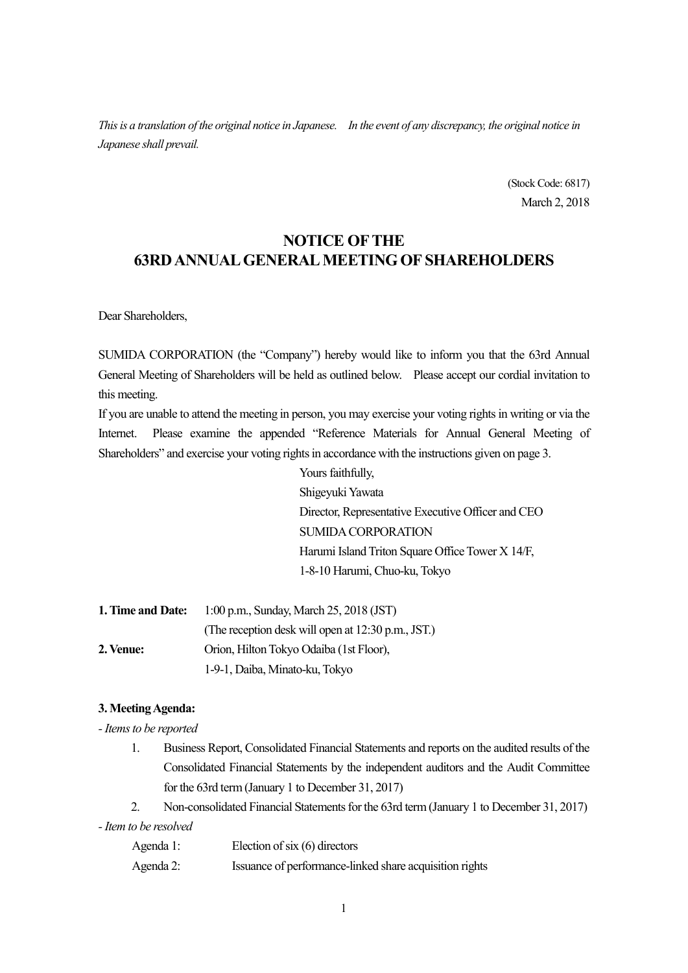*This is a translation of the original notice in Japanese. In the event of any discrepancy, the original notice in Japanese shall prevail.* 

> (Stock Code: 6817) March 2, 2018

## **NOTICE OF THE 63RD ANNUAL GENERAL MEETING OF SHAREHOLDERS**

Dear Shareholders,

SUMIDA CORPORATION (the "Company") hereby would like to inform you that the 63rd Annual General Meeting of Shareholders will be held as outlined below. Please accept our cordial invitation to this meeting.

If you are unable to attend the meeting in person, you may exercise your voting rights in writing or via the Internet. Please examine the appended "Reference Materials for Annual General Meeting of Shareholders" and exercise your voting rights in accordance with the instructions given on page 3.

> Yours faithfully, Shigeyuki Yawata Director, Representative Executive Officer and CEO SUMIDA CORPORATION Harumi Island Triton Square Office Tower X 14/F, 1-8-10 Harumi, Chuo-ku, Tokyo

| 1. Time and Date: | 1:00 p.m., Sunday, March 25, 2018 (JST)            |
|-------------------|----------------------------------------------------|
|                   | (The reception desk will open at 12:30 p.m., JST.) |
| 2. Venue:         | Orion, Hilton Tokyo Odaiba (1st Floor),            |
|                   | 1-9-1, Daiba, Minato-ku, Tokyo                     |

#### **3. Meeting Agenda:**

*- Items to be reported* 

- 1. Business Report, Consolidated Financial Statements and reports on the audited results of the Consolidated Financial Statements by the independent auditors and the Audit Committee for the 63rd term (January 1 to December 31, 2017)
- 2. Non-consolidated Financial Statements for the 63rd term (January 1 to December 31, 2017)

*- Item to be resolved* 

| Agenda 1: | Election of six $(6)$ directors                         |
|-----------|---------------------------------------------------------|
| Agenda 2: | Issuance of performance-linked share acquisition rights |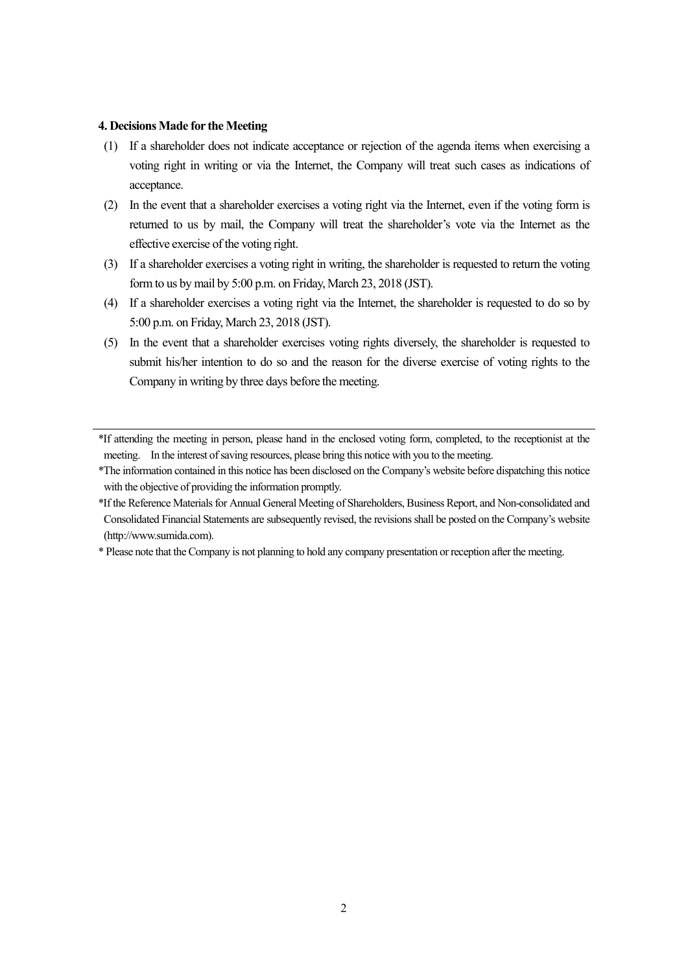#### **4. Decisions Made for the Meeting**

- (1) If a shareholder does not indicate acceptance or rejection of the agenda items when exercising a voting right in writing or via the Internet, the Company will treat such cases as indications of acceptance.
- (2) In the event that a shareholder exercises a voting right via the Internet, even if the voting form is returned to us by mail, the Company will treat the shareholder's vote via the Internet as the effective exercise of the voting right.
- (3) If a shareholder exercises a voting right in writing, the shareholder is requested to return the voting form to us by mail by 5:00 p.m. on Friday, March 23, 2018 (JST).
- (4) If a shareholder exercises a voting right via the Internet, the shareholder is requested to do so by 5:00 p.m. on Friday, March 23, 2018 (JST).
- (5) In the event that a shareholder exercises voting rights diversely, the shareholder is requested to submit his/her intention to do so and the reason for the diverse exercise of voting rights to the Company in writing by three days before the meeting.

<sup>\*</sup>If attending the meeting in person, please hand in the enclosed voting form, completed, to the receptionist at the meeting. In the interest of saving resources, please bring this notice with you to the meeting.

<sup>\*</sup>The information contained in this notice has been disclosed on the Company's website before dispatching this notice with the objective of providing the information promptly.

<sup>\*</sup>If the Reference Materials for Annual General Meeting of Shareholders, Business Report, and Non-consolidated and Consolidated Financial Statements are subsequently revised, the revisions shall be posted on the Company's website (http://www.sumida.com).

<sup>\*</sup> Please note that the Company is not planning to hold any company presentation or reception after the meeting.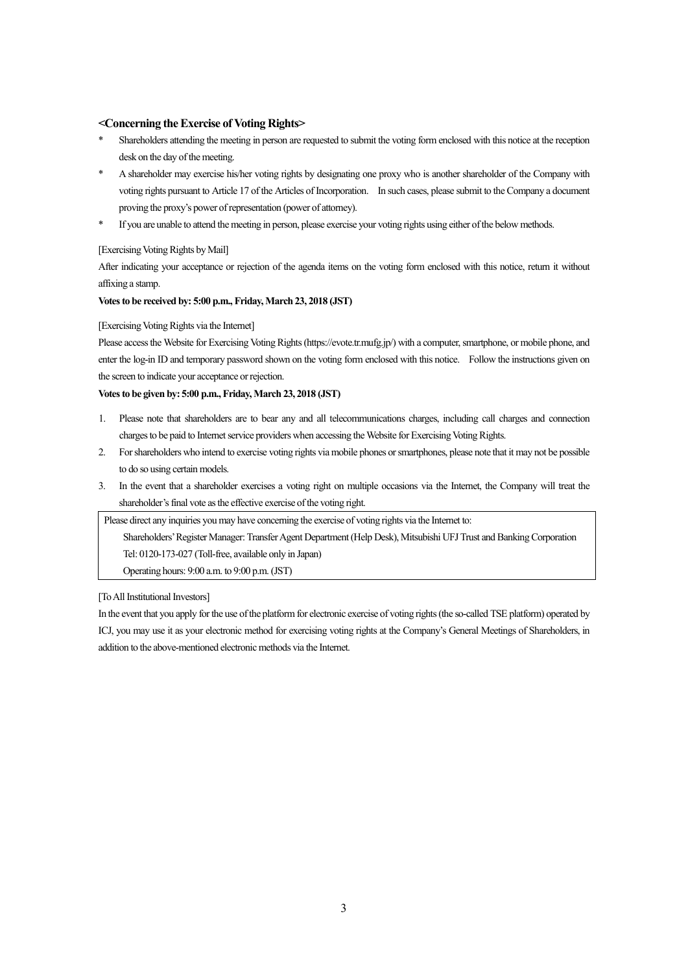#### **<Concerning the Exercise of Voting Rights>**

- Shareholders attending the meeting in person are requested to submit the voting form enclosed with this notice at the reception desk on the day of the meeting.
- \* A shareholder may exercise his/her voting rights by designating one proxy who is another shareholder of the Company with voting rights pursuant to Article 17 of the Articles of Incorporation. In such cases, please submit to the Company a document proving the proxy's power of representation (power of attorney).
- \* If you are unable to attend the meeting in person, please exercise your voting rights using either of the below methods.

#### [Exercising Voting Rights by Mail]

After indicating your acceptance or rejection of the agenda items on the voting form enclosed with this notice, return it without affixing a stamp.

#### **Votes to be received by: 5:00 p.m., Friday, March 23, 2018 (JST)**

#### [Exercising Voting Rights via the Internet]

Please access the Website for Exercising Voting Rights (https://evote.tr.mufg.jp/) with a computer, smartphone, or mobile phone, and enter the log-in ID and temporary password shown on the voting form enclosed with this notice. Follow the instructions given on the screen to indicate your acceptance or rejection.

#### **Votes to be given by: 5:00 p.m., Friday, March 23, 2018 (JST)**

- 1. Please note that shareholders are to bear any and all telecommunications charges, including call charges and connection charges to be paid to Internet service providers when accessing the Website for Exercising Voting Rights.
- 2. For shareholders who intend to exercise voting rights via mobile phones or smartphones, please note that it may not be possible to do so using certain models.
- 3. In the event that a shareholder exercises a voting right on multiple occasions via the Internet, the Company will treat the shareholder's final vote as the effective exercise of the voting right.

Please direct any inquiries you may have concerning the exercise of voting rights via the Internet to:

Shareholders' Register Manager: Transfer Agent Department (Help Desk), Mitsubishi UFJ Trust and Banking Corporation Tel: 0120-173-027 (Toll-free, available only in Japan)

Operating hours: 9:00 a.m. to 9:00 p.m. (JST)

#### [To All Institutional Investors]

In the event that you apply for the use of the platform for electronic exercise of voting rights (the so-called TSE platform) operated by ICJ, you may use it as your electronic method for exercising voting rights at the Company's General Meetings of Shareholders, in addition to the above-mentioned electronic methods via the Internet.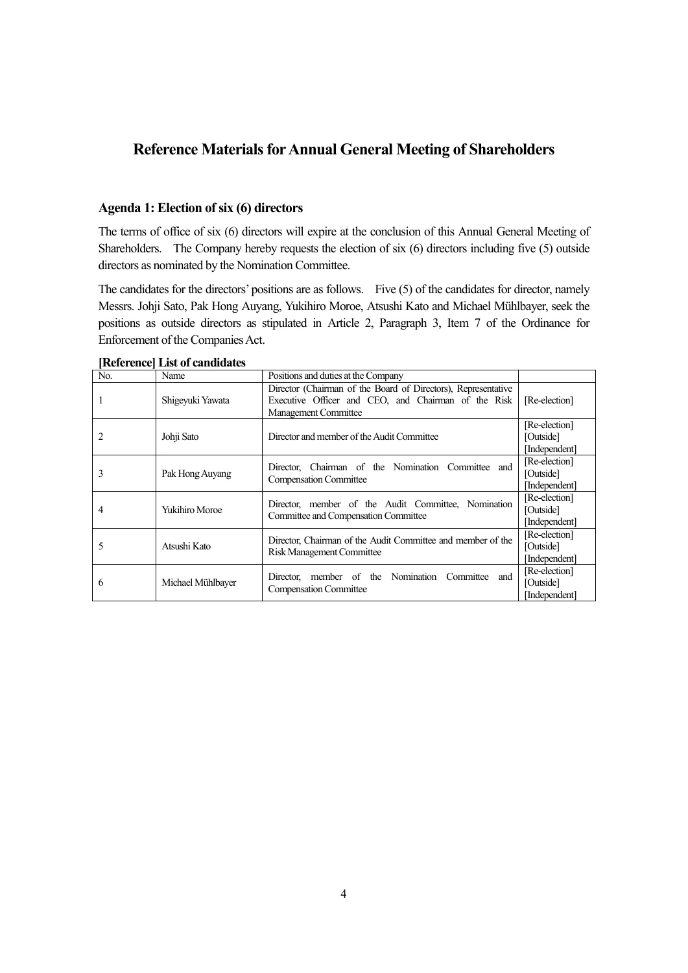## **Reference Materials for Annual General Meeting of Shareholders**

#### **Agenda 1: Election of six (6) directors**

The terms of office of six (6) directors will expire at the conclusion of this Annual General Meeting of Shareholders. The Company hereby requests the election of six (6) directors including five (5) outside directors as nominated by the Nomination Committee.

The candidates for the directors' positions are as follows. Five (5) of the candidates for director, namely Messrs. Johji Sato, Pak Hong Auyang, Yukihiro Moroe, Atsushi Kato and Michael Mühlbayer, seek the positions as outside directors as stipulated in Article 2, Paragraph 3, Item 7 of the Ordinance for Enforcement of the Companies Act.

| N <sub>0</sub> | Name                  | Positions and duties at the Company                                                                                                          |                                             |
|----------------|-----------------------|----------------------------------------------------------------------------------------------------------------------------------------------|---------------------------------------------|
|                | Shigeyuki Yawata      | Director (Chairman of the Board of Directors), Representative<br>Executive Officer and CEO, and Chairman of the Risk<br>Management Committee | [Re-election]                               |
|                | Johji Sato            | Director and member of the Audit Committee                                                                                                   | [Re-election]<br>[Outside]<br>[Independent] |
| 3              | Pak Hong Auyang       | Director, Chairman of the Nomination Committee and<br><b>Compensation Committee</b>                                                          | [Re-election]<br>[Outside]<br>[Independent] |
| 4              | <b>Yukihiro Moroe</b> | Director, member of the Audit Committee, Nomination<br>Committee and Compensation Committee                                                  | [Re-election]<br>[Outside]<br>[Independent] |
| ∍              | Atsushi Kato          | Director, Chairman of the Audit Committee and member of the<br><b>Risk Management Committee</b>                                              | [Re-election]<br>[Outside]<br>[Independent] |
| 6              | Michael Mühlbayer     | Director, member of the Nomination Committee and<br><b>Compensation Committee</b>                                                            | [Re-election]<br>[Outside]<br>[Independent] |

**[Reference] List of candidates**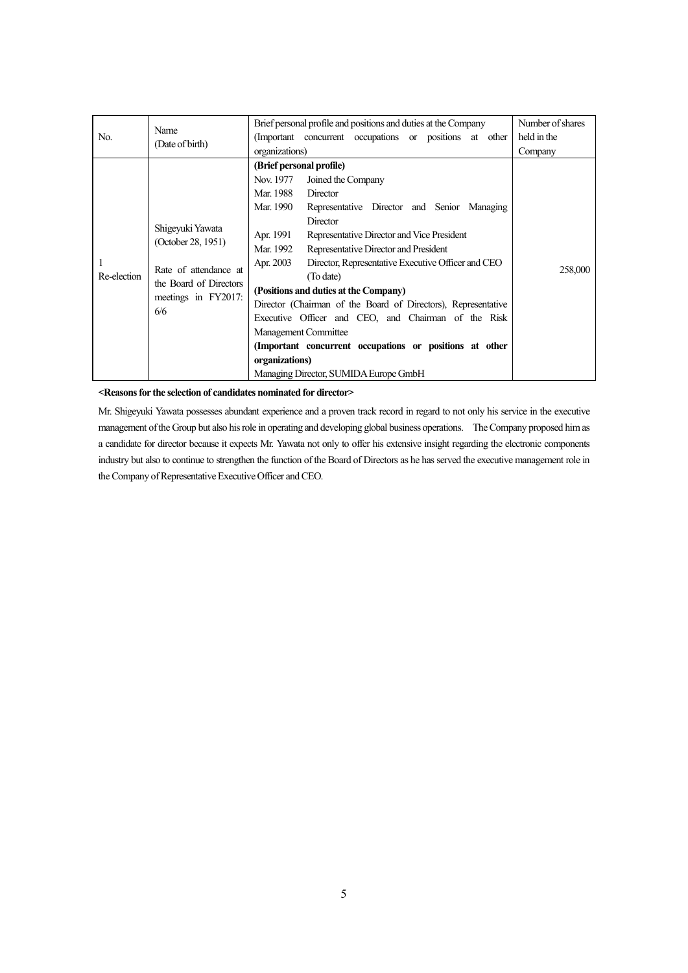|                                        | Name                  | Brief personal profile and positions and duties at the Company  | Number of shares |
|----------------------------------------|-----------------------|-----------------------------------------------------------------|------------------|
| No.                                    | (Date of birth)       | (Important concurrent occupations or positions at other         | held in the      |
|                                        |                       | organizations)                                                  | Company          |
|                                        |                       | (Brief personal profile)                                        |                  |
|                                        |                       | Nov. 1977<br>Joined the Company                                 |                  |
|                                        |                       | Mar. 1988<br>Director                                           |                  |
|                                        |                       | Mar. 1990<br>Representative Director and Senior Managing        |                  |
| Shigeyuki Yawata<br>(October 28, 1951) |                       | Director                                                        |                  |
|                                        |                       | Apr. 1991<br>Representative Director and Vice President         |                  |
|                                        |                       | Representative Director and President<br>Mar. 1992              |                  |
|                                        |                       | Director, Representative Executive Officer and CEO<br>Apr. 2003 |                  |
| Re-election                            | Rate of attendance at | (To date)                                                       | 258,000          |
| the Board of Directors                 |                       | (Positions and duties at the Company)                           |                  |
|                                        | meetings in FY2017:   | Director (Chairman of the Board of Directors), Representative   |                  |
|                                        | 6/6                   | Executive Officer and CEO, and Chairman of the Risk             |                  |
|                                        |                       | <b>Management Committee</b>                                     |                  |
|                                        |                       | (Important concurrent occupations or positions at other         |                  |
|                                        |                       | organizations)                                                  |                  |
|                                        |                       | Managing Director, SUMIDA Europe GmbH                           |                  |

Mr. Shigeyuki Yawata possesses abundant experience and a proven track record in regard to not only his service in the executive management of the Group but also his role in operating and developing global business operations. The Company proposed him as a candidate for director because it expects Mr. Yawata not only to offer his extensive insight regarding the electronic components industry but also to continue to strengthen the function of the Board of Directors as he has served the executive management role in the Company of Representative Executive Officer and CEO.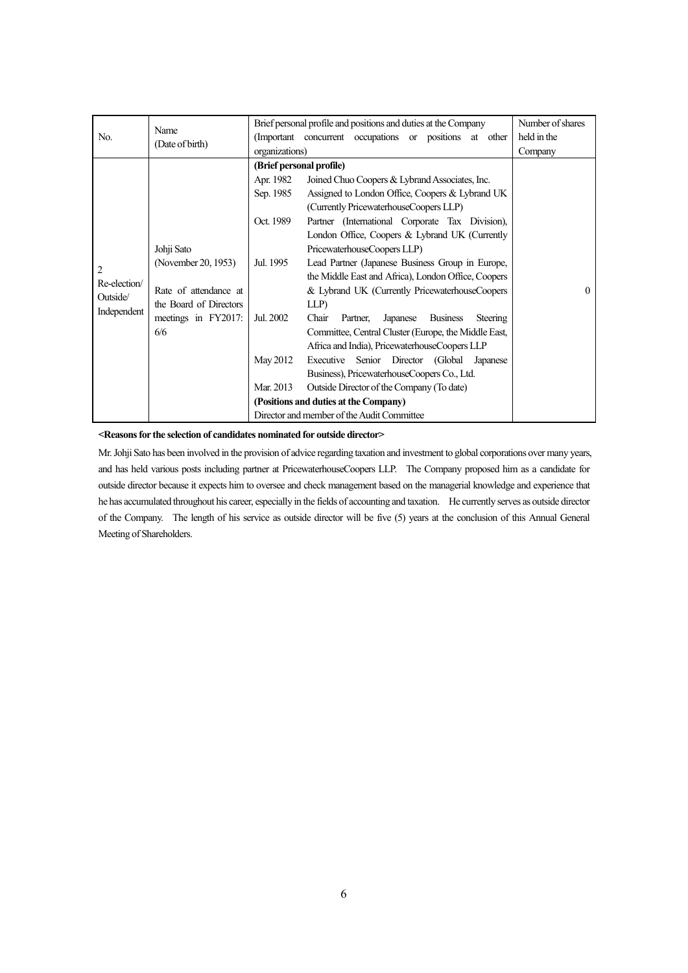| No.                                          | Name<br>(Date of birth)                                                                                            | organizations)                                                                                                     | Brief personal profile and positions and duties at the Company<br>(Important concurrent occupations or positions at other                                                                                                                                                                                                                                                                                                                                                                                                                                                                                                                                                                                                                                                                                                                                      |          |  |  |  |
|----------------------------------------------|--------------------------------------------------------------------------------------------------------------------|--------------------------------------------------------------------------------------------------------------------|----------------------------------------------------------------------------------------------------------------------------------------------------------------------------------------------------------------------------------------------------------------------------------------------------------------------------------------------------------------------------------------------------------------------------------------------------------------------------------------------------------------------------------------------------------------------------------------------------------------------------------------------------------------------------------------------------------------------------------------------------------------------------------------------------------------------------------------------------------------|----------|--|--|--|
| 2<br>Re-election/<br>Outside/<br>Independent | Johji Sato<br>(November 20, 1953)<br>Rate of attendance at<br>the Board of Directors<br>meetings in FY2017:<br>6/6 | (Brief personal profile)<br>Apr. 1982<br>Sep. 1985<br>Oct. 1989<br>Jul. 1995<br>Jul. 2002<br>May 2012<br>Mar. 2013 | Joined Chuo Coopers & Lybrand Associates, Inc.<br>Assigned to London Office, Coopers & Lybrand UK<br>(Currently PricewaterhouseCoopers LLP)<br>Partner (International Corporate Tax Division),<br>London Office, Coopers & Lybrand UK (Currently<br>PricewaterhouseCoopers LLP)<br>Lead Partner (Japanese Business Group in Europe,<br>the Middle East and Africa), London Office, Coopers<br>& Lybrand UK (Currently PricewaterhouseCoopers<br>LLP)<br>Chair<br>Japanese<br><b>Business</b><br>Partner,<br>Steering<br>Committee, Central Cluster (Europe, the Middle East,<br>Africa and India), PricewaterhouseCoopers LLP<br>Executive Senior Director (Global Japanese<br>Business), PricewaterhouseCoopers Co., Ltd.<br>Outside Director of the Company (To date)<br>(Positions and duties at the Company)<br>Director and member of the Audit Committee | $\Omega$ |  |  |  |

Mr. Johji Sato has been involved in the provision of advice regarding taxation and investment to global corporations over many years, and has held various posts including partner at PricewaterhouseCoopers LLP. The Company proposed him as a candidate for outside director because it expects him to oversee and check management based on the managerial knowledge and experience that he has accumulated throughout his career, especially in the fields of accounting and taxation. He currently serves as outside director of the Company. The length of his service as outside director will be five (5) years at the conclusion of this Annual General Meeting of Shareholders.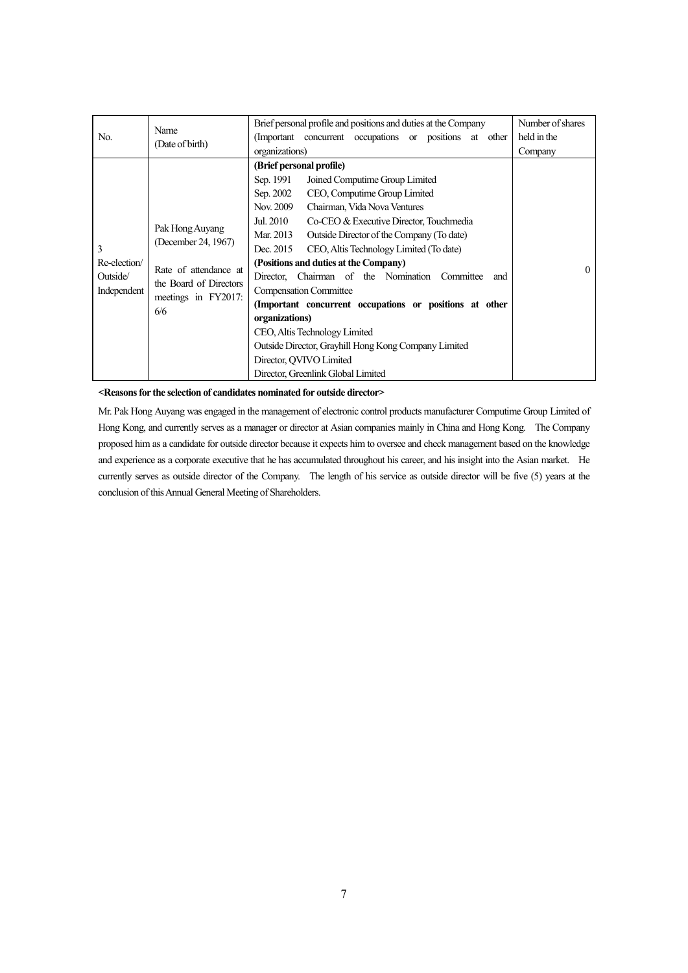| No.                                                                                             | Name<br>(Date of birth)                                  | Brief personal profile and positions and duties at the Company<br>(Important concurrent occupations or positions at other | Number of shares<br>held in the |  |  |  |
|-------------------------------------------------------------------------------------------------|----------------------------------------------------------|---------------------------------------------------------------------------------------------------------------------------|---------------------------------|--|--|--|
|                                                                                                 |                                                          | organizations)                                                                                                            | Company                         |  |  |  |
|                                                                                                 |                                                          | (Brief personal profile)                                                                                                  |                                 |  |  |  |
|                                                                                                 |                                                          | Sep. 1991<br>Joined Computime Group Limited                                                                               |                                 |  |  |  |
|                                                                                                 |                                                          | Sep. 2002<br>CEO, Computime Group Limited                                                                                 |                                 |  |  |  |
|                                                                                                 |                                                          | Nov. 2009<br>Chairman, Vida Nova Ventures                                                                                 |                                 |  |  |  |
| Pak Hong Auyang<br>(December 24, 1967)<br>3<br>Re-election<br>Rate of attendance at<br>Outside/ |                                                          | Jul. 2010<br>Co-CEO & Executive Director, Touchmedia                                                                      |                                 |  |  |  |
|                                                                                                 |                                                          | Mar. 2013<br>Outside Director of the Company (To date)                                                                    |                                 |  |  |  |
|                                                                                                 |                                                          | Dec. 2015<br>CEO, Altis Technology Limited (To date)                                                                      |                                 |  |  |  |
|                                                                                                 | (Positions and duties at the Company)<br>$\theta$        |                                                                                                                           |                                 |  |  |  |
|                                                                                                 | Director. Chairman of the Nomination<br>Committee<br>and |                                                                                                                           |                                 |  |  |  |
| Independent                                                                                     | the Board of Directors                                   | <b>Compensation Committee</b>                                                                                             |                                 |  |  |  |
|                                                                                                 | meetings in FY2017:                                      | (Important concurrent occupations or positions at other                                                                   |                                 |  |  |  |
| 6/6                                                                                             |                                                          | organizations)                                                                                                            |                                 |  |  |  |
|                                                                                                 |                                                          | CEO, Altis Technology Limited                                                                                             |                                 |  |  |  |
|                                                                                                 |                                                          | Outside Director, Grayhill Hong Kong Company Limited                                                                      |                                 |  |  |  |
|                                                                                                 |                                                          | Director, OVIVO Limited                                                                                                   |                                 |  |  |  |
|                                                                                                 |                                                          | Director, Greenlink Global Limited                                                                                        |                                 |  |  |  |

Mr. Pak Hong Auyang was engaged in the management of electronic control products manufacturer Computime Group Limited of Hong Kong, and currently serves as a manager or director at Asian companies mainly in China and Hong Kong. The Company proposed him as a candidate for outside director because it expects him to oversee and check management based on the knowledge and experience as a corporate executive that he has accumulated throughout his career, and his insight into the Asian market. He currently serves as outside director of the Company. The length of his service as outside director will be five (5) years at the conclusion of this Annual General Meeting of Shareholders.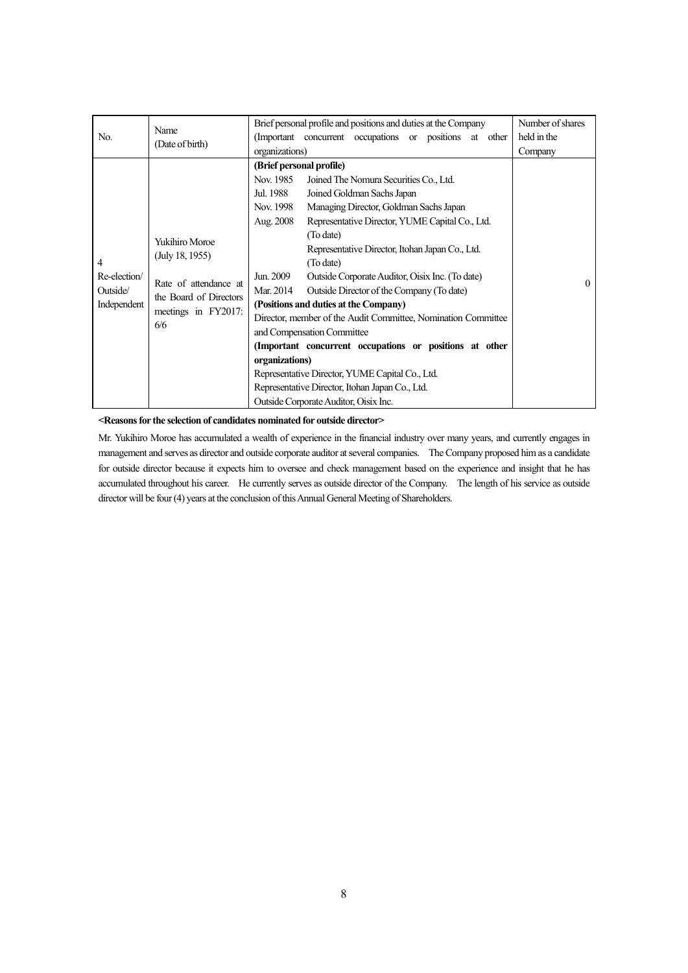| No.                                          | Name<br>(Date of birth)                                                                                                   | Brief personal profile and positions and duties at the Company<br>(Important concurrent occupations or positions at other<br>organizations)                                                                                                                                                                                                                                                                                                                                                                                                                                                                                                                                                                                                                                                                                  | Number of shares<br>held in the<br>Company |
|----------------------------------------------|---------------------------------------------------------------------------------------------------------------------------|------------------------------------------------------------------------------------------------------------------------------------------------------------------------------------------------------------------------------------------------------------------------------------------------------------------------------------------------------------------------------------------------------------------------------------------------------------------------------------------------------------------------------------------------------------------------------------------------------------------------------------------------------------------------------------------------------------------------------------------------------------------------------------------------------------------------------|--------------------------------------------|
| 4<br>Re-election/<br>Outside/<br>Independent | <b>Yukihiro Moroe</b><br>(July 18, 1955)<br>Rate of attendance at<br>the Board of Directors<br>meetings in FY2017:<br>6/6 | (Brief personal profile)<br>Nov. 1985<br>Joined The Nomura Securities Co., Ltd.<br>Jul. 1988<br>Joined Goldman Sachs Japan<br>Managing Director, Goldman Sachs Japan<br>Nov. 1998<br>Representative Director, YUME Capital Co., Ltd.<br>Aug. 2008<br>(To date)<br>Representative Director, Itohan Japan Co., Ltd.<br>(To date)<br>Jun. 2009<br>Outside Corporate Auditor, Oisix Inc. (To date)<br>Outside Director of the Company (To date)<br>Mar. 2014<br>(Positions and duties at the Company)<br>Director, member of the Audit Committee, Nomination Committee<br>and Compensation Committee<br>(Important concurrent occupations or positions at other<br>organizations)<br>Representative Director, YUME Capital Co., Ltd.<br>Representative Director, Itohan Japan Co., Ltd.<br>Outside Corporate Auditor, Oisix Inc. | $\theta$                                   |

Mr. Yukihiro Moroe has accumulated a wealth of experience in the financial industry over many years, and currently engages in management and serves as director and outside corporate auditor at several companies. The Company proposed him as a candidate for outside director because it expects him to oversee and check management based on the experience and insight that he has accumulated throughout his career. He currently serves as outside director of the Company. The length of his service as outside director will be four (4) years at the conclusion of this Annual General Meeting of Shareholders.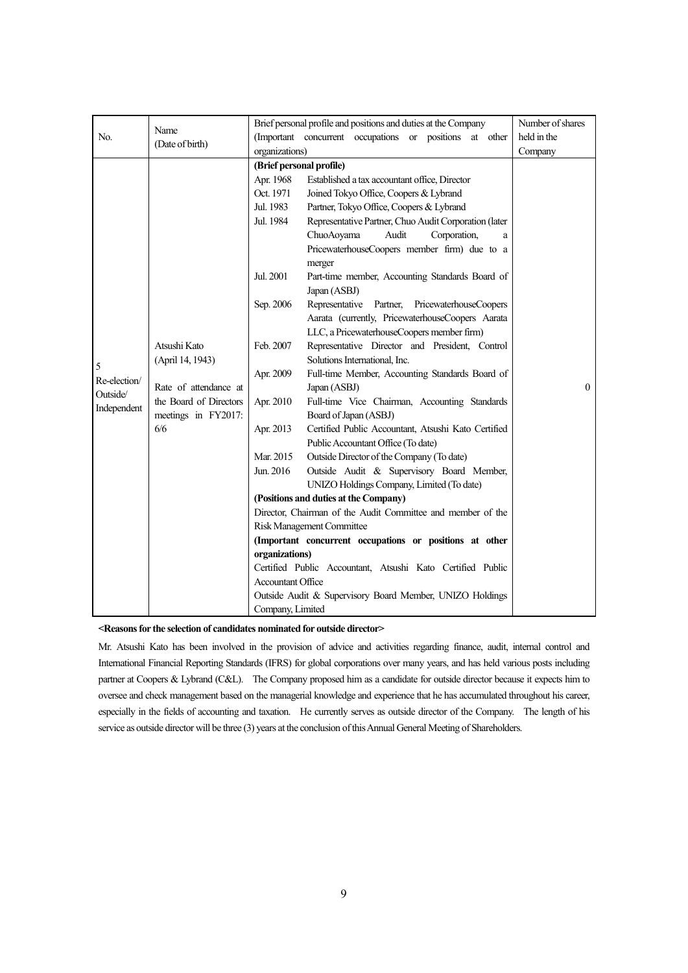|                                              | Name                                                                                                                                 |                                                                                                                                                                                                                                    | Brief personal profile and positions and duties at the Company                                                                                                                                                                                                                                                                                                                                                                                                                                                                                                                                                                                                                                                                                                                                                                                                                                                                                                                                                                                                                                                                                                                                                                                                                                                          | Number of shares |
|----------------------------------------------|--------------------------------------------------------------------------------------------------------------------------------------|------------------------------------------------------------------------------------------------------------------------------------------------------------------------------------------------------------------------------------|-------------------------------------------------------------------------------------------------------------------------------------------------------------------------------------------------------------------------------------------------------------------------------------------------------------------------------------------------------------------------------------------------------------------------------------------------------------------------------------------------------------------------------------------------------------------------------------------------------------------------------------------------------------------------------------------------------------------------------------------------------------------------------------------------------------------------------------------------------------------------------------------------------------------------------------------------------------------------------------------------------------------------------------------------------------------------------------------------------------------------------------------------------------------------------------------------------------------------------------------------------------------------------------------------------------------------|------------------|
| No.                                          |                                                                                                                                      |                                                                                                                                                                                                                                    | (Important concurrent occupations or positions at other                                                                                                                                                                                                                                                                                                                                                                                                                                                                                                                                                                                                                                                                                                                                                                                                                                                                                                                                                                                                                                                                                                                                                                                                                                                                 | held in the      |
|                                              |                                                                                                                                      | organizations)                                                                                                                                                                                                                     |                                                                                                                                                                                                                                                                                                                                                                                                                                                                                                                                                                                                                                                                                                                                                                                                                                                                                                                                                                                                                                                                                                                                                                                                                                                                                                                         | Company          |
| 5<br>Re-election/<br>Outside/<br>Independent | (Date of birth)<br>Atsushi Kato<br>(April 14, 1943)<br>Rate of attendance at<br>the Board of Directors<br>meetings in FY2017:<br>6/6 | (Brief personal profile)<br>Apr. 1968<br>Oct. 1971<br>Jul. 1983<br>Jul. 1984<br>Jul. 2001<br>Sep. 2006<br>Feb. 2007<br>Apr. 2009<br>Apr. 2010<br>Apr. 2013<br>Mar. 2015<br>Jun. 2016<br>organizations)<br><b>Accountant Office</b> | Established a tax accountant office, Director<br>Joined Tokyo Office, Coopers & Lybrand<br>Partner, Tokyo Office, Coopers & Lybrand<br>Representative Partner, Chuo Audit Corporation (later<br>ChuoAoyama<br>Audit<br>Corporation,<br>a<br>PricewaterhouseCoopers member firm) due to a<br>merger<br>Part-time member, Accounting Standards Board of<br>Japan (ASBJ)<br>Representative Partner, PricewaterhouseCoopers<br>Aarata (currently, PricewaterhouseCoopers Aarata<br>LLC, a PricewaterhouseCoopers member firm)<br>Representative Director and President, Control<br>Solutions International, Inc.<br>Full-time Member, Accounting Standards Board of<br>Japan (ASBJ)<br>Full-time Vice Chairman, Accounting Standards<br>Board of Japan (ASBJ)<br>Certified Public Accountant, Atsushi Kato Certified<br>Public Accountant Office (To date)<br>Outside Director of the Company (To date)<br>Outside Audit & Supervisory Board Member,<br>UNIZO Holdings Company, Limited (To date)<br>(Positions and duties at the Company)<br>Director, Chairman of the Audit Committee and member of the<br>Risk Management Committee<br>(Important concurrent occupations or positions at other<br>Certified Public Accountant, Atsushi Kato Certified Public<br>Outside Audit & Supervisory Board Member, UNIZO Holdings | $\theta$         |
|                                              |                                                                                                                                      | Company, Limited                                                                                                                                                                                                                   |                                                                                                                                                                                                                                                                                                                                                                                                                                                                                                                                                                                                                                                                                                                                                                                                                                                                                                                                                                                                                                                                                                                                                                                                                                                                                                                         |                  |

Mr. Atsushi Kato has been involved in the provision of advice and activities regarding finance, audit, internal control and International Financial Reporting Standards (IFRS) for global corporations over many years, and has held various posts including partner at Coopers & Lybrand (C&L). The Company proposed him as a candidate for outside director because it expects him to oversee and check management based on the managerial knowledge and experience that he has accumulated throughout his career, especially in the fields of accounting and taxation. He currently serves as outside director of the Company. The length of his service as outside director will be three (3) years at the conclusion of this Annual General Meeting of Shareholders.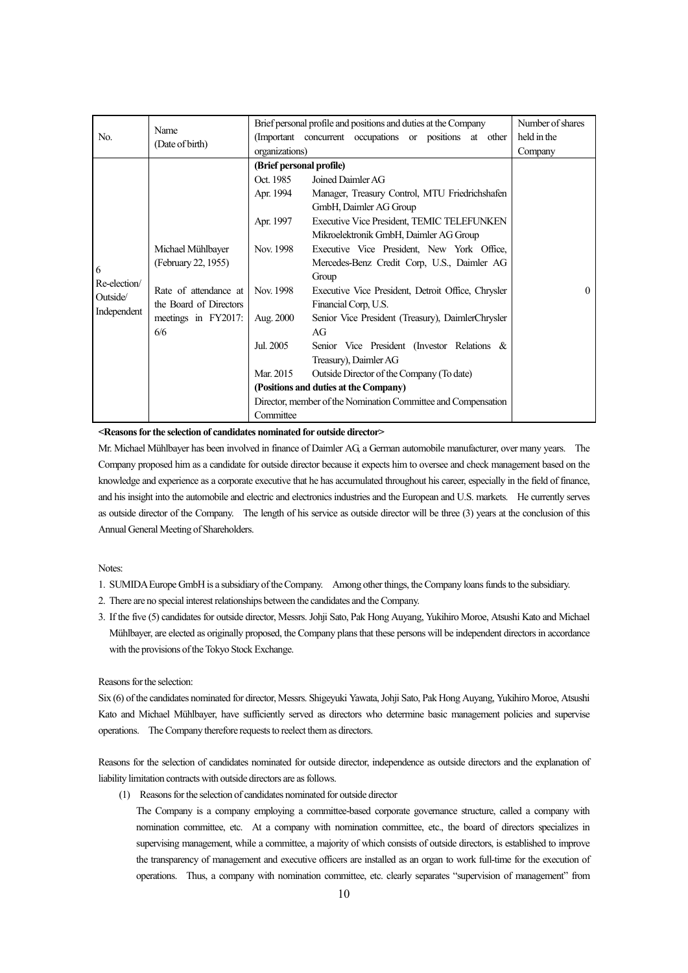| No.                                          | Name<br>(Date of birth)                                                                                                   | organizations)                                                                                                                                | Brief personal profile and positions and duties at the Company<br>(Important concurrent occupations or positions at other                                                                                                                                                                                                                                                                                                                                                                                                                                                                                                                                           |          |  |  |
|----------------------------------------------|---------------------------------------------------------------------------------------------------------------------------|-----------------------------------------------------------------------------------------------------------------------------------------------|---------------------------------------------------------------------------------------------------------------------------------------------------------------------------------------------------------------------------------------------------------------------------------------------------------------------------------------------------------------------------------------------------------------------------------------------------------------------------------------------------------------------------------------------------------------------------------------------------------------------------------------------------------------------|----------|--|--|
| 6<br>Re-election/<br>Outside/<br>Independent | Michael Mühlbayer<br>(February 22, 1955)<br>Rate of attendance at<br>the Board of Directors<br>meetings in FY2017:<br>6/6 | (Brief personal profile)<br>Oct. 1985<br>Apr. 1994<br>Apr. 1997<br>Nov. 1998<br>Nov. 1998<br>Aug. 2000<br>Jul. 2005<br>Mar. 2015<br>Committee | Joined Daimler AG<br>Manager, Treasury Control, MTU Friedrichshafen<br>GmbH, Daimler AG Group<br>Executive Vice President, TEMIC TELEFUNKEN<br>Mikroelektronik GmbH, Daimler AG Group<br>Executive Vice President, New York Office,<br>Mercedes-Benz Credit Corp. U.S., Daimler AG<br>Group<br>Executive Vice President, Detroit Office, Chrysler<br>Financial Corp, U.S.<br>Senior Vice President (Treasury), DaimlerChrysler<br>AG<br>Senior Vice President (Investor Relations &<br>Treasury), Daimler AG<br>Outside Director of the Company (To date)<br>(Positions and duties at the Company)<br>Director, member of the Nomination Committee and Compensation | $\theta$ |  |  |

Mr. Michael Mühlbayer has been involved in finance of Daimler AG, a German automobile manufacturer, over many years. The Company proposed him as a candidate for outside director because it expects him to oversee and check management based on the knowledge and experience as a corporate executive that he has accumulated throughout his career, especially in the field of finance, and his insight into the automobile and electric and electronics industries and the European and U.S. markets. He currently serves as outside director of the Company. The length of his service as outside director will be three (3) years at the conclusion of this Annual General Meeting of Shareholders.

Notes:

- 1. SUMIDA Europe GmbH is a subsidiary of the Company. Among other things, the Company loans funds to the subsidiary.
- 2. There are no special interest relationships between the candidates and the Company.
- 3. If the five (5) candidates for outside director, Messrs. Johji Sato, Pak Hong Auyang, Yukihiro Moroe, Atsushi Kato and Michael Mühlbayer, are elected as originally proposed, the Company plans that these persons will be independent directors in accordance with the provisions of the Tokyo Stock Exchange.

#### Reasons for the selection:

Six (6) of the candidates nominated for director, Messrs. Shigeyuki Yawata, Johji Sato, Pak Hong Auyang, Yukihiro Moroe, Atsushi Kato and Michael Mühlbayer, have sufficiently served as directors who determine basic management policies and supervise operations. The Company therefore requests to reelect them as directors.

Reasons for the selection of candidates nominated for outside director, independence as outside directors and the explanation of liability limitation contracts with outside directors are as follows.

(1) Reasons for the selection of candidates nominated for outside director

The Company is a company employing a committee-based corporate governance structure, called a company with nomination committee, etc. At a company with nomination committee, etc., the board of directors specializes in supervising management, while a committee, a majority of which consists of outside directors, is established to improve the transparency of management and executive officers are installed as an organ to work full-time for the execution of operations. Thus, a company with nomination committee, etc. clearly separates "supervision of management" from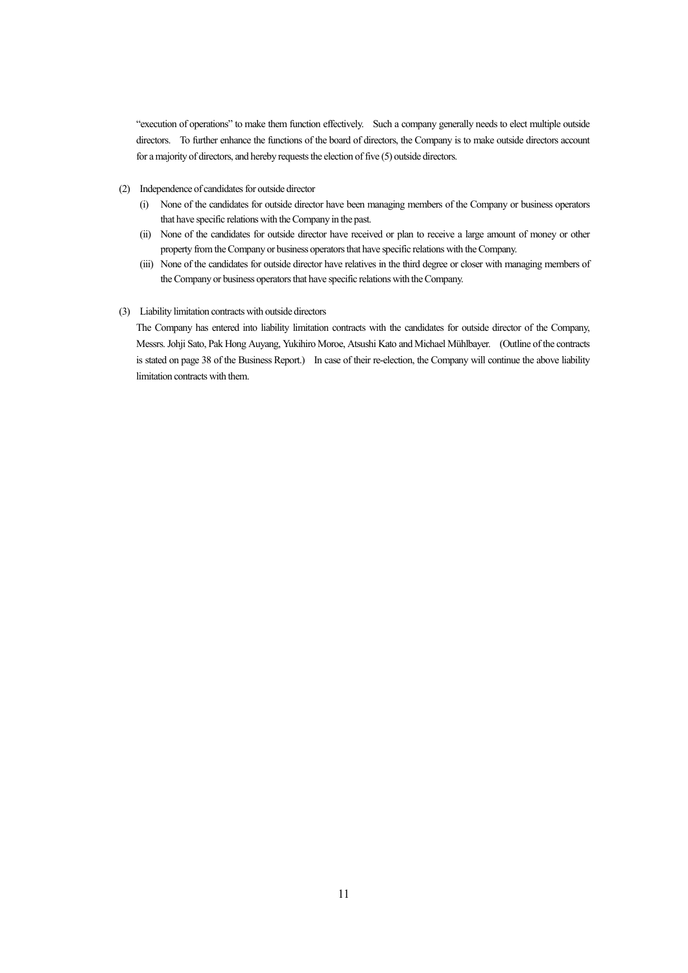"execution of operations" to make them function effectively. Such a company generally needs to elect multiple outside directors. To further enhance the functions of the board of directors, the Company is to make outside directors account for a majority of directors, and hereby requests the election of five (5) outside directors.

- (2) Independence of candidates for outside director
	- (i) None of the candidates for outside director have been managing members of the Company or business operators that have specific relations with the Company in the past.
	- (ii) None of the candidates for outside director have received or plan to receive a large amount of money or other property from the Company or business operators that have specific relations with the Company.
	- (iii) None of the candidates for outside director have relatives in the third degree or closer with managing members of the Company or business operators that have specific relations with the Company.
- (3) Liability limitation contracts with outside directors

The Company has entered into liability limitation contracts with the candidates for outside director of the Company, Messrs. Johji Sato, Pak Hong Auyang, Yukihiro Moroe, Atsushi Kato and Michael Mühlbayer. (Outline of the contracts is stated on page 38 of the Business Report.) In case of their re-election, the Company will continue the above liability limitation contracts with them.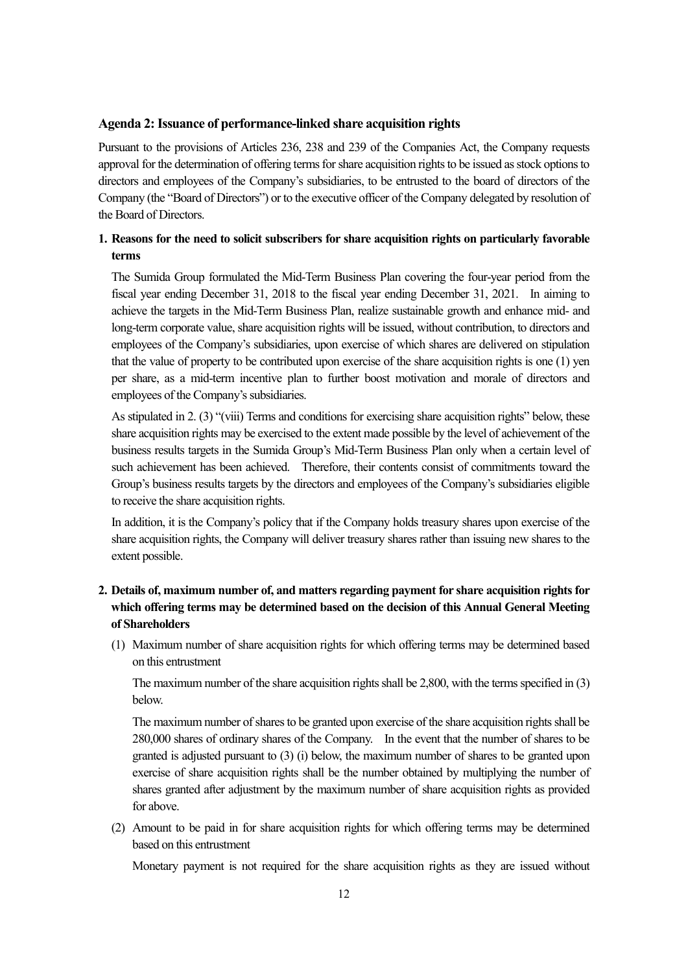#### **Agenda 2: Issuance of performance-linked share acquisition rights**

Pursuant to the provisions of Articles 236, 238 and 239 of the Companies Act, the Company requests approval for the determination of offering terms for share acquisition rights to be issued as stock options to directors and employees of the Company's subsidiaries, to be entrusted to the board of directors of the Company (the "Board of Directors") or to the executive officer of the Company delegated by resolution of the Board of Directors.

## **1. Reasons for the need to solicit subscribers for share acquisition rights on particularly favorable terms**

The Sumida Group formulated the Mid-Term Business Plan covering the four-year period from the fiscal year ending December 31, 2018 to the fiscal year ending December 31, 2021. In aiming to achieve the targets in the Mid-Term Business Plan, realize sustainable growth and enhance mid- and long-term corporate value, share acquisition rights will be issued, without contribution, to directors and employees of the Company's subsidiaries, upon exercise of which shares are delivered on stipulation that the value of property to be contributed upon exercise of the share acquisition rights is one (1) yen per share, as a mid-term incentive plan to further boost motivation and morale of directors and employees of the Company's subsidiaries.

As stipulated in 2. (3) "(viii) Terms and conditions for exercising share acquisition rights" below, these share acquisition rights may be exercised to the extent made possible by the level of achievement of the business results targets in the Sumida Group's Mid-Term Business Plan only when a certain level of such achievement has been achieved. Therefore, their contents consist of commitments toward the Group's business results targets by the directors and employees of the Company's subsidiaries eligible to receive the share acquisition rights.

In addition, it is the Company's policy that if the Company holds treasury shares upon exercise of the share acquisition rights, the Company will deliver treasury shares rather than issuing new shares to the extent possible.

## **2. Details of, maximum number of, and matters regarding payment for share acquisition rights for which offering terms may be determined based on the decision of this Annual General Meeting of Shareholders**

(1) Maximum number of share acquisition rights for which offering terms may be determined based on this entrustment

The maximum number of the share acquisition rights shall be 2,800, with the terms specified in (3) below.

The maximum number of shares to be granted upon exercise of the share acquisition rights shall be 280,000 shares of ordinary shares of the Company. In the event that the number of shares to be granted is adjusted pursuant to (3) (i) below, the maximum number of shares to be granted upon exercise of share acquisition rights shall be the number obtained by multiplying the number of shares granted after adjustment by the maximum number of share acquisition rights as provided for above.

(2) Amount to be paid in for share acquisition rights for which offering terms may be determined based on this entrustment

Monetary payment is not required for the share acquisition rights as they are issued without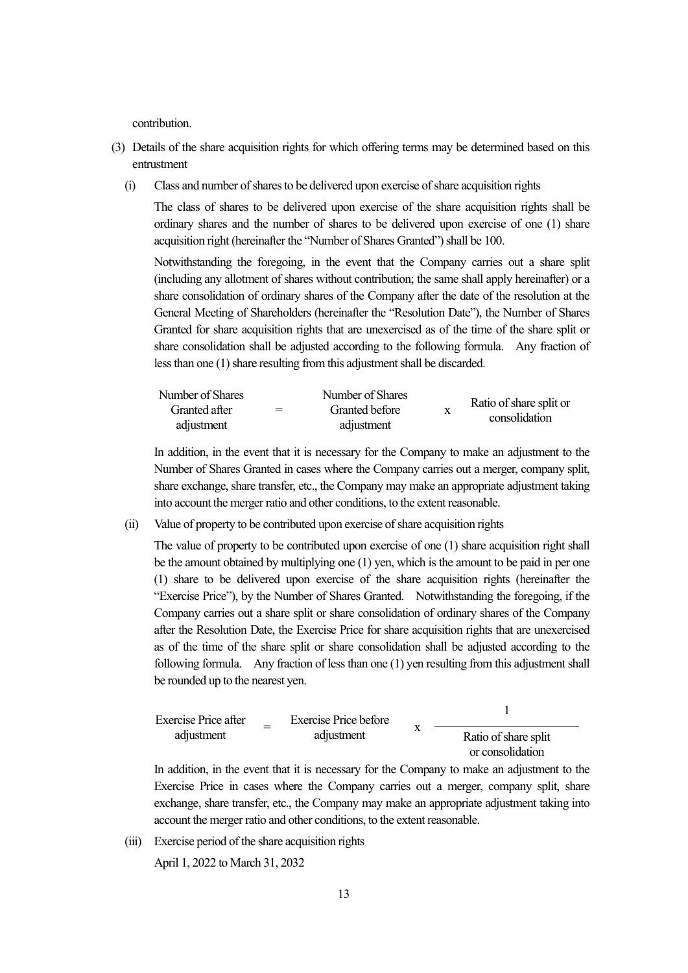contribution.

- (3) Details of the share acquisition rights for which offering terms may be determined based on this entrustment
	- (i) Class and number of shares to be delivered upon exercise of share acquisition rights

The class of shares to be delivered upon exercise of the share acquisition rights shall be ordinary shares and the number of shares to be delivered upon exercise of one (1) share acquisition right (hereinafter the "Number of Shares Granted") shall be 100.

Notwithstanding the foregoing, in the event that the Company carries out a share split (including any allotment of shares without contribution; the same shall apply hereinafter) or a share consolidation of ordinary shares of the Company after the date of the resolution at the General Meeting of Shareholders (hereinafter the "Resolution Date"), the Number of Shares Granted for share acquisition rights that are unexercised as of the time of the share split or share consolidation shall be adjusted according to the following formula. Any fraction of less than one (1) share resulting from this adjustment shall be discarded.

| Number of Shares |     | Number of Shares |                                          |
|------------------|-----|------------------|------------------------------------------|
| Granted after    | $=$ | Granted before   | Ratio of share split or<br>consolidation |
| adjustment       |     | adjustment       |                                          |

In addition, in the event that it is necessary for the Company to make an adjustment to the Number of Shares Granted in cases where the Company carries out a merger, company split, share exchange, share transfer, etc., the Company may make an appropriate adjustment taking into account the merger ratio and other conditions, to the extent reasonable.

(ii) Value of property to be contributed upon exercise of share acquisition rights

The value of property to be contributed upon exercise of one (1) share acquisition right shall be the amount obtained by multiplying one (1) yen, which is the amount to be paid in per one (1) share to be delivered upon exercise of the share acquisition rights (hereinafter the "Exercise Price"), by the Number of Shares Granted. Notwithstanding the foregoing, if the Company carries out a share split or share consolidation of ordinary shares of the Company after the Resolution Date, the Exercise Price for share acquisition rights that are unexercised as of the time of the share split or share consolidation shall be adjusted according to the following formula. Any fraction of less than one (1) yen resulting from this adjustment shall be rounded up to the nearest yen.

Exercise Price after  
adjustment = Exercise Price before  
adjustment = 
$$
x
$$
  $\frac{1}{\frac{1}{\frac{1}{x}}$ 

In addition, in the event that it is necessary for the Company to make an adjustment to the Exercise Price in cases where the Company carries out a merger, company split, share exchange, share transfer, etc., the Company may make an appropriate adjustment taking into account the merger ratio and other conditions, to the extent reasonable.

(iii) Exercise period of the share acquisition rights

April 1, 2022 to March 31, 2032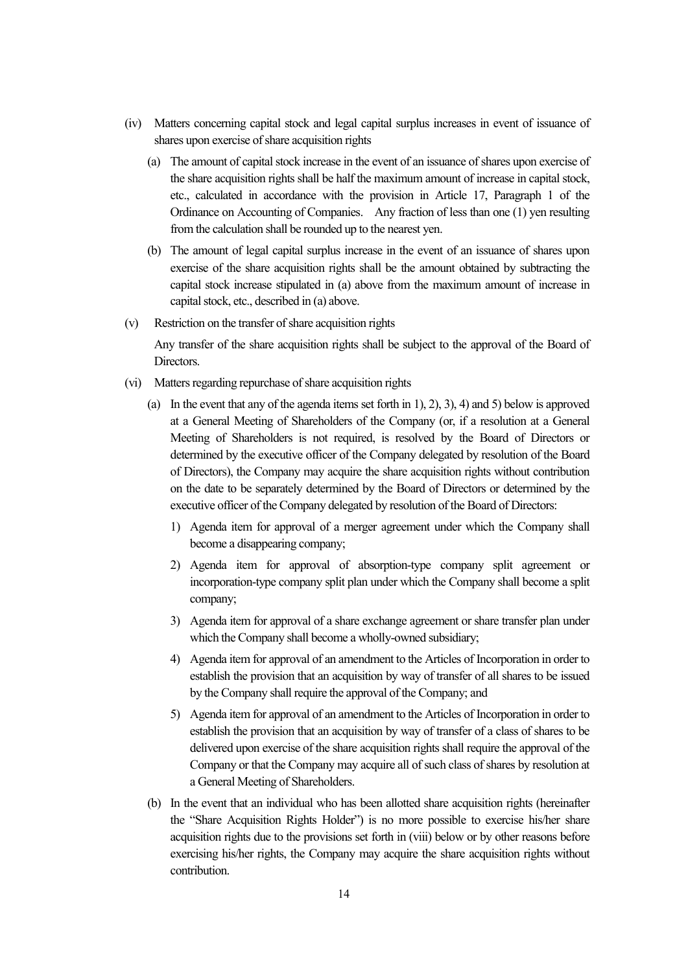- (iv) Matters concerning capital stock and legal capital surplus increases in event of issuance of shares upon exercise of share acquisition rights
	- (a) The amount of capital stock increase in the event of an issuance of shares upon exercise of the share acquisition rights shall be half the maximum amount of increase in capital stock, etc., calculated in accordance with the provision in Article 17, Paragraph 1 of the Ordinance on Accounting of Companies. Any fraction of less than one (1) yen resulting from the calculation shall be rounded up to the nearest yen.
	- (b) The amount of legal capital surplus increase in the event of an issuance of shares upon exercise of the share acquisition rights shall be the amount obtained by subtracting the capital stock increase stipulated in (a) above from the maximum amount of increase in capital stock, etc., described in (a) above.
- (v) Restriction on the transfer of share acquisition rights

Any transfer of the share acquisition rights shall be subject to the approval of the Board of Directors.

- (vi) Matters regarding repurchase of share acquisition rights
	- (a) In the event that any of the agenda items set forth in 1), 2), 3), 4) and 5) below is approved at a General Meeting of Shareholders of the Company (or, if a resolution at a General Meeting of Shareholders is not required, is resolved by the Board of Directors or determined by the executive officer of the Company delegated by resolution of the Board of Directors), the Company may acquire the share acquisition rights without contribution on the date to be separately determined by the Board of Directors or determined by the executive officer of the Company delegated by resolution of the Board of Directors:
		- 1) Agenda item for approval of a merger agreement under which the Company shall become a disappearing company;
		- 2) Agenda item for approval of absorption-type company split agreement or incorporation-type company split plan under which the Company shall become a split company;
		- 3) Agenda item for approval of a share exchange agreement or share transfer plan under which the Company shall become a wholly-owned subsidiary;
		- 4) Agenda item for approval of an amendment to the Articles of Incorporation in order to establish the provision that an acquisition by way of transfer of all shares to be issued by the Company shall require the approval of the Company; and
		- 5) Agenda item for approval of an amendment to the Articles of Incorporation in order to establish the provision that an acquisition by way of transfer of a class of shares to be delivered upon exercise of the share acquisition rights shall require the approval of the Company or that the Company may acquire all of such class of shares by resolution at a General Meeting of Shareholders.
	- (b) In the event that an individual who has been allotted share acquisition rights (hereinafter the "Share Acquisition Rights Holder") is no more possible to exercise his/her share acquisition rights due to the provisions set forth in (viii) below or by other reasons before exercising his/her rights, the Company may acquire the share acquisition rights without contribution.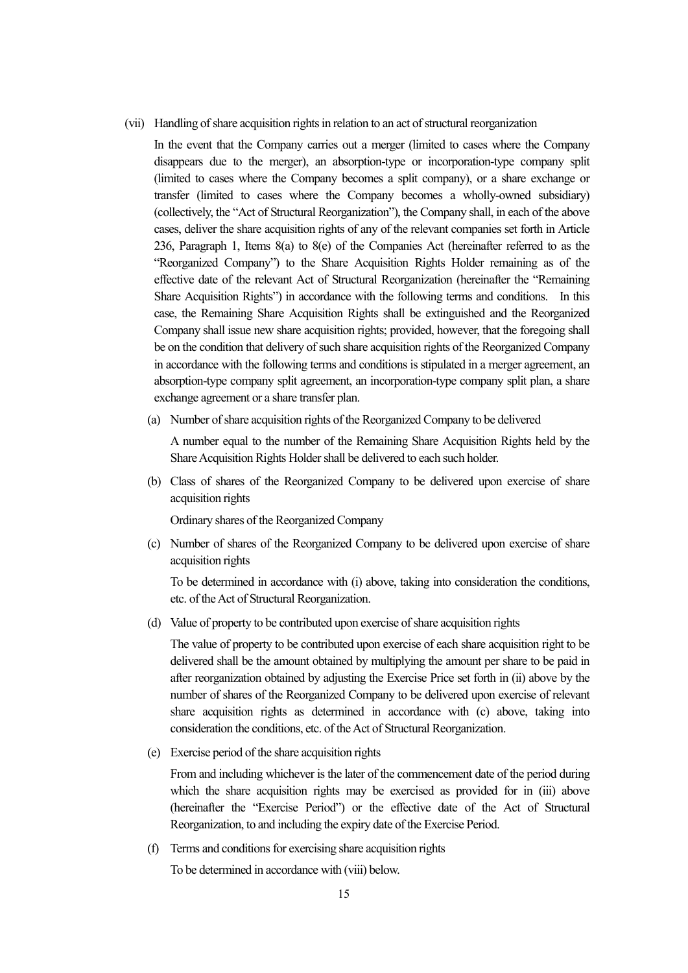(vii) Handling of share acquisition rights in relation to an act of structural reorganization

In the event that the Company carries out a merger (limited to cases where the Company disappears due to the merger), an absorption-type or incorporation-type company split (limited to cases where the Company becomes a split company), or a share exchange or transfer (limited to cases where the Company becomes a wholly-owned subsidiary) (collectively, the "Act of Structural Reorganization"), the Company shall, in each of the above cases, deliver the share acquisition rights of any of the relevant companies set forth in Article 236, Paragraph 1, Items 8(a) to 8(e) of the Companies Act (hereinafter referred to as the "Reorganized Company") to the Share Acquisition Rights Holder remaining as of the effective date of the relevant Act of Structural Reorganization (hereinafter the "Remaining Share Acquisition Rights") in accordance with the following terms and conditions. In this case, the Remaining Share Acquisition Rights shall be extinguished and the Reorganized Company shall issue new share acquisition rights; provided, however, that the foregoing shall be on the condition that delivery of such share acquisition rights of the Reorganized Company in accordance with the following terms and conditions is stipulated in a merger agreement, an absorption-type company split agreement, an incorporation-type company split plan, a share exchange agreement or a share transfer plan.

(a) Number of share acquisition rights of the Reorganized Company to be delivered

A number equal to the number of the Remaining Share Acquisition Rights held by the Share Acquisition Rights Holder shall be delivered to each such holder.

(b) Class of shares of the Reorganized Company to be delivered upon exercise of share acquisition rights

Ordinary shares of the Reorganized Company

(c) Number of shares of the Reorganized Company to be delivered upon exercise of share acquisition rights

To be determined in accordance with (i) above, taking into consideration the conditions, etc. of the Act of Structural Reorganization.

(d) Value of property to be contributed upon exercise of share acquisition rights

The value of property to be contributed upon exercise of each share acquisition right to be delivered shall be the amount obtained by multiplying the amount per share to be paid in after reorganization obtained by adjusting the Exercise Price set forth in (ii) above by the number of shares of the Reorganized Company to be delivered upon exercise of relevant share acquisition rights as determined in accordance with (c) above, taking into consideration the conditions, etc. of the Act of Structural Reorganization.

(e) Exercise period of the share acquisition rights

From and including whichever is the later of the commencement date of the period during which the share acquisition rights may be exercised as provided for in (iii) above (hereinafter the "Exercise Period") or the effective date of the Act of Structural Reorganization, to and including the expiry date of the Exercise Period.

(f) Terms and conditions for exercising share acquisition rights

To be determined in accordance with (viii) below.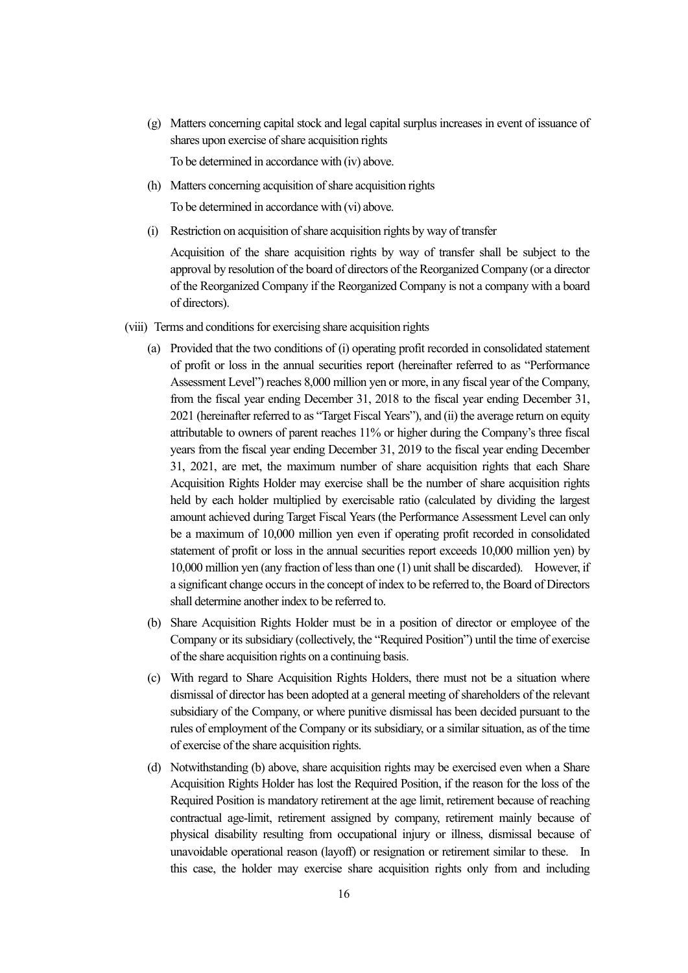(g) Matters concerning capital stock and legal capital surplus increases in event of issuance of shares upon exercise of share acquisition rights

To be determined in accordance with (iv) above.

(h) Matters concerning acquisition of share acquisition rights

To be determined in accordance with (vi) above.

(i) Restriction on acquisition of share acquisition rights by way of transfer

Acquisition of the share acquisition rights by way of transfer shall be subject to the approval by resolution of the board of directors of the Reorganized Company (or a director of the Reorganized Company if the Reorganized Company is not a company with a board of directors).

- (viii) Terms and conditions for exercising share acquisition rights
	- (a) Provided that the two conditions of (i) operating profit recorded in consolidated statement of profit or loss in the annual securities report (hereinafter referred to as "Performance Assessment Level") reaches 8,000 million yen or more, in any fiscal year of the Company, from the fiscal year ending December 31, 2018 to the fiscal year ending December 31, 2021 (hereinafter referred to as "Target Fiscal Years"), and (ii) the average return on equity attributable to owners of parent reaches 11% or higher during the Company's three fiscal years from the fiscal year ending December 31, 2019 to the fiscal year ending December 31, 2021, are met, the maximum number of share acquisition rights that each Share Acquisition Rights Holder may exercise shall be the number of share acquisition rights held by each holder multiplied by exercisable ratio (calculated by dividing the largest amount achieved during Target Fiscal Years (the Performance Assessment Level can only be a maximum of 10,000 million yen even if operating profit recorded in consolidated statement of profit or loss in the annual securities report exceeds 10,000 million yen) by 10,000 million yen (any fraction of less than one (1) unit shall be discarded). However, if a significant change occurs in the concept of index to be referred to, the Board of Directors shall determine another index to be referred to.
	- (b) Share Acquisition Rights Holder must be in a position of director or employee of the Company or its subsidiary (collectively, the "Required Position") until the time of exercise of the share acquisition rights on a continuing basis.
	- (c) With regard to Share Acquisition Rights Holders, there must not be a situation where dismissal of director has been adopted at a general meeting of shareholders of the relevant subsidiary of the Company, or where punitive dismissal has been decided pursuant to the rules of employment of the Company or its subsidiary, or a similar situation, as of the time of exercise of the share acquisition rights.
	- (d) Notwithstanding (b) above, share acquisition rights may be exercised even when a Share Acquisition Rights Holder has lost the Required Position, if the reason for the loss of the Required Position is mandatory retirement at the age limit, retirement because of reaching contractual age-limit, retirement assigned by company, retirement mainly because of physical disability resulting from occupational injury or illness, dismissal because of unavoidable operational reason (layoff) or resignation or retirement similar to these. In this case, the holder may exercise share acquisition rights only from and including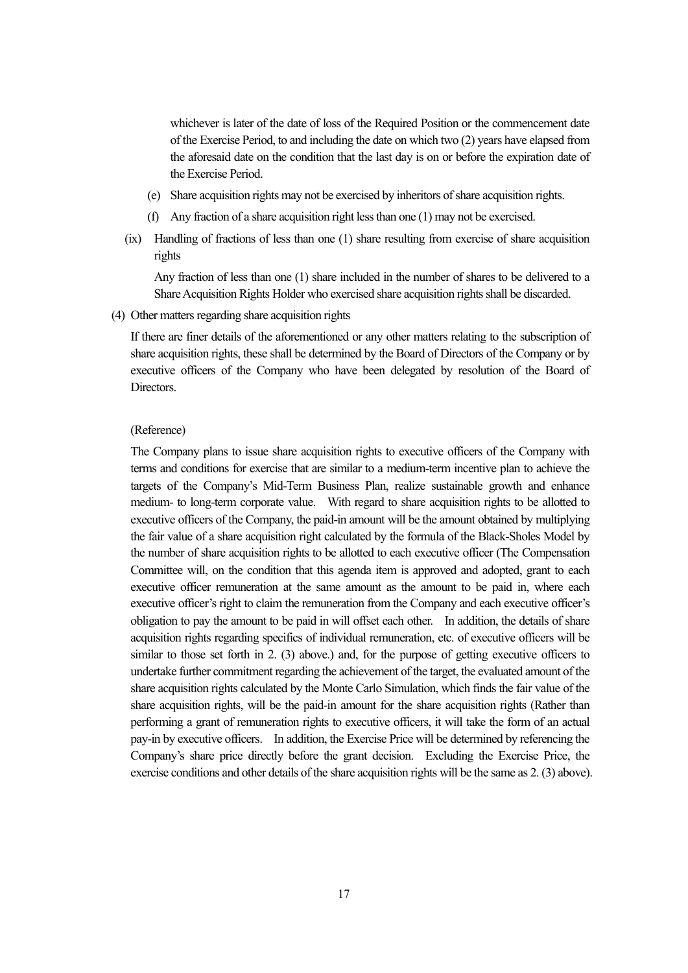whichever is later of the date of loss of the Required Position or the commencement date of the Exercise Period, to and including the date on which two (2) years have elapsed from the aforesaid date on the condition that the last day is on or before the expiration date of the Exercise Period.

- (e) Share acquisition rights may not be exercised by inheritors of share acquisition rights.
- (f) Any fraction of a share acquisition right less than one (1) may not be exercised.
- (ix) Handling of fractions of less than one (1) share resulting from exercise of share acquisition rights

Any fraction of less than one (1) share included in the number of shares to be delivered to a Share Acquisition Rights Holder who exercised share acquisition rights shall be discarded.

(4) Other matters regarding share acquisition rights

If there are finer details of the aforementioned or any other matters relating to the subscription of share acquisition rights, these shall be determined by the Board of Directors of the Company or by executive officers of the Company who have been delegated by resolution of the Board of Directors.

#### (Reference)

The Company plans to issue share acquisition rights to executive officers of the Company with terms and conditions for exercise that are similar to a medium-term incentive plan to achieve the targets of the Company's Mid-Term Business Plan, realize sustainable growth and enhance medium- to long-term corporate value. With regard to share acquisition rights to be allotted to executive officers of the Company, the paid-in amount will be the amount obtained by multiplying the fair value of a share acquisition right calculated by the formula of the Black-Sholes Model by the number of share acquisition rights to be allotted to each executive officer (The Compensation Committee will, on the condition that this agenda item is approved and adopted, grant to each executive officer remuneration at the same amount as the amount to be paid in, where each executive officer's right to claim the remuneration from the Company and each executive officer's obligation to pay the amount to be paid in will offset each other. In addition, the details of share acquisition rights regarding specifics of individual remuneration, etc. of executive officers will be similar to those set forth in 2. (3) above.) and, for the purpose of getting executive officers to undertake further commitment regarding the achievement of the target, the evaluated amount of the share acquisition rights calculated by the Monte Carlo Simulation, which finds the fair value of the share acquisition rights, will be the paid-in amount for the share acquisition rights (Rather than performing a grant of remuneration rights to executive officers, it will take the form of an actual pay-in by executive officers. In addition, the Exercise Price will be determined by referencing the Company's share price directly before the grant decision. Excluding the Exercise Price, the exercise conditions and other details of the share acquisition rights will be the same as 2. (3) above).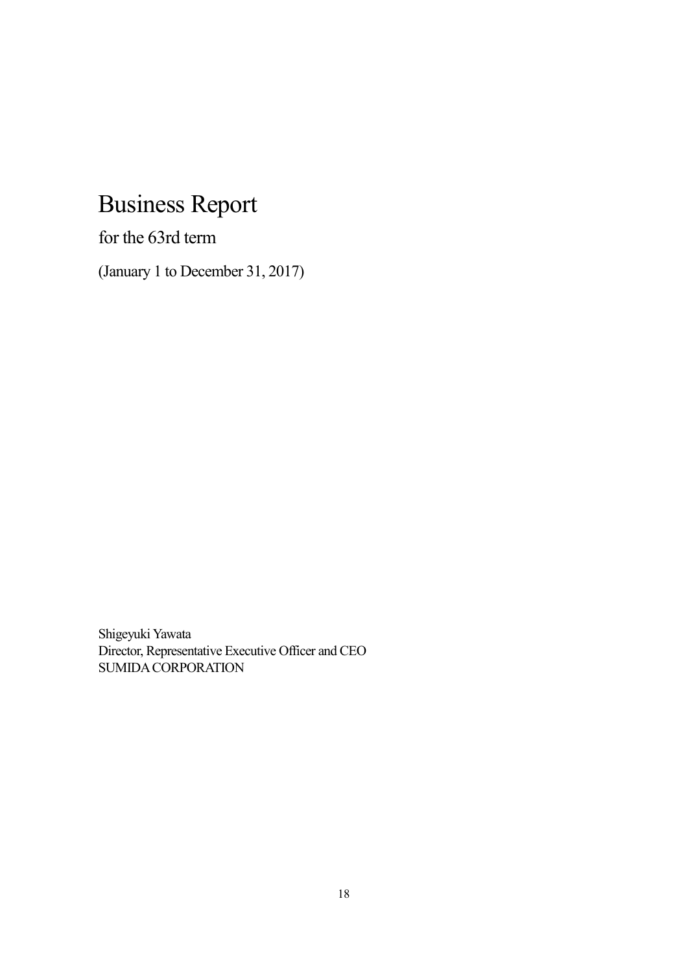# Business Report

for the 63rd term

(January 1 to December 31, 2017)

Shigeyuki Yawata Director, Representative Executive Officer and CEO SUMIDA CORPORATION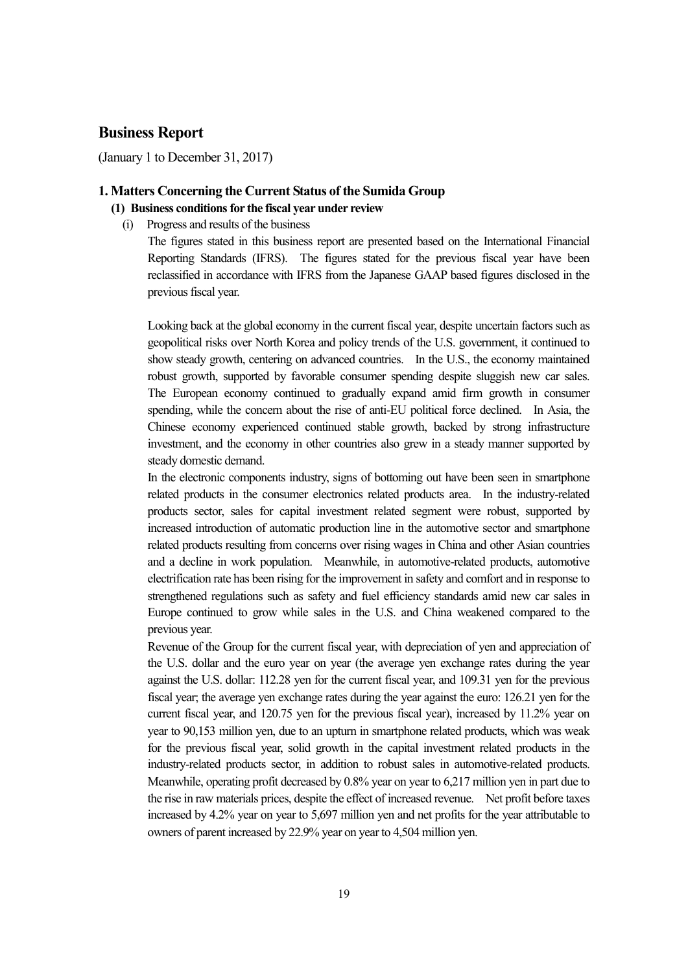## **Business Report**

(January 1 to December 31, 2017)

## **1. Matters Concerning the Current Status of the Sumida Group**

- **(1) Business conditions for the fiscal year under review** 
	- (i) Progress and results of the business

The figures stated in this business report are presented based on the International Financial Reporting Standards (IFRS). The figures stated for the previous fiscal year have been reclassified in accordance with IFRS from the Japanese GAAP based figures disclosed in the previous fiscal year.

Looking back at the global economy in the current fiscal year, despite uncertain factors such as geopolitical risks over North Korea and policy trends of the U.S. government, it continued to show steady growth, centering on advanced countries. In the U.S., the economy maintained robust growth, supported by favorable consumer spending despite sluggish new car sales. The European economy continued to gradually expand amid firm growth in consumer spending, while the concern about the rise of anti-EU political force declined. In Asia, the Chinese economy experienced continued stable growth, backed by strong infrastructure investment, and the economy in other countries also grew in a steady manner supported by steady domestic demand.

In the electronic components industry, signs of bottoming out have been seen in smartphone related products in the consumer electronics related products area. In the industry-related products sector, sales for capital investment related segment were robust, supported by increased introduction of automatic production line in the automotive sector and smartphone related products resulting from concerns over rising wages in China and other Asian countries and a decline in work population. Meanwhile, in automotive-related products, automotive electrification rate has been rising for the improvement in safety and comfort and in response to strengthened regulations such as safety and fuel efficiency standards amid new car sales in Europe continued to grow while sales in the U.S. and China weakened compared to the previous year.

Revenue of the Group for the current fiscal year, with depreciation of yen and appreciation of the U.S. dollar and the euro year on year (the average yen exchange rates during the year against the U.S. dollar: 112.28 yen for the current fiscal year, and 109.31 yen for the previous fiscal year; the average yen exchange rates during the year against the euro: 126.21 yen for the current fiscal year, and 120.75 yen for the previous fiscal year), increased by 11.2% year on year to 90,153 million yen, due to an upturn in smartphone related products, which was weak for the previous fiscal year, solid growth in the capital investment related products in the industry-related products sector, in addition to robust sales in automotive-related products. Meanwhile, operating profit decreased by 0.8% year on year to 6,217 million yen in part due to the rise in raw materials prices, despite the effect of increased revenue. Net profit before taxes increased by 4.2% year on year to 5,697 million yen and net profits for the year attributable to owners of parent increased by 22.9% year on year to 4,504 million yen.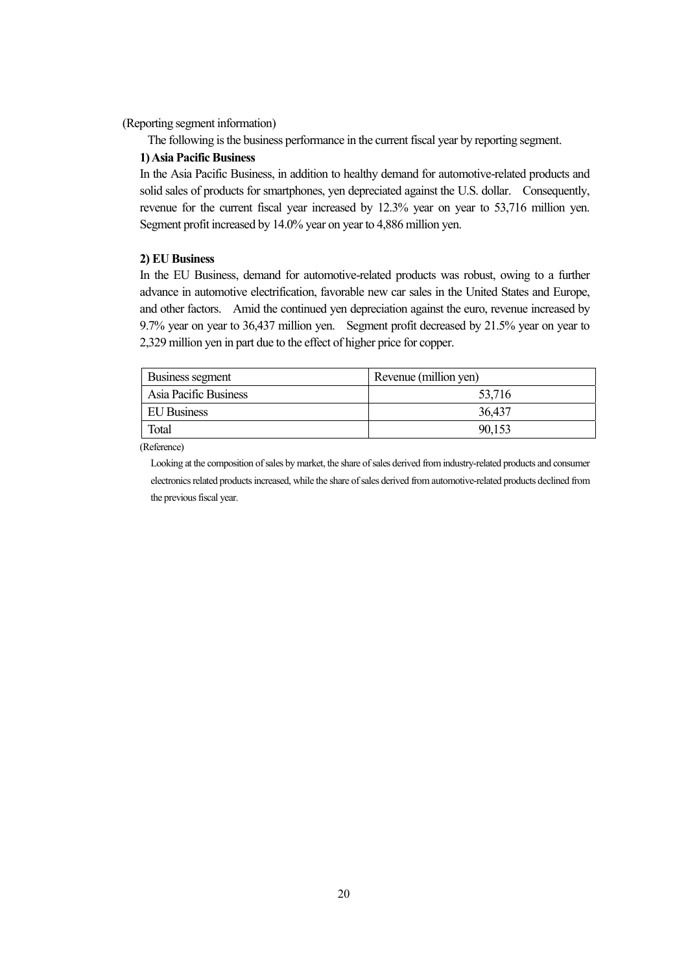(Reporting segment information)

The following is the business performance in the current fiscal year by reporting segment.

#### **1) Asia Pacific Business**

In the Asia Pacific Business, in addition to healthy demand for automotive-related products and solid sales of products for smartphones, yen depreciated against the U.S. dollar. Consequently, revenue for the current fiscal year increased by 12.3% year on year to 53,716 million yen. Segment profit increased by 14.0% year on year to 4,886 million yen.

#### **2) EU Business**

In the EU Business, demand for automotive-related products was robust, owing to a further advance in automotive electrification, favorable new car sales in the United States and Europe, and other factors. Amid the continued yen depreciation against the euro, revenue increased by 9.7% year on year to 36,437 million yen. Segment profit decreased by 21.5% year on year to 2,329 million yen in part due to the effect of higher price for copper.

| Business segment      | Revenue (million yen) |
|-----------------------|-----------------------|
| Asia Pacific Business | 53,716                |
| EU Business           | 36,437                |
| Total                 | 90,153                |

(Reference)

Looking at the composition of sales by market, the share of sales derived from industry-related products and consumer electronics related products increased, while the share of sales derived from automotive-related products declined from the previous fiscal year.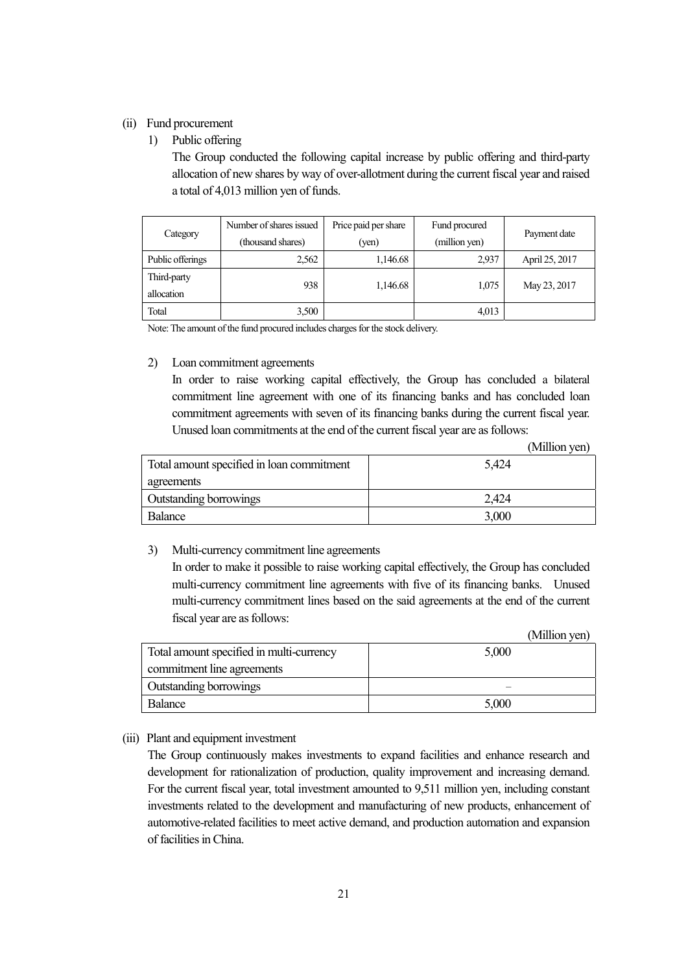#### (ii) Fund procurement

1) Public offering

The Group conducted the following capital increase by public offering and third-party allocation of new shares by way of over-allotment during the current fiscal year and raised a total of 4,013 million yen of funds.

| Category                  | Number of shares issued<br>(thousand shares) | Price paid per share<br>(yen) | Fund procured<br>(million yen) | Payment date   |
|---------------------------|----------------------------------------------|-------------------------------|--------------------------------|----------------|
| Public offerings          | 2,562                                        | 1,146.68                      | 2,937                          | April 25, 2017 |
| Third-party<br>allocation | 938                                          | 1,146.68                      | 1,075                          | May 23, 2017   |
| Total                     | 3,500                                        |                               | 4,013                          |                |

Note: The amount of the fund procured includes charges for the stock delivery.

#### 2) Loan commitment agreements

In order to raise working capital effectively, the Group has concluded a bilateral commitment line agreement with one of its financing banks and has concluded loan commitment agreements with seven of its financing banks during the current fiscal year. Unused loan commitments at the end of the current fiscal year are as follows:

(Million yen)

| Total amount specified in loan commitment | 5,424 |
|-------------------------------------------|-------|
| agreements                                |       |
| Outstanding borrowings                    | 2.424 |
| Balance                                   | 3,000 |

#### 3) Multi-currency commitment line agreements

In order to make it possible to raise working capital effectively, the Group has concluded multi-currency commitment line agreements with five of its financing banks. Unused multi-currency commitment lines based on the said agreements at the end of the current fiscal year are as follows:

(Million yen)

| Total amount specified in multi-currency | 5,000 |
|------------------------------------------|-------|
| commitment line agreements               |       |
| Outstanding borrowings                   |       |
| Balance                                  | 5,000 |

#### (iii) Plant and equipment investment

The Group continuously makes investments to expand facilities and enhance research and development for rationalization of production, quality improvement and increasing demand. For the current fiscal year, total investment amounted to 9,511 million yen, including constant investments related to the development and manufacturing of new products, enhancement of automotive-related facilities to meet active demand, and production automation and expansion of facilities in China.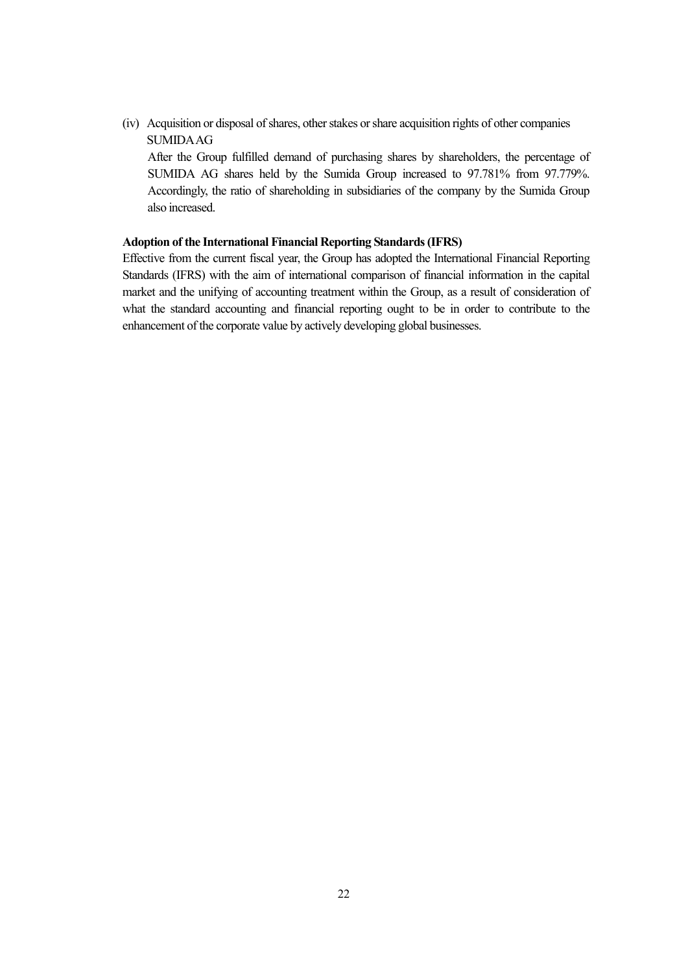(iv) Acquisition or disposal of shares, other stakes or share acquisition rights of other companies SUMIDA AG

After the Group fulfilled demand of purchasing shares by shareholders, the percentage of SUMIDA AG shares held by the Sumida Group increased to 97.781% from 97.779%. Accordingly, the ratio of shareholding in subsidiaries of the company by the Sumida Group also increased.

#### **Adoption of the International Financial Reporting Standards (IFRS)**

Effective from the current fiscal year, the Group has adopted the International Financial Reporting Standards (IFRS) with the aim of international comparison of financial information in the capital market and the unifying of accounting treatment within the Group, as a result of consideration of what the standard accounting and financial reporting ought to be in order to contribute to the enhancement of the corporate value by actively developing global businesses.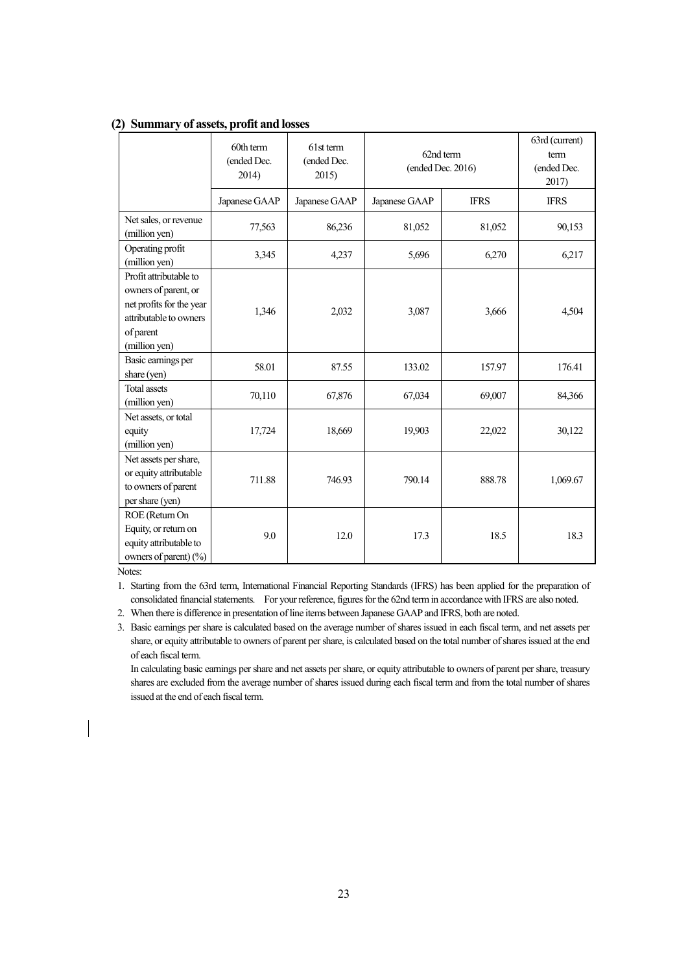|                                                                                                                                    | 60th term<br>(ended Dec.<br>2014) | 61st term<br>(ended Dec.<br>2015) | 62nd term<br>(ended Dec. 2016) |             | 63rd (current)<br>term<br>(ended Dec.<br>2017) |
|------------------------------------------------------------------------------------------------------------------------------------|-----------------------------------|-----------------------------------|--------------------------------|-------------|------------------------------------------------|
|                                                                                                                                    | Japanese GAAP                     | Japanese GAAP                     | Japanese GAAP                  | <b>IFRS</b> | <b>IFRS</b>                                    |
| Net sales, or revenue<br>(million yen)                                                                                             | 77,563                            | 86,236                            | 81,052                         | 81,052      | 90,153                                         |
| Operating profit<br>(million yen)                                                                                                  | 3,345                             | 4,237                             | 5,696                          | 6.270       | 6,217                                          |
| Profit attributable to<br>owners of parent, or<br>net profits for the year<br>attributable to owners<br>of parent<br>(million yen) | 1,346                             | 2,032                             | 3,087                          | 3,666       | 4,504                                          |
| Basic earnings per<br>share (yen)                                                                                                  | 58.01                             | 87.55                             | 133.02                         | 157.97      | 176.41                                         |
| <b>Total assets</b><br>(million yen)                                                                                               | 70,110                            | 67,876                            | 67,034                         | 69,007      | 84,366                                         |
| Net assets, or total<br>equity<br>(million yen)                                                                                    | 17,724                            | 18,669                            | 19,903                         | 22,022      | 30,122                                         |
| Net assets per share,<br>or equity attributable<br>to owners of parent<br>per share (yen)                                          | 711.88                            | 746.93                            | 790.14                         | 888.78      | 1,069.67                                       |
| ROE (Return On<br>Equity, or return on<br>equity attributable to<br>owners of parent) $(\%)$                                       | 9.0                               | 12.0                              | 17.3                           | 18.5        | 18.3                                           |

#### **(2) Summary of assets, profit and losses**

Notes:

1. Starting from the 63rd term, International Financial Reporting Standards (IFRS) has been applied for the preparation of consolidated financial statements. For your reference, figures for the 62nd term in accordance with IFRS are also noted.

2. When there is difference in presentation of line items between Japanese GAAP and IFRS, both are noted.

3. Basic earnings per share is calculated based on the average number of shares issued in each fiscal term, and net assets per share, or equity attributable to owners of parent per share, is calculated based on the total number of shares issued at the end of each fiscal term.

 In calculating basic earnings per share and net assets per share, or equity attributable to owners of parent per share, treasury shares are excluded from the average number of shares issued during each fiscal term and from the total number of shares issued at the end of each fiscal term.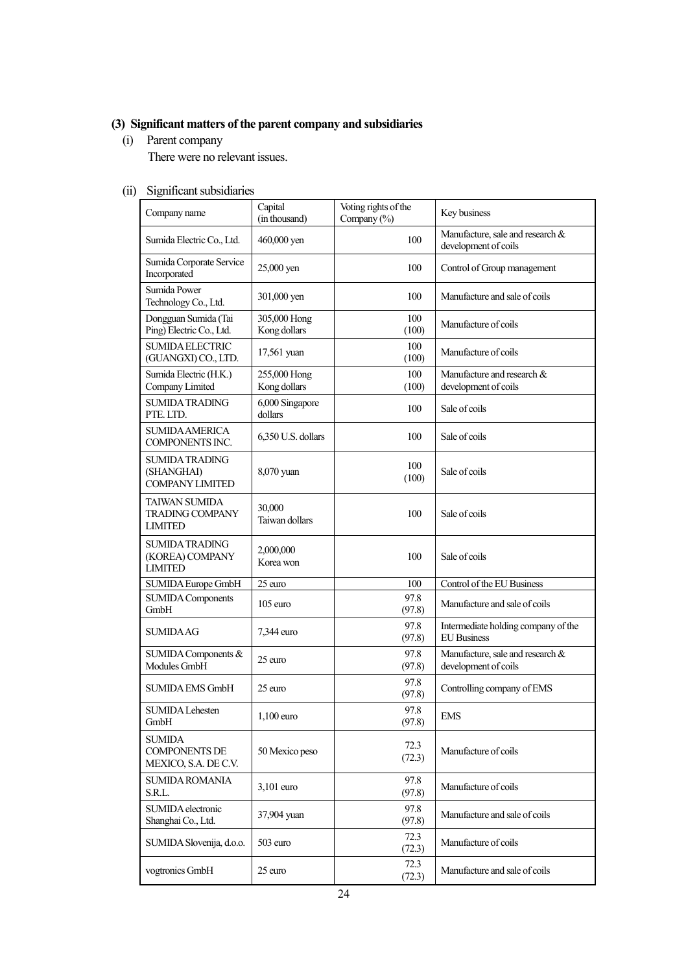## **(3) Significant matters of the parent company and subsidiaries**

(i) Parent company

There were no relevant issues.

## (ii) Significant subsidiaries

| Company name                                                     | Capital<br>(in thousand)     | Voting rights of the<br>Company (%) | Key business                                              |
|------------------------------------------------------------------|------------------------------|-------------------------------------|-----------------------------------------------------------|
| Sumida Electric Co., Ltd.                                        | 460,000 yen                  | 100                                 | Manufacture, sale and research &<br>development of coils  |
| Sumida Corporate Service<br>Incorporated                         | 25,000 yen                   | 100                                 | Control of Group management                               |
| Sumida Power<br>Technology Co., Ltd.                             | 301,000 yen                  | 100                                 | Manufacture and sale of coils                             |
| Dongguan Sumida (Tai<br>Ping) Electric Co., Ltd.                 | 305,000 Hong<br>Kong dollars | 100<br>(100)                        | Manufacture of coils                                      |
| <b>SUMIDA ELECTRIC</b><br>(GUANGXI) CO., LTD.                    | 17,561 yuan                  | 100<br>(100)                        | Manufacture of coils                                      |
| Sumida Electric (H.K.)<br>Company Limited                        | 255,000 Hong<br>Kong dollars | 100<br>(100)                        | Manufacture and research &<br>development of coils        |
| <b>SUMIDA TRADING</b><br>PTE. LTD.                               | 6,000 Singapore<br>dollars   | 100                                 | Sale of coils                                             |
| <b>SUMIDA AMERICA</b><br><b>COMPONENTS INC.</b>                  | 6,350 U.S. dollars           | 100                                 | Sale of coils                                             |
| <b>SUMIDA TRADING</b><br>(SHANGHAI)<br><b>COMPANY LIMITED</b>    | 8,070 yuan                   | 100<br>(100)                        | Sale of coils                                             |
| <b>TAIWAN SUMIDA</b><br><b>TRADING COMPANY</b><br><b>LIMITED</b> | 30,000<br>Taiwan dollars     | 100                                 | Sale of coils                                             |
| <b>SUMIDA TRADING</b><br>(KOREA) COMPANY<br><b>LIMITED</b>       | 2,000,000<br>Korea won       | 100                                 | Sale of coils                                             |
| <b>SUMIDA Europe GmbH</b>                                        | $\overline{25}$ euro         | 100                                 | Control of the EU Business                                |
| <b>SUMIDA Components</b><br>GmbH                                 | 105 euro                     | 97.8<br>(97.8)                      | Manufacture and sale of coils                             |
| <b>SUMIDAAG</b>                                                  | 7,344 euro                   | 97.8<br>(97.8)                      | Intermediate holding company of the<br><b>EU</b> Business |
| SUMIDA Components &<br>Modules GmbH                              | 25 euro                      | 97.8<br>(97.8)                      | Manufacture, sale and research &<br>development of coils  |
| <b>SUMIDA EMS GmbH</b>                                           | $25$ euro                    | 97.8<br>(97.8)                      | Controlling company of EMS                                |
| <b>SUMIDA Lehesten</b><br>GmbH                                   | 1,100 euro                   | 97.8<br>(97.8)                      | <b>EMS</b>                                                |
| <b>SUMIDA</b><br><b>COMPONENTS DE</b><br>MEXICO, S.A. DE C.V.    | 50 Mexico peso               | 72.3<br>(72.3)                      | Manufacture of coils                                      |
| <b>SUMIDA ROMANIA</b><br>S.R.L.                                  | 3,101 euro                   | 97.8<br>(97.8)                      | Manufacture of coils                                      |
| SUMIDA electronic<br>Shanghai Co., Ltd.                          | 37,904 yuan                  | 97.8<br>(97.8)                      | Manufacture and sale of coils                             |
| SUMIDA Slovenija, d.o.o.                                         | 503 euro                     | 72.3<br>(72.3)                      | Manufacture of coils                                      |
| vogtronics GmbH                                                  | 25 euro                      | 72.3<br>(72.3)                      | Manufacture and sale of coils                             |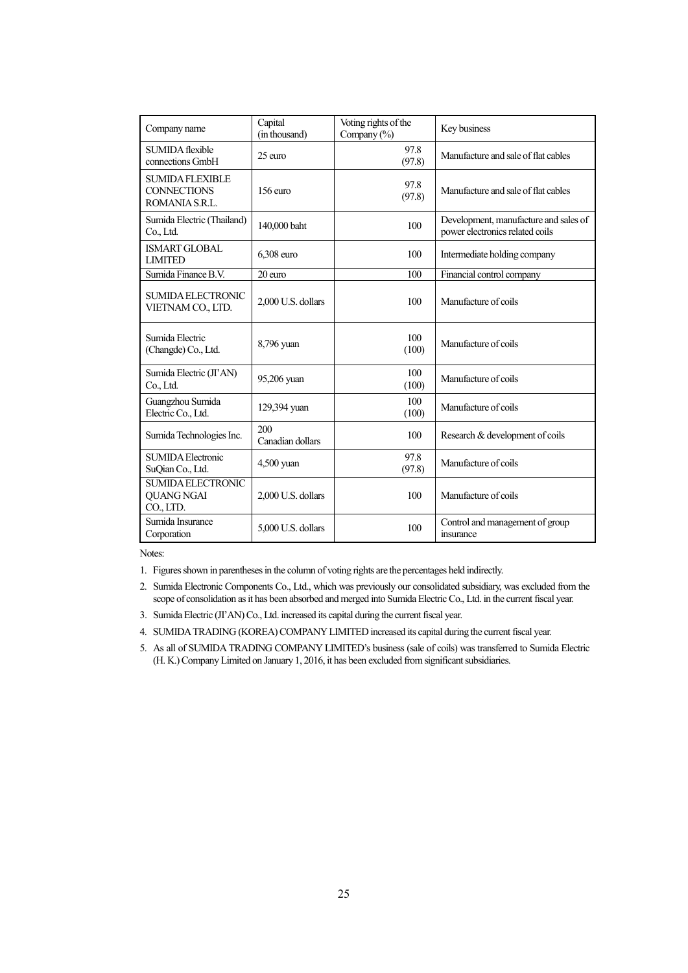| Company name                                                   | Capital<br>(in thousand) | Voting rights of the<br>Company $(\% )$ | Key business                                                             |
|----------------------------------------------------------------|--------------------------|-----------------------------------------|--------------------------------------------------------------------------|
| SUMIDA flexible<br>connections GmbH                            | 25 euro                  | 97.8<br>(97.8)                          | Manufacture and sale of flat cables                                      |
| <b>SUMIDA FLEXIBLE</b><br><b>CONNECTIONS</b><br>ROMANIA S.R.L. | $156$ euro               | 97.8<br>(97.8)                          | Manufacture and sale of flat cables                                      |
| Sumida Electric (Thailand)<br>Co., Ltd.                        | 140,000 baht             | 100                                     | Development, manufacture and sales of<br>power electronics related coils |
| <b>ISMART GLOBAL</b><br><b>LIMITED</b>                         | 6,308 euro               | 100                                     | Intermediate holding company                                             |
| Sumida Finance B.V.                                            | 20 euro                  | 100                                     | Financial control company                                                |
| <b>SUMIDA ELECTRONIC</b><br>VIETNAM CO., LTD.                  | 2,000 U.S. dollars       | 100                                     | Manufacture of coils                                                     |
| Sumida Electric<br>(Changde) Co., Ltd.                         | 8,796 yuan               | 100<br>(100)                            | Manufacture of coils                                                     |
| Sumida Electric (JI'AN)<br>Co., Ltd.                           | 95,206 yuan              | 100<br>(100)                            | Manufacture of coils                                                     |
| Guangzhou Sumida<br>Electric Co., Ltd.                         | 129,394 yuan             | 100<br>(100)                            | Manufacture of coils                                                     |
| Sumida Technologies Inc.                                       | 200<br>Canadian dollars  | 100                                     | Research & development of coils                                          |
| <b>SUMIDA Electronic</b><br>SuQian Co., Ltd.                   | 4,500 yuan               | 97.8<br>(97.8)                          | Manufacture of coils                                                     |
| <b>SUMIDA ELECTRONIC</b><br><b>QUANG NGAI</b><br>CO., LTD.     | 2,000 U.S. dollars       | 100                                     | Manufacture of coils                                                     |
| Sumida Insurance<br>Corporation                                | 5.000 U.S. dollars       | 100                                     | Control and management of group<br>insurance                             |

Notes:

1. Figures shown in parentheses in the column of voting rights are the percentages held indirectly.

2. Sumida Electronic Components Co., Ltd., which was previously our consolidated subsidiary, was excluded from the scope of consolidation as it has been absorbed and merged into Sumida Electric Co., Ltd. in the current fiscal year.

3. Sumida Electric (JI'AN) Co., Ltd. increased its capital during the current fiscal year.

4. SUMIDA TRADING (KOREA) COMPANY LIMITED increased its capital during the current fiscal year.

5. As all of SUMIDA TRADING COMPANY LIMITED's business (sale of coils) was transferred to Sumida Electric (H. K.) Company Limited on January 1, 2016, it has been excluded from significant subsidiaries.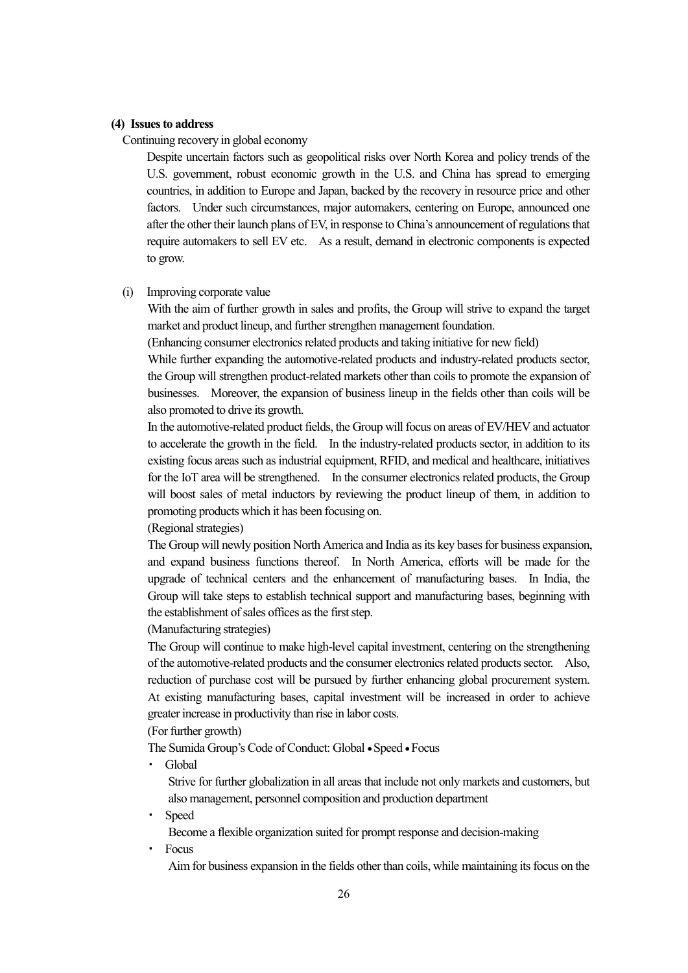#### **(4) Issues to address**

Continuing recovery in global economy

Despite uncertain factors such as geopolitical risks over North Korea and policy trends of the U.S. government, robust economic growth in the U.S. and China has spread to emerging countries, in addition to Europe and Japan, backed by the recovery in resource price and other factors. Under such circumstances, major automakers, centering on Europe, announced one after the other their launch plans of EV, in response to China's announcement of regulations that require automakers to sell EV etc. As a result, demand in electronic components is expected to grow.

#### (i) Improving corporate value

With the aim of further growth in sales and profits, the Group will strive to expand the target market and product lineup, and further strengthen management foundation.

(Enhancing consumer electronics related products and taking initiative for new field)

While further expanding the automotive-related products and industry-related products sector, the Group will strengthen product-related markets other than coils to promote the expansion of businesses. Moreover, the expansion of business lineup in the fields other than coils will be also promoted to drive its growth.

In the automotive-related product fields, the Group will focus on areas of EV/HEV and actuator to accelerate the growth in the field. In the industry-related products sector, in addition to its existing focus areas such as industrial equipment, RFID, and medical and healthcare, initiatives for the IoT area will be strengthened. In the consumer electronics related products, the Group will boost sales of metal inductors by reviewing the product lineup of them, in addition to promoting products which it has been focusing on.

(Regional strategies)

The Group will newly position North America and India as its key bases for business expansion, and expand business functions thereof. In North America, efforts will be made for the upgrade of technical centers and the enhancement of manufacturing bases. In India, the Group will take steps to establish technical support and manufacturing bases, beginning with the establishment of sales offices as the first step.

(Manufacturing strategies)

The Group will continue to make high-level capital investment, centering on the strengthening of the automotive-related products and the consumer electronics related products sector. Also, reduction of purchase cost will be pursued by further enhancing global procurement system. At existing manufacturing bases, capital investment will be increased in order to achieve greater increase in productivity than rise in labor costs.

(For further growth)

The Sumida Group's Code of Conduct: Global • Speed • Focus

・ Global

Strive for further globalization in all areas that include not only markets and customers, but also management, personnel composition and production department

**Speed** 

Become a flexible organization suited for prompt response and decision-making

・ Focus

Aim for business expansion in the fields other than coils, while maintaining its focus on the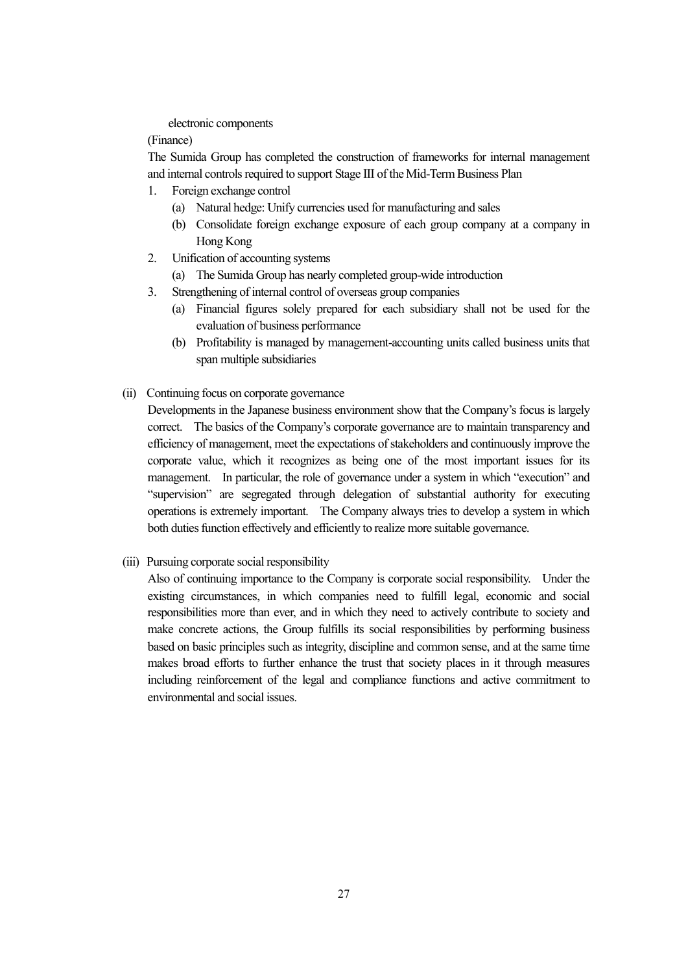electronic components

(Finance)

The Sumida Group has completed the construction of frameworks for internal management and internal controls required to support Stage III of the Mid-Term Business Plan

- 1. Foreign exchange control
	- (a) Natural hedge: Unify currencies used for manufacturing and sales
	- (b) Consolidate foreign exchange exposure of each group company at a company in Hong Kong
- 2. Unification of accounting systems
	- (a) The Sumida Group has nearly completed group-wide introduction
- 3. Strengthening of internal control of overseas group companies
	- (a) Financial figures solely prepared for each subsidiary shall not be used for the evaluation of business performance
	- (b) Profitability is managed by management-accounting units called business units that span multiple subsidiaries
- (ii) Continuing focus on corporate governance

Developments in the Japanese business environment show that the Company's focus is largely correct. The basics of the Company's corporate governance are to maintain transparency and efficiency of management, meet the expectations of stakeholders and continuously improve the corporate value, which it recognizes as being one of the most important issues for its management. In particular, the role of governance under a system in which "execution" and "supervision" are segregated through delegation of substantial authority for executing operations is extremely important. The Company always tries to develop a system in which both duties function effectively and efficiently to realize more suitable governance.

(iii) Pursuing corporate social responsibility

Also of continuing importance to the Company is corporate social responsibility. Under the existing circumstances, in which companies need to fulfill legal, economic and social responsibilities more than ever, and in which they need to actively contribute to society and make concrete actions, the Group fulfills its social responsibilities by performing business based on basic principles such as integrity, discipline and common sense, and at the same time makes broad efforts to further enhance the trust that society places in it through measures including reinforcement of the legal and compliance functions and active commitment to environmental and social issues.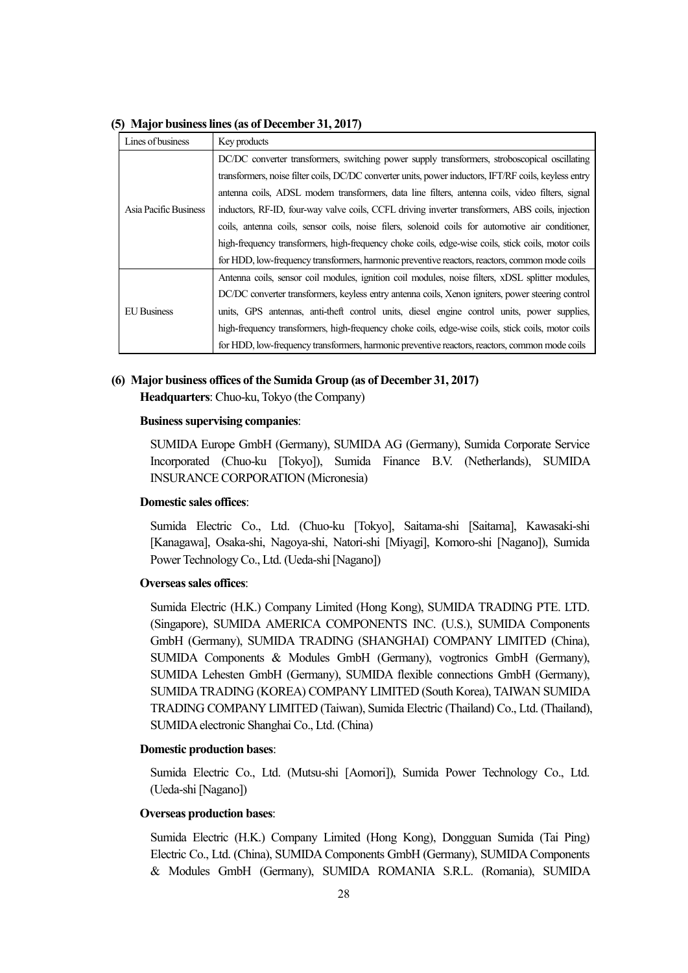| Lines of business     | Key products                                                                                          |
|-----------------------|-------------------------------------------------------------------------------------------------------|
|                       | DC/DC converter transformers, switching power supply transformers, stroboscopical oscillating         |
|                       | transformers, noise filter coils, DC/DC converter units, power inductors, IFT/RF coils, keyless entry |
|                       | antenna coils, ADSL modem transformers, data line filters, antenna coils, video filters, signal       |
| Asia Pacific Business | inductors, RF-ID, four-way valve coils, CCFL driving inverter transformers, ABS coils, injection      |
|                       | coils, antenna coils, sensor coils, noise filers, solenoid coils for automotive air conditioner,      |
|                       | high-frequency transformers, high-frequency choke coils, edge-wise coils, stick coils, motor coils    |
|                       | for HDD, low-frequency transformers, harmonic preventive reactors, reactors, common mode coils        |
|                       | Antenna coils, sensor coil modules, ignition coil modules, noise filters, xDSL splitter modules,      |
|                       | DC/DC converter transformers, keyless entry antenna coils, Xenon igniters, power steering control     |
| <b>EU Business</b>    | units, GPS antennas, anti-theft control units, diesel engine control units, power supplies,           |
|                       | high-frequency transformers, high-frequency choke coils, edge-wise coils, stick coils, motor coils    |
|                       | for HDD, low-frequency transformers, harmonic preventive reactors, reactors, common mode coils        |

**(5) Major business lines (as of December 31, 2017)** 

## **(6) Major business offices of the Sumida Group (as of December 31, 2017)**

**Headquarters**: Chuo-ku, Tokyo (the Company)

#### **Business supervising companies**:

SUMIDA Europe GmbH (Germany), SUMIDA AG (Germany), Sumida Corporate Service Incorporated (Chuo-ku [Tokyo]), Sumida Finance B.V. (Netherlands), SUMIDA INSURANCE CORPORATION (Micronesia)

#### **Domestic sales offices**:

Sumida Electric Co., Ltd. (Chuo-ku [Tokyo], Saitama-shi [Saitama], Kawasaki-shi [Kanagawa], Osaka-shi, Nagoya-shi, Natori-shi [Miyagi], Komoro-shi [Nagano]), Sumida Power Technology Co., Ltd. (Ueda-shi [Nagano])

#### **Overseas sales offices**:

Sumida Electric (H.K.) Company Limited (Hong Kong), SUMIDA TRADING PTE. LTD. (Singapore), SUMIDA AMERICA COMPONENTS INC. (U.S.), SUMIDA Components GmbH (Germany), SUMIDA TRADING (SHANGHAI) COMPANY LIMITED (China), SUMIDA Components & Modules GmbH (Germany), vogtronics GmbH (Germany), SUMIDA Lehesten GmbH (Germany), SUMIDA flexible connections GmbH (Germany), SUMIDA TRADING (KOREA) COMPANY LIMITED (South Korea), TAIWAN SUMIDA TRADING COMPANY LIMITED (Taiwan), Sumida Electric (Thailand) Co., Ltd. (Thailand), SUMIDA electronic Shanghai Co., Ltd. (China)

#### **Domestic production bases**:

Sumida Electric Co., Ltd. (Mutsu-shi [Aomori]), Sumida Power Technology Co., Ltd. (Ueda-shi [Nagano])

#### **Overseas production bases**:

Sumida Electric (H.K.) Company Limited (Hong Kong), Dongguan Sumida (Tai Ping) Electric Co., Ltd. (China), SUMIDA Components GmbH (Germany), SUMIDA Components & Modules GmbH (Germany), SUMIDA ROMANIA S.R.L. (Romania), SUMIDA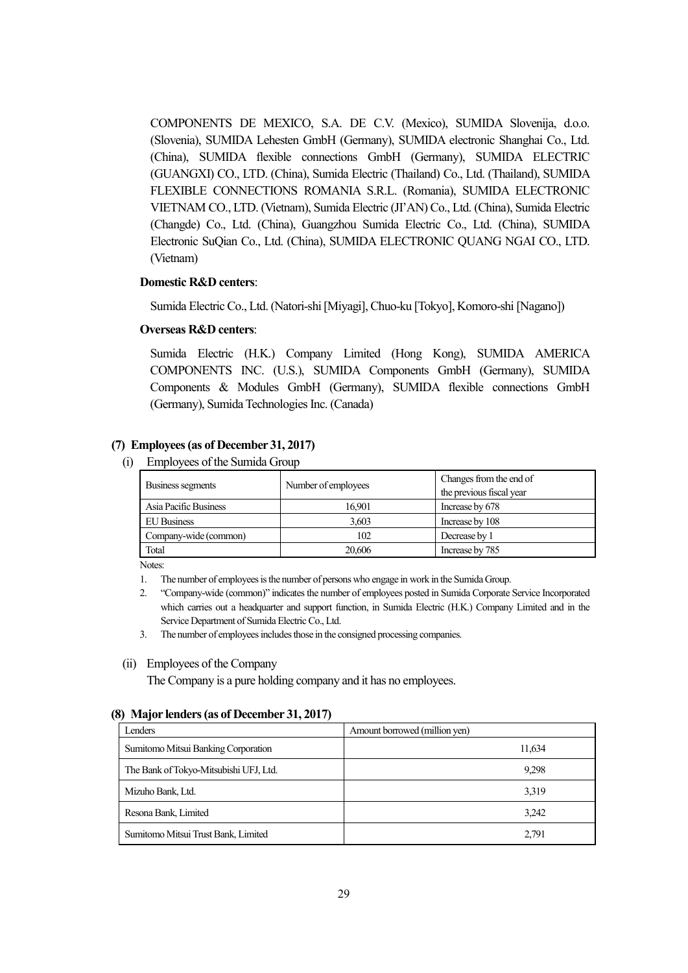COMPONENTS DE MEXICO, S.A. DE C.V. (Mexico), SUMIDA Slovenija, d.o.o. (Slovenia), SUMIDA Lehesten GmbH (Germany), SUMIDA electronic Shanghai Co., Ltd. (China), SUMIDA flexible connections GmbH (Germany), SUMIDA ELECTRIC (GUANGXI) CO., LTD. (China), Sumida Electric (Thailand) Co., Ltd. (Thailand), SUMIDA FLEXIBLE CONNECTIONS ROMANIA S.R.L. (Romania), SUMIDA ELECTRONIC VIETNAM CO., LTD. (Vietnam), Sumida Electric (JI'AN) Co., Ltd. (China), Sumida Electric (Changde) Co., Ltd. (China), Guangzhou Sumida Electric Co., Ltd. (China), SUMIDA Electronic SuQian Co., Ltd. (China), SUMIDA ELECTRONIC QUANG NGAI CO., LTD. (Vietnam)

#### **Domestic R&D centers**:

Sumida Electric Co., Ltd. (Natori-shi [Miyagi], Chuo-ku [Tokyo], Komoro-shi [Nagano])

#### **Overseas R&D centers**:

Sumida Electric (H.K.) Company Limited (Hong Kong), SUMIDA AMERICA COMPONENTS INC. (U.S.), SUMIDA Components GmbH (Germany), SUMIDA Components & Modules GmbH (Germany), SUMIDA flexible connections GmbH (Germany), Sumida Technologies Inc. (Canada)

#### **(7) Employees (as of December 31, 2017)**

(i) Employees of the Sumida Group

| Business segments     | Number of employees | Changes from the end of<br>the previous fiscal year |
|-----------------------|---------------------|-----------------------------------------------------|
| Asia Pacific Business | 16.901              | Increase by 678                                     |
| <b>EU</b> Business    | 3,603               | Increase by 108                                     |
| Company-wide (common) | 102                 | Decrease by 1                                       |
| Total                 | 20.606              | Increase by 785                                     |

Notes:

1. The number of employees is the number of persons who engage in work in the Sumida Group.

2. "Company-wide (common)" indicates the number of employees posted in Sumida Corporate Service Incorporated which carries out a headquarter and support function, in Sumida Electric (H.K.) Company Limited and in the Service Department of Sumida Electric Co., Ltd.

3. The number of employees includes those in the consigned processing companies.

#### (ii) Employees of the Company

The Company is a pure holding company and it has no employees.

#### **(8) Major lenders (as of December 31, 2017)**

| Lenders                                | Amount borrowed (million yen) |
|----------------------------------------|-------------------------------|
| Sumitomo Mitsui Banking Corporation    | 11,634                        |
| The Bank of Tokyo-Mitsubishi UFJ, Ltd. | 9.298                         |
| Mizuho Bank, Ltd.                      | 3,319                         |
| Resona Bank, Limited                   | 3.242                         |
| Sumitomo Mitsui Trust Bank, Limited    | 2,791                         |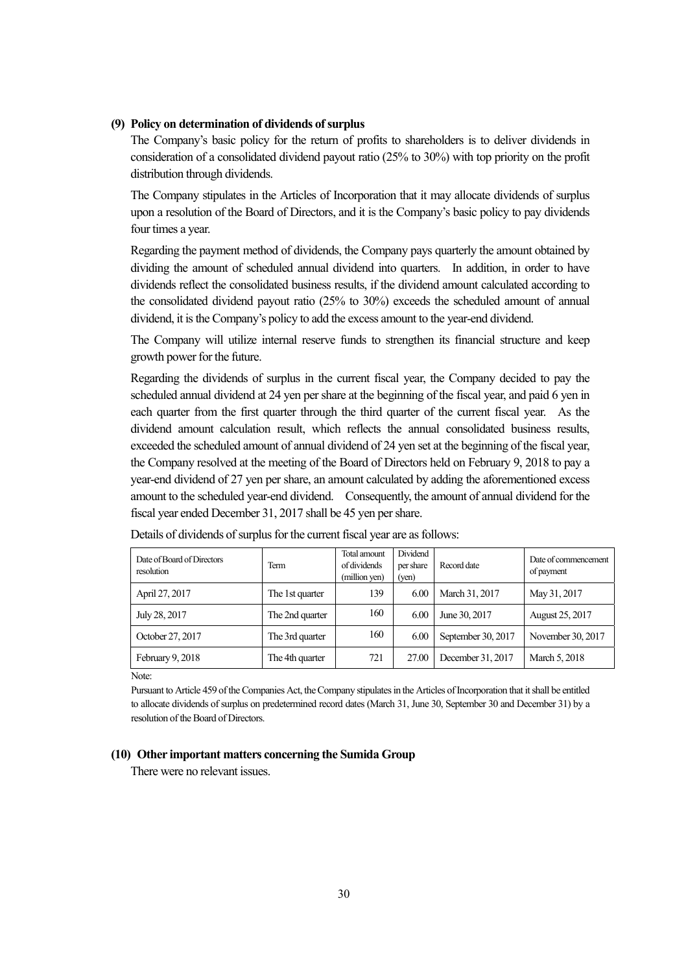#### **(9) Policy on determination of dividends of surplus**

The Company's basic policy for the return of profits to shareholders is to deliver dividends in consideration of a consolidated dividend payout ratio (25% to 30%) with top priority on the profit distribution through dividends.

The Company stipulates in the Articles of Incorporation that it may allocate dividends of surplus upon a resolution of the Board of Directors, and it is the Company's basic policy to pay dividends four times a year.

Regarding the payment method of dividends, the Company pays quarterly the amount obtained by dividing the amount of scheduled annual dividend into quarters. In addition, in order to have dividends reflect the consolidated business results, if the dividend amount calculated according to the consolidated dividend payout ratio (25% to 30%) exceeds the scheduled amount of annual dividend, it is the Company's policy to add the excess amount to the year-end dividend.

The Company will utilize internal reserve funds to strengthen its financial structure and keep growth power for the future.

Regarding the dividends of surplus in the current fiscal year, the Company decided to pay the scheduled annual dividend at 24 yen per share at the beginning of the fiscal year, and paid 6 yen in each quarter from the first quarter through the third quarter of the current fiscal year. As the dividend amount calculation result, which reflects the annual consolidated business results, exceeded the scheduled amount of annual dividend of 24 yen set at the beginning of the fiscal year, the Company resolved at the meeting of the Board of Directors held on February 9, 2018 to pay a year-end dividend of 27 yen per share, an amount calculated by adding the aforementioned excess amount to the scheduled year-end dividend. Consequently, the amount of annual dividend for the fiscal year ended December 31, 2017 shall be 45 yen per share.

| Date of Board of Directors<br>resolution | Term            | Total amount<br>of dividends<br>(million yen) | Dividend<br>per share<br>(ven) | Record date        | Date of commencement<br>of payment |
|------------------------------------------|-----------------|-----------------------------------------------|--------------------------------|--------------------|------------------------------------|
| April 27, 2017                           | The 1st quarter | 139                                           | 6.00                           | March 31, 2017     | May 31, 2017                       |
| July 28, 2017                            | The 2nd quarter | 160                                           | 6.00                           | June 30, 2017      | August 25, 2017                    |
| October 27, 2017                         | The 3rd quarter | 160                                           | 6.00                           | September 30, 2017 | November 30, 2017                  |
| February 9, 2018                         | The 4th quarter | 721                                           | 27.00                          | December 31, 2017  | March 5, 2018                      |

Details of dividends of surplus for the current fiscal year are as follows:

Note:

Pursuant to Article 459 of the Companies Act, the Company stipulates in the Articles of Incorporation that it shall be entitled to allocate dividends of surplus on predetermined record dates (March 31, June 30, September 30 and December 31) by a resolution of the Board of Directors.

#### **(10) Other important matters concerning the Sumida Group**

There were no relevant issues.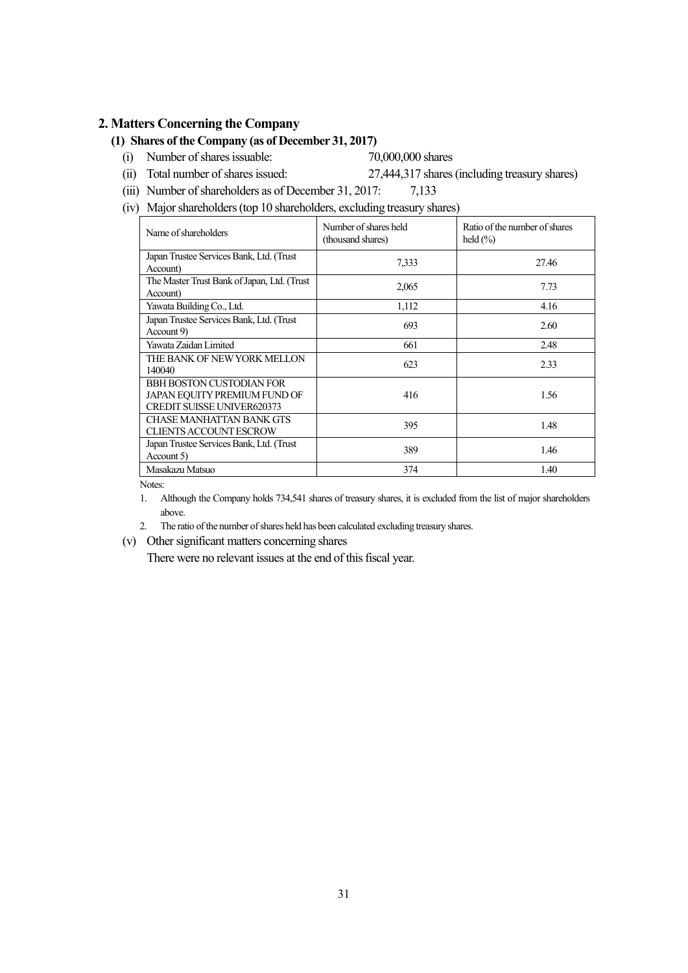#### **2. Matters Concerning the Company**

## **(1) Shares of the Company (as of December 31, 2017)**

(i) Number of shares issuable: 70,000,000 shares

(ii) Total number of shares issued: 27,444,317 shares (including treasury shares)

- (iii) Number of shareholders as of December 31, 2017: 7,133
- (iv) Major shareholders (top 10 shareholders, excluding treasury shares)

| Name of shareholders                                                                          | Number of shares held<br>(thousand shares) | Ratio of the number of shares<br>held $(\% )$ |
|-----------------------------------------------------------------------------------------------|--------------------------------------------|-----------------------------------------------|
| Japan Trustee Services Bank, Ltd. (Trust                                                      | 7,333                                      | 27.46                                         |
| Account)                                                                                      |                                            |                                               |
| The Master Trust Bank of Japan, Ltd. (Trust<br>Account)                                       | 2,065                                      | 7.73                                          |
| Yawata Building Co., Ltd.                                                                     | 1,112                                      | 4.16                                          |
| Japan Trustee Services Bank, Ltd. (Trust<br>Account 9)                                        | 693                                        | 2.60                                          |
| Yawata Zaidan Limited                                                                         | 661                                        | 2.48                                          |
| THE BANK OF NEW YORK MELLON<br>140040                                                         | 623                                        | 2.33                                          |
| BBH BOSTON CUSTODIAN FOR<br>JAPAN EQUITY PREMIUM FUND OF<br><b>CREDIT SUISSE UNIVER620373</b> | 416                                        | 1.56                                          |
| <b>CHASE MANHATTAN BANK GTS</b><br><b>CLIENTS ACCOUNT ESCROW</b>                              | 395                                        | 1.48                                          |
| Japan Trustee Services Bank, Ltd. (Trust<br>Account 5)                                        | 389                                        | 1.46                                          |
| Masakazu Matsuo                                                                               | 374                                        | 1.40                                          |

Notes:

- 1. Although the Company holds 734,541 shares of treasury shares, it is excluded from the list of major shareholders above.
- 2. The ratio of the number of shares held has been calculated excluding treasury shares.
- (v) Other significant matters concerning shares

There were no relevant issues at the end of this fiscal year.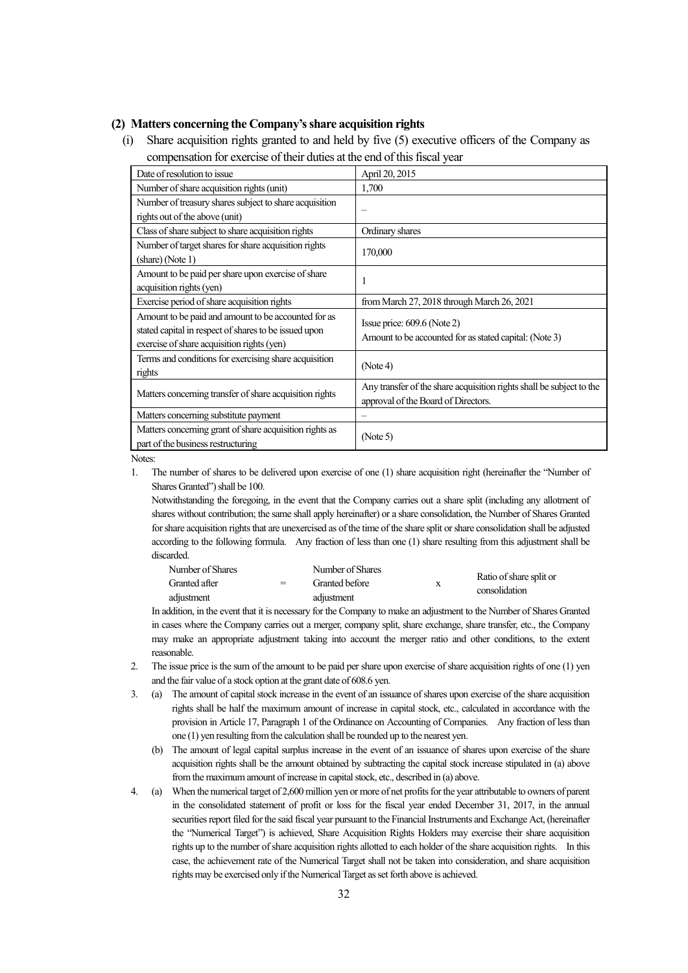#### **(2) Matters concerning the Company's share acquisition rights**

(i) Share acquisition rights granted to and held by five (5) executive officers of the Company as compensation for exercise of their duties at the end of this fiscal year

| Date of resolution to issue                             | April 20, 2015                                                       |
|---------------------------------------------------------|----------------------------------------------------------------------|
| Number of share acquisition rights (unit)               | 1,700                                                                |
| Number of treasury shares subject to share acquisition  |                                                                      |
| rights out of the above (unit)                          |                                                                      |
| Class of share subject to share acquisition rights      | Ordinary shares                                                      |
| Number of target shares for share acquisition rights    | 170,000                                                              |
| (share) (Note 1)                                        |                                                                      |
| Amount to be paid per share upon exercise of share      |                                                                      |
| acquisition rights (yen)                                |                                                                      |
| Exercise period of share acquisition rights             | from March 27, 2018 through March 26, 2021                           |
| Amount to be paid and amount to be accounted for as     | Issue price: $609.6$ (Note 2)                                        |
| stated capital in respect of shares to be issued upon   | Amount to be accounted for as stated capital: (Note 3)               |
| exercise of share acquisition rights (yen)              |                                                                      |
| Terms and conditions for exercising share acquisition   | (Note 4)                                                             |
| rights                                                  |                                                                      |
|                                                         | Any transfer of the share acquisition rights shall be subject to the |
| Matters concerning transfer of share acquisition rights | approval of the Board of Directors.                                  |
| Matters concerning substitute payment                   |                                                                      |
| Matters concerning grant of share acquisition rights as |                                                                      |
| part of the business restructuring                      | (Note 5)                                                             |

Notes:

1. The number of shares to be delivered upon exercise of one (1) share acquisition right (hereinafter the "Number of Shares Granted") shall be 100.

Notwithstanding the foregoing, in the event that the Company carries out a share split (including any allotment of shares without contribution; the same shall apply hereinafter) or a share consolidation, the Number of Shares Granted for share acquisition rights that are unexercised as of the time of the share split or share consolidation shall be adjusted according to the following formula. Any fraction of less than one (1) share resulting from this adjustment shall be discarded.

| Number of Shares |     | Number of Shares |               |                         |
|------------------|-----|------------------|---------------|-------------------------|
| Granted after    | $=$ | Granted before   |               | Ratio of share split or |
| adjustment       |     | adjustment       | consolidation |                         |

In addition, in the event that it is necessary for the Company to make an adjustment to the Number of Shares Granted in cases where the Company carries out a merger, company split, share exchange, share transfer, etc., the Company may make an appropriate adjustment taking into account the merger ratio and other conditions, to the extent reasonable.

- 2. The issue price is the sum of the amount to be paid per share upon exercise of share acquisition rights of one (1) yen and the fair value of a stock option at the grant date of 608.6 yen.
- 3. (a) The amount of capital stock increase in the event of an issuance of shares upon exercise of the share acquisition rights shall be half the maximum amount of increase in capital stock, etc., calculated in accordance with the provision in Article 17, Paragraph 1 of the Ordinance on Accounting of Companies. Any fraction of less than one (1) yen resulting from the calculation shall be rounded up to the nearest yen.
	- (b) The amount of legal capital surplus increase in the event of an issuance of shares upon exercise of the share acquisition rights shall be the amount obtained by subtracting the capital stock increase stipulated in (a) above from the maximum amount of increase in capital stock, etc., described in (a) above.
- 4. (a) When the numerical target of 2,600 million yen or more of net profits for the year attributable to owners of parent in the consolidated statement of profit or loss for the fiscal year ended December 31, 2017, in the annual securities report filed for the said fiscal year pursuant to the Financial Instruments and Exchange Act, (hereinafter the "Numerical Target") is achieved, Share Acquisition Rights Holders may exercise their share acquisition rights up to the number of share acquisition rights allotted to each holder of the share acquisition rights. In this case, the achievement rate of the Numerical Target shall not be taken into consideration, and share acquisition rights may be exercised only if the Numerical Target as set forth above is achieved.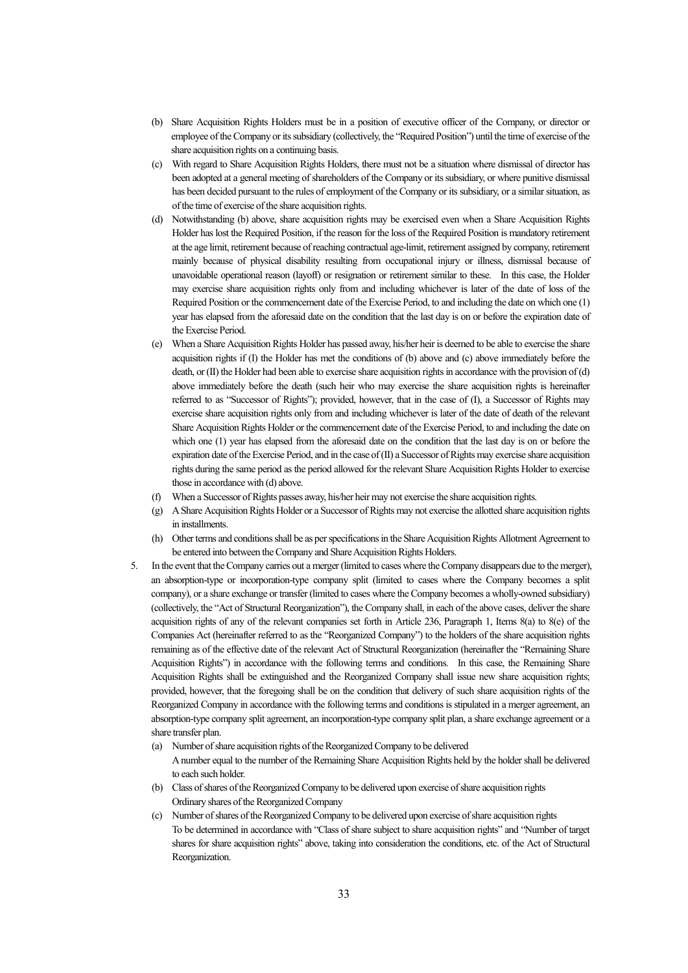- (b) Share Acquisition Rights Holders must be in a position of executive officer of the Company, or director or employee of the Company or its subsidiary (collectively, the "Required Position") until the time of exercise of the share acquisition rights on a continuing basis.
- (c) With regard to Share Acquisition Rights Holders, there must not be a situation where dismissal of director has been adopted at a general meeting of shareholders of the Company or its subsidiary, or where punitive dismissal has been decided pursuant to the rules of employment of the Company or its subsidiary, or a similar situation, as of the time of exercise of the share acquisition rights.
- (d) Notwithstanding (b) above, share acquisition rights may be exercised even when a Share Acquisition Rights Holder has lost the Required Position, if the reason for the loss of the Required Position is mandatory retirement at the age limit, retirement because of reaching contractual age-limit, retirement assigned by company, retirement mainly because of physical disability resulting from occupational injury or illness, dismissal because of unavoidable operational reason (layoff) or resignation or retirement similar to these. In this case, the Holder may exercise share acquisition rights only from and including whichever is later of the date of loss of the Required Position or the commencement date of the Exercise Period, to and including the date on which one (1) year has elapsed from the aforesaid date on the condition that the last day is on or before the expiration date of the Exercise Period.
- (e) When a Share Acquisition Rights Holder has passed away, his/her heir is deemed to be able to exercise the share acquisition rights if (I) the Holder has met the conditions of (b) above and (c) above immediately before the death, or (II) the Holder had been able to exercise share acquisition rights in accordance with the provision of (d) above immediately before the death (such heir who may exercise the share acquisition rights is hereinafter referred to as "Successor of Rights"); provided, however, that in the case of (I), a Successor of Rights may exercise share acquisition rights only from and including whichever is later of the date of death of the relevant Share Acquisition Rights Holder or the commencement date of the Exercise Period, to and including the date on which one (1) year has elapsed from the aforesaid date on the condition that the last day is on or before the expiration date of the Exercise Period, and in the case of (II) a Successor of Rights may exercise share acquisition rights during the same period as the period allowed for the relevant Share Acquisition Rights Holder to exercise those in accordance with (d) above.
- (f) When a Successor of Rights passes away, his/her heir may not exercise the share acquisition rights.
- (g) A Share Acquisition Rights Holder or a Successor of Rights may not exercise the allotted share acquisition rights in installments.
- (h) Other terms and conditions shall be as per specifications in the Share Acquisition Rights Allotment Agreement to be entered into between the Company and Share Acquisition Rights Holders.
- 5. In the event that the Company carries out a merger (limited to cases where the Company disappears due to the merger), an absorption-type or incorporation-type company split (limited to cases where the Company becomes a split company), or a share exchange or transfer (limited to cases where the Company becomes a wholly-owned subsidiary) (collectively, the "Act of Structural Reorganization"), the Company shall, in each of the above cases, deliver the share acquisition rights of any of the relevant companies set forth in Article 236, Paragraph 1, Items 8(a) to 8(e) of the Companies Act (hereinafter referred to as the "Reorganized Company") to the holders of the share acquisition rights remaining as of the effective date of the relevant Act of Structural Reorganization (hereinafter the "Remaining Share Acquisition Rights") in accordance with the following terms and conditions. In this case, the Remaining Share Acquisition Rights shall be extinguished and the Reorganized Company shall issue new share acquisition rights; provided, however, that the foregoing shall be on the condition that delivery of such share acquisition rights of the Reorganized Company in accordance with the following terms and conditions is stipulated in a merger agreement, an absorption-type company split agreement, an incorporation-type company split plan, a share exchange agreement or a share transfer plan.
	- (a) Number of share acquisition rights of the Reorganized Company to be delivered A number equal to the number of the Remaining Share Acquisition Rights held by the holder shall be delivered to each such holder.
	- (b) Class of shares of the Reorganized Company to be delivered upon exercise of share acquisition rights Ordinary shares of the Reorganized Company
	- (c) Number of shares of the Reorganized Company to be delivered upon exercise of share acquisition rights To be determined in accordance with "Class of share subject to share acquisition rights" and "Number of target shares for share acquisition rights" above, taking into consideration the conditions, etc. of the Act of Structural Reorganization.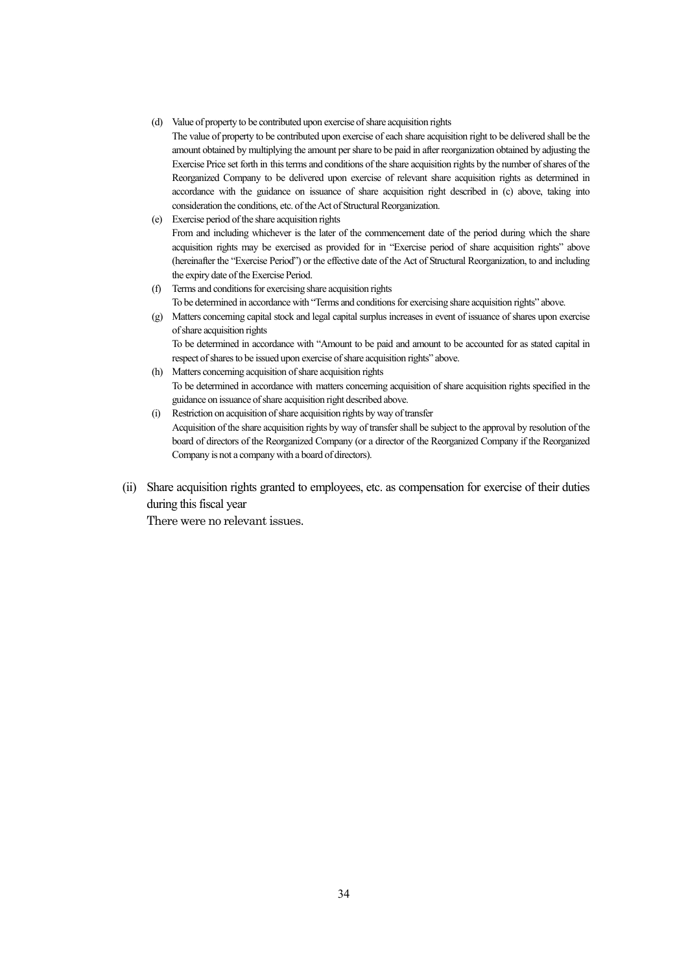- (d) Value of property to be contributed upon exercise of share acquisition rights
	- The value of property to be contributed upon exercise of each share acquisition right to be delivered shall be the amount obtained by multiplying the amount per share to be paid in after reorganization obtained by adjusting the Exercise Price set forth in this terms and conditions of the share acquisition rights by the number of shares of the Reorganized Company to be delivered upon exercise of relevant share acquisition rights as determined in accordance with the guidance on issuance of share acquisition right described in (c) above, taking into consideration the conditions, etc. of the Act of Structural Reorganization.
- (e) Exercise period of the share acquisition rights

From and including whichever is the later of the commencement date of the period during which the share acquisition rights may be exercised as provided for in "Exercise period of share acquisition rights" above (hereinafter the "Exercise Period") or the effective date of the Act of Structural Reorganization, to and including the expiry date of the Exercise Period.

- (f) Terms and conditions for exercising share acquisition rights To be determined in accordance with "Terms and conditions for exercising share acquisition rights" above.
- (g) Matters concerning capital stock and legal capital surplus increases in event of issuance of shares upon exercise of share acquisition rights To be determined in accordance with "Amount to be paid and amount to be accounted for as stated capital in respect of shares to be issued upon exercise of share acquisition rights" above.
- (h) Matters concerning acquisition of share acquisition rights To be determined in accordance with matters concerning acquisition of share acquisition rights specified in the guidance on issuance of share acquisition right described above.
- (i) Restriction on acquisition of share acquisition rights by way of transfer Acquisition of the share acquisition rights by way of transfer shall be subject to the approval by resolution of the board of directors of the Reorganized Company (or a director of the Reorganized Company if the Reorganized Company is not a company with a board of directors).
- (ii) Share acquisition rights granted to employees, etc. as compensation for exercise of their duties during this fiscal year

There were no relevant issues.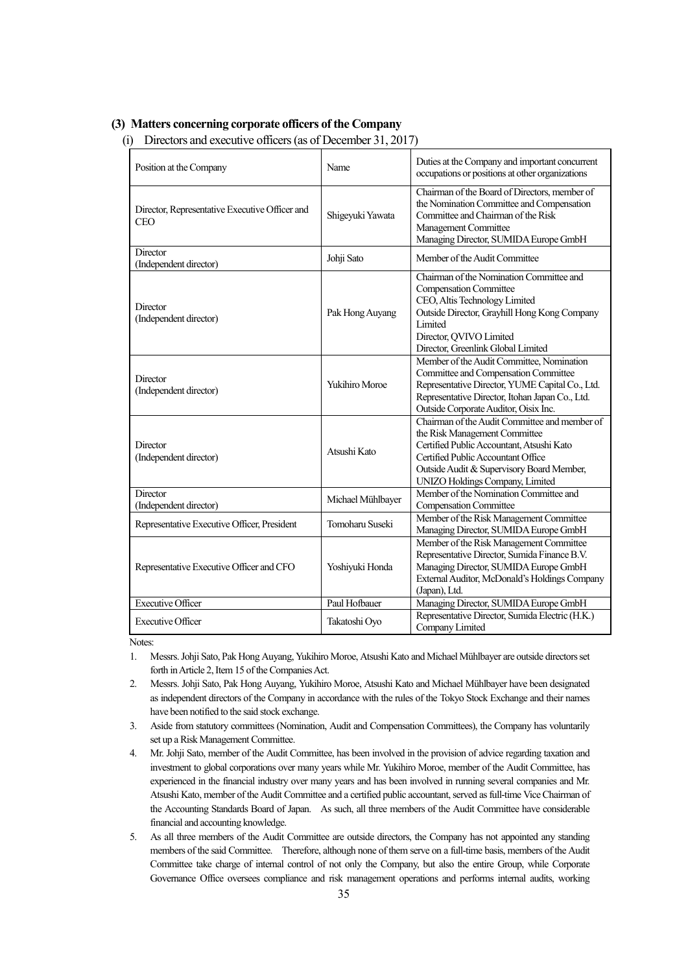#### **(3) Matters concerning corporate officers of the Company**

(i) Directors and executive officers (as of December 31, 2017)

| Position at the Company                                      | Name                  | Duties at the Company and important concurrent<br>occupations or positions at other organizations                                                                                                                                                 |
|--------------------------------------------------------------|-----------------------|---------------------------------------------------------------------------------------------------------------------------------------------------------------------------------------------------------------------------------------------------|
| Director, Representative Executive Officer and<br><b>CEO</b> | Shigeyuki Yawata      | Chairman of the Board of Directors, member of<br>the Nomination Committee and Compensation<br>Committee and Chairman of the Risk<br>Management Committee<br>Managing Director, SUMIDA Europe GmbH                                                 |
| Director<br>(Independent director)                           | Johji Sato            | Member of the Audit Committee                                                                                                                                                                                                                     |
| Director<br>(Independent director)                           | Pak Hong Auyang       | Chairman of the Nomination Committee and<br><b>Compensation Committee</b><br>CEO, Altis Technology Limited<br>Outside Director, Grayhill Hong Kong Company<br>Limited<br>Director, QVIVO Limited<br>Director, Greenlink Global Limited            |
| Director<br>(Independent director)                           | <b>Yukihiro Moroe</b> | Member of the Audit Committee, Nomination<br>Committee and Compensation Committee<br>Representative Director, YUME Capital Co., Ltd.<br>Representative Director, Itohan Japan Co., Ltd.<br>Outside Corporate Auditor, Oisix Inc.                  |
| Director<br>(Independent director)                           | Atsushi Kato          | Chairman of the Audit Committee and member of<br>the Risk Management Committee<br>Certified Public Accountant, Atsushi Kato<br>Certified Public Accountant Office<br>Outside Audit & Supervisory Board Member,<br>UNIZO Holdings Company, Limited |
| Director<br>(Independent director)                           | Michael Mühlbayer     | Member of the Nomination Committee and<br><b>Compensation Committee</b>                                                                                                                                                                           |
| Representative Executive Officer, President                  | Tomoharu Suseki       | Member of the Risk Management Committee<br>Managing Director, SUMIDA Europe GmbH                                                                                                                                                                  |
| Representative Executive Officer and CFO                     | Yoshiyuki Honda       | Member of the Risk Management Committee<br>Representative Director, Sumida Finance B.V.<br>Managing Director, SUMIDA Europe GmbH<br>External Auditor, McDonald's Holdings Company<br>(Japan), Ltd.                                                |
| <b>Executive Officer</b>                                     | Paul Hofbauer         | Managing Director, SUMIDA Europe GmbH                                                                                                                                                                                                             |
| <b>Executive Officer</b>                                     | Takatoshi Oyo         | Representative Director, Sumida Electric (H.K.)<br>Company Limited                                                                                                                                                                                |

Notes:

- 1. Messrs. Johji Sato, Pak Hong Auyang, Yukihiro Moroe, Atsushi Kato and Michael Mühlbayer are outside directors set forth in Article 2, Item 15 of the Companies Act.
- 2. Messrs. Johji Sato, Pak Hong Auyang, Yukihiro Moroe, Atsushi Kato and Michael Mühlbayer have been designated as independent directors of the Company in accordance with the rules of the Tokyo Stock Exchange and their names have been notified to the said stock exchange.
- 3. Aside from statutory committees (Nomination, Audit and Compensation Committees), the Company has voluntarily set up a Risk Management Committee.
- 4. Mr. Johji Sato, member of the Audit Committee, has been involved in the provision of advice regarding taxation and investment to global corporations over many years while Mr. Yukihiro Moroe, member of the Audit Committee, has experienced in the financial industry over many years and has been involved in running several companies and Mr. Atsushi Kato, member of the Audit Committee and a certified public accountant, served as full-time Vice Chairman of the Accounting Standards Board of Japan. As such, all three members of the Audit Committee have considerable financial and accounting knowledge.
- 5. As all three members of the Audit Committee are outside directors, the Company has not appointed any standing members of the said Committee. Therefore, although none of them serve on a full-time basis, members of the Audit Committee take charge of internal control of not only the Company, but also the entire Group, while Corporate Governance Office oversees compliance and risk management operations and performs internal audits, working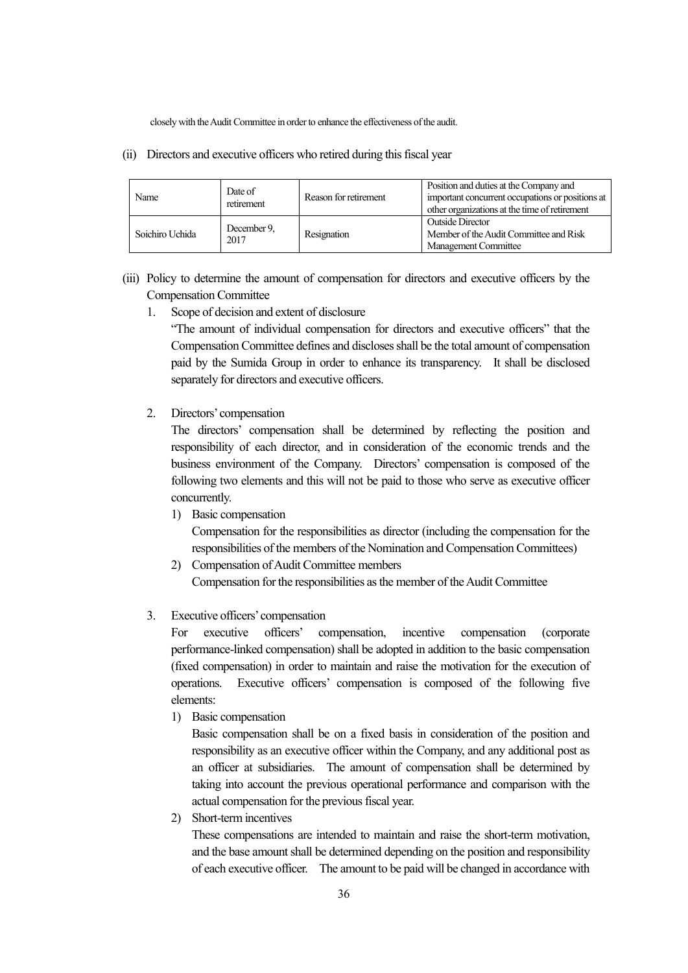closely with the Audit Committee in order to enhance the effectiveness of the audit.

(ii) Directors and executive officers who retired during this fiscal year

| Name            | Date of<br>retirement | Reason for retirement | Position and duties at the Company and<br>important concurrent occupations or positions at<br>other organizations at the time of retirement |
|-----------------|-----------------------|-----------------------|---------------------------------------------------------------------------------------------------------------------------------------------|
| Soichiro Uchida | December 9.<br>2017   | Resignation           | <b>Outside Director</b><br>Member of the Audit Committee and Risk<br><b>Management Committee</b>                                            |

- (iii) Policy to determine the amount of compensation for directors and executive officers by the Compensation Committee
	- 1. Scope of decision and extent of disclosure

"The amount of individual compensation for directors and executive officers" that the Compensation Committee defines and discloses shall be the total amount of compensation paid by the Sumida Group in order to enhance its transparency. It shall be disclosed separately for directors and executive officers.

2. Directors' compensation

The directors' compensation shall be determined by reflecting the position and responsibility of each director, and in consideration of the economic trends and the business environment of the Company. Directors' compensation is composed of the following two elements and this will not be paid to those who serve as executive officer concurrently.

1) Basic compensation

Compensation for the responsibilities as director (including the compensation for the responsibilities of the members of the Nomination and Compensation Committees)

- 2) Compensation of Audit Committee members Compensation for the responsibilities as the member of the Audit Committee
- 3. Executive officers' compensation

For executive officers' compensation, incentive compensation (corporate performance-linked compensation) shall be adopted in addition to the basic compensation (fixed compensation) in order to maintain and raise the motivation for the execution of operations. Executive officers' compensation is composed of the following five elements:

1) Basic compensation

Basic compensation shall be on a fixed basis in consideration of the position and responsibility as an executive officer within the Company, and any additional post as an officer at subsidiaries. The amount of compensation shall be determined by taking into account the previous operational performance and comparison with the actual compensation for the previous fiscal year.

2) Short-term incentives

These compensations are intended to maintain and raise the short-term motivation, and the base amount shall be determined depending on the position and responsibility of each executive officer. The amount to be paid will be changed in accordance with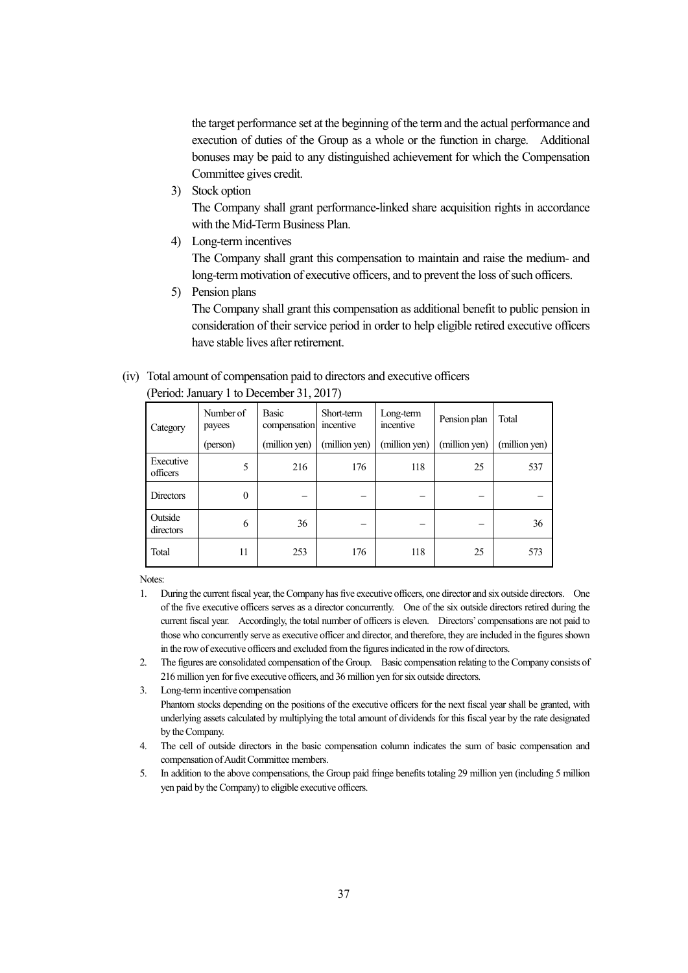the target performance set at the beginning of the term and the actual performance and execution of duties of the Group as a whole or the function in charge. Additional bonuses may be paid to any distinguished achievement for which the Compensation Committee gives credit.

3) Stock option

The Company shall grant performance-linked share acquisition rights in accordance with the Mid-Term Business Plan.

4) Long-term incentives

The Company shall grant this compensation to maintain and raise the medium- and long-term motivation of executive officers, and to prevent the loss of such officers.

5) Pension plans

The Company shall grant this compensation as additional benefit to public pension in consideration of their service period in order to help eligible retired executive officers have stable lives after retirement.

#### (iv) Total amount of compensation paid to directors and executive officers

| Category              | Number of<br>payees | <b>Basic</b><br>compensation | Short-term<br>incentive | Long-term<br>incentive | Pension plan  | Total         |
|-----------------------|---------------------|------------------------------|-------------------------|------------------------|---------------|---------------|
|                       | (person)            | (million yen)                | (million yen)           | (million yen)          | (million yen) | (million yen) |
| Executive<br>officers | 5                   | 216                          | 176                     | 118                    | 25            | 537           |
| <b>Directors</b>      | $\mathbf{0}$        |                              |                         |                        |               |               |
| Outside<br>directors  | 6                   | 36                           |                         |                        |               | 36            |
| Total                 | 11                  | 253                          | 176                     | 118                    | 25            | 573           |

(Period: January 1 to December 31, 2017)

Notes:

- 1. During the current fiscal year, the Company has five executive officers, one director and six outside directors. One of the five executive officers serves as a director concurrently. One of the six outside directors retired during the current fiscal year. Accordingly, the total number of officers is eleven. Directors' compensations are not paid to those who concurrently serve as executive officer and director, and therefore, they are included in the figures shown in the row of executive officers and excluded from the figures indicated in the row of directors.
- 2. The figures are consolidated compensation of the Group. Basic compensation relating to the Company consists of 216 million yen for five executive officers, and 36 million yen for six outside directors.
- 3. Long-term incentive compensation Phantom stocks depending on the positions of the executive officers for the next fiscal year shall be granted, with underlying assets calculated by multiplying the total amount of dividends for this fiscal year by the rate designated by the Company.
- 4. The cell of outside directors in the basic compensation column indicates the sum of basic compensation and compensation of Audit Committee members.
- 5. In addition to the above compensations, the Group paid fringe benefits totaling 29 million yen (including 5 million yen paid by the Company) to eligible executive officers.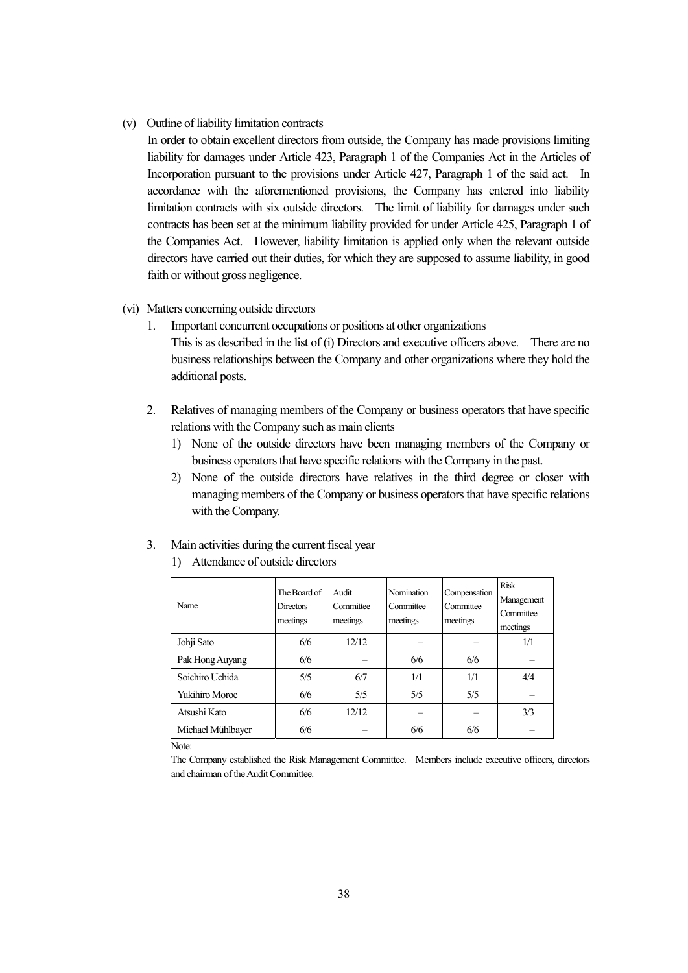(v) Outline of liability limitation contracts

In order to obtain excellent directors from outside, the Company has made provisions limiting liability for damages under Article 423, Paragraph 1 of the Companies Act in the Articles of Incorporation pursuant to the provisions under Article 427, Paragraph 1 of the said act. In accordance with the aforementioned provisions, the Company has entered into liability limitation contracts with six outside directors. The limit of liability for damages under such contracts has been set at the minimum liability provided for under Article 425, Paragraph 1 of the Companies Act. However, liability limitation is applied only when the relevant outside directors have carried out their duties, for which they are supposed to assume liability, in good faith or without gross negligence.

#### (vi) Matters concerning outside directors

- 1. Important concurrent occupations or positions at other organizations This is as described in the list of (i) Directors and executive officers above. There are no business relationships between the Company and other organizations where they hold the additional posts.
- 2. Relatives of managing members of the Company or business operators that have specific relations with the Company such as main clients
	- 1) None of the outside directors have been managing members of the Company or business operators that have specific relations with the Company in the past.
	- 2) None of the outside directors have relatives in the third degree or closer with managing members of the Company or business operators that have specific relations with the Company.
- 3. Main activities during the current fiscal year

| Name                  | The Board of<br><b>Directors</b><br>meetings | Audit<br>Committee<br>meetings | Nomination<br>Committee<br>meetings | Compensation<br>Committee<br>meetings | <b>Risk</b><br>Management<br>Committee<br>meetings |
|-----------------------|----------------------------------------------|--------------------------------|-------------------------------------|---------------------------------------|----------------------------------------------------|
| Johji Sato            | 6/6                                          | 12/12                          |                                     |                                       | 1/1                                                |
| Pak Hong Auyang       | 6/6                                          |                                | 6/6                                 | 6/6                                   |                                                    |
| Soichiro Uchida       | 5/5                                          | 6/7                            | 1/1                                 | 1/1                                   | 4/4                                                |
| <b>Yukihiro Moroe</b> | 6/6                                          | 5/5                            | 5/5                                 | 5/5                                   |                                                    |
| Atsushi Kato          | 6/6                                          | 12/12                          |                                     |                                       | 3/3                                                |
| Michael Mühlbayer     | 6/6                                          |                                | 6/6                                 | 6/6                                   |                                                    |

1) Attendance of outside directors

Note:

The Company established the Risk Management Committee. Members include executive officers, directors and chairman of the Audit Committee.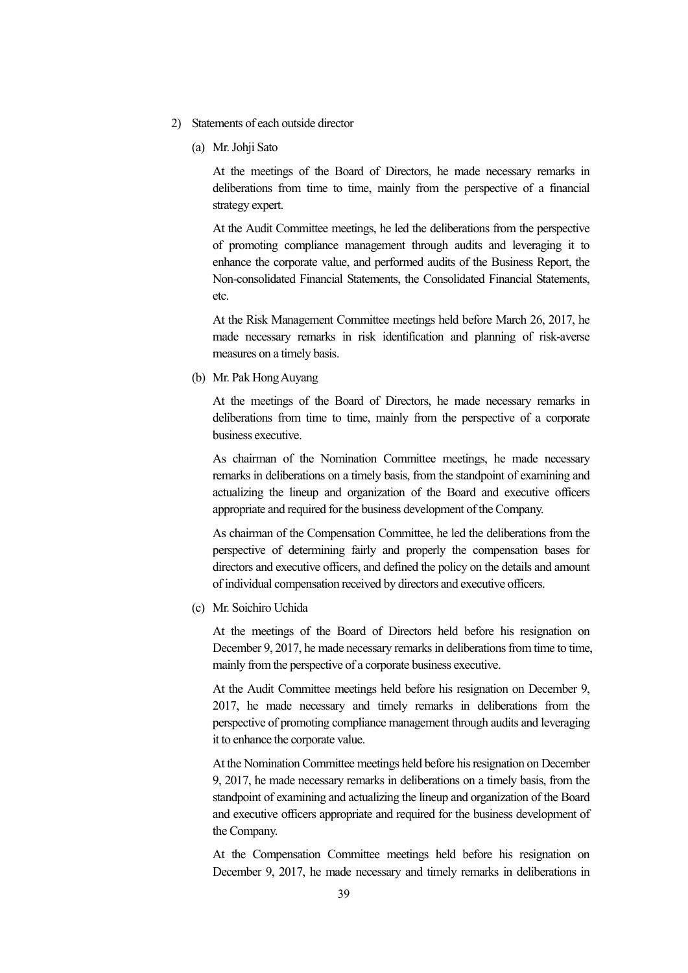- 2) Statements of each outside director
	- (a) Mr. Johji Sato

At the meetings of the Board of Directors, he made necessary remarks in deliberations from time to time, mainly from the perspective of a financial strategy expert.

At the Audit Committee meetings, he led the deliberations from the perspective of promoting compliance management through audits and leveraging it to enhance the corporate value, and performed audits of the Business Report, the Non-consolidated Financial Statements, the Consolidated Financial Statements, etc.

At the Risk Management Committee meetings held before March 26, 2017, he made necessary remarks in risk identification and planning of risk-averse measures on a timely basis.

(b) Mr. Pak Hong Auyang

At the meetings of the Board of Directors, he made necessary remarks in deliberations from time to time, mainly from the perspective of a corporate business executive.

As chairman of the Nomination Committee meetings, he made necessary remarks in deliberations on a timely basis, from the standpoint of examining and actualizing the lineup and organization of the Board and executive officers appropriate and required for the business development of the Company.

As chairman of the Compensation Committee, he led the deliberations from the perspective of determining fairly and properly the compensation bases for directors and executive officers, and defined the policy on the details and amount of individual compensation received by directors and executive officers.

(c) Mr. Soichiro Uchida

At the meetings of the Board of Directors held before his resignation on December 9, 2017, he made necessary remarks in deliberations from time to time, mainly from the perspective of a corporate business executive.

At the Audit Committee meetings held before his resignation on December 9, 2017, he made necessary and timely remarks in deliberations from the perspective of promoting compliance management through audits and leveraging it to enhance the corporate value.

At the Nomination Committee meetings held before his resignation on December 9, 2017, he made necessary remarks in deliberations on a timely basis, from the standpoint of examining and actualizing the lineup and organization of the Board and executive officers appropriate and required for the business development of the Company.

At the Compensation Committee meetings held before his resignation on December 9, 2017, he made necessary and timely remarks in deliberations in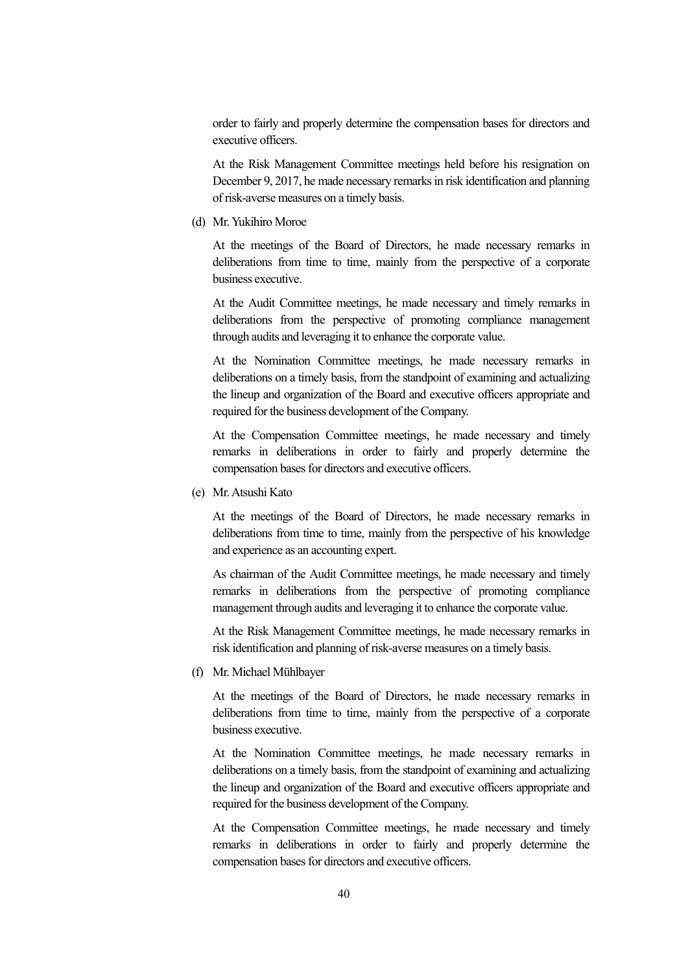order to fairly and properly determine the compensation bases for directors and executive officers.

At the Risk Management Committee meetings held before his resignation on December 9, 2017, he made necessary remarks in risk identification and planning of risk-averse measures on a timely basis.

(d) Mr. Yukihiro Moroe

At the meetings of the Board of Directors, he made necessary remarks in deliberations from time to time, mainly from the perspective of a corporate business executive.

At the Audit Committee meetings, he made necessary and timely remarks in deliberations from the perspective of promoting compliance management through audits and leveraging it to enhance the corporate value.

At the Nomination Committee meetings, he made necessary remarks in deliberations on a timely basis, from the standpoint of examining and actualizing the lineup and organization of the Board and executive officers appropriate and required for the business development of the Company.

At the Compensation Committee meetings, he made necessary and timely remarks in deliberations in order to fairly and properly determine the compensation bases for directors and executive officers.

(e) Mr. Atsushi Kato

At the meetings of the Board of Directors, he made necessary remarks in deliberations from time to time, mainly from the perspective of his knowledge and experience as an accounting expert.

As chairman of the Audit Committee meetings, he made necessary and timely remarks in deliberations from the perspective of promoting compliance management through audits and leveraging it to enhance the corporate value.

At the Risk Management Committee meetings, he made necessary remarks in risk identification and planning of risk-averse measures on a timely basis.

(f) Mr. Michael Mühlbayer

At the meetings of the Board of Directors, he made necessary remarks in deliberations from time to time, mainly from the perspective of a corporate business executive.

At the Nomination Committee meetings, he made necessary remarks in deliberations on a timely basis, from the standpoint of examining and actualizing the lineup and organization of the Board and executive officers appropriate and required for the business development of the Company.

At the Compensation Committee meetings, he made necessary and timely remarks in deliberations in order to fairly and properly determine the compensation bases for directors and executive officers.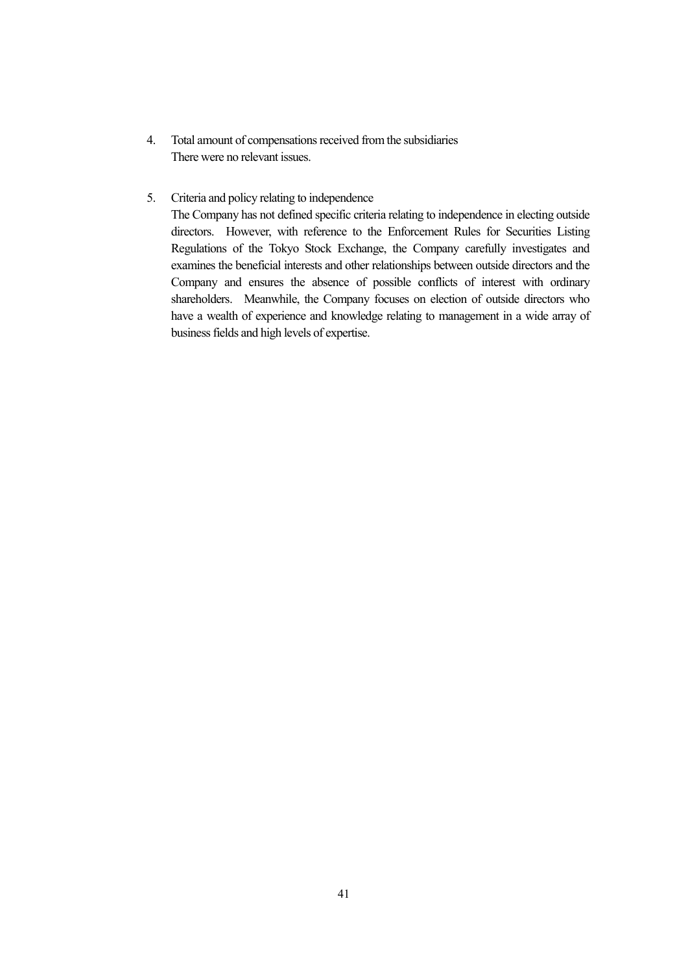- 4. Total amount of compensations received from the subsidiaries There were no relevant issues.
- 5. Criteria and policy relating to independence

The Company has not defined specific criteria relating to independence in electing outside directors. However, with reference to the Enforcement Rules for Securities Listing Regulations of the Tokyo Stock Exchange, the Company carefully investigates and examines the beneficial interests and other relationships between outside directors and the Company and ensures the absence of possible conflicts of interest with ordinary shareholders. Meanwhile, the Company focuses on election of outside directors who have a wealth of experience and knowledge relating to management in a wide array of business fields and high levels of expertise.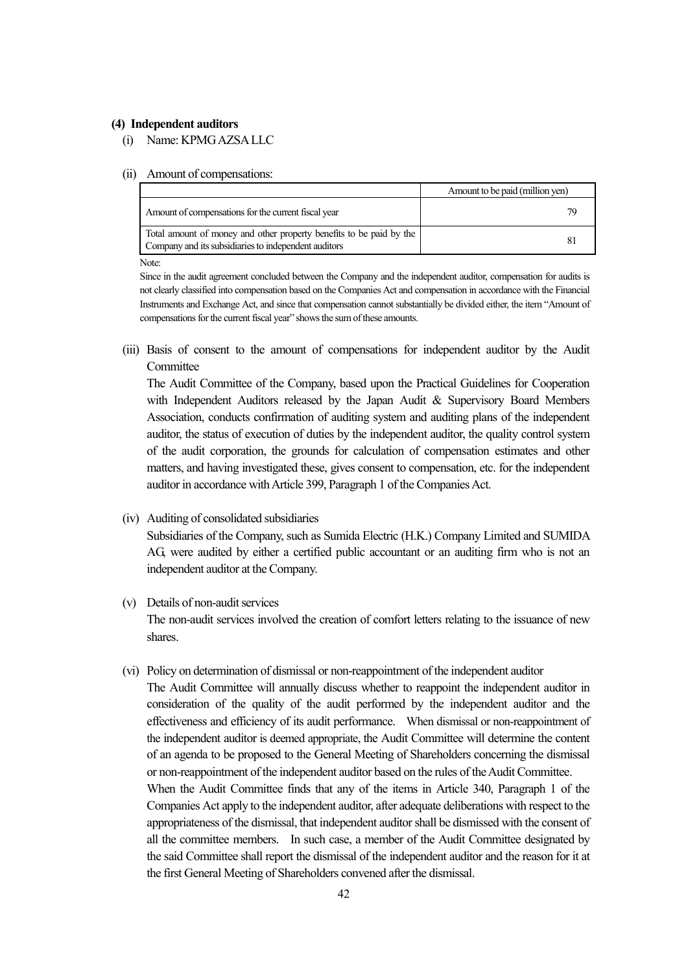#### **(4) Independent auditors**

(i) Name: KPMG AZSA LLC

#### (ii) Amount of compensations:

|                                                                                                                             | Amount to be paid (million yen) |
|-----------------------------------------------------------------------------------------------------------------------------|---------------------------------|
| Amount of compensations for the current fiscal year                                                                         |                                 |
| Total amount of money and other property benefits to be paid by the<br>Company and its subsidiaries to independent auditors |                                 |
|                                                                                                                             |                                 |

Note:

Since in the audit agreement concluded between the Company and the independent auditor, compensation for audits is not clearly classified into compensation based on the Companies Act and compensation in accordance with the Financial Instruments and Exchange Act, and since that compensation cannot substantially be divided either, the item "Amount of compensations for the current fiscal year" shows the sum of these amounts.

(iii) Basis of consent to the amount of compensations for independent auditor by the Audit **Committee** 

The Audit Committee of the Company, based upon the Practical Guidelines for Cooperation with Independent Auditors released by the Japan Audit & Supervisory Board Members Association, conducts confirmation of auditing system and auditing plans of the independent auditor, the status of execution of duties by the independent auditor, the quality control system of the audit corporation, the grounds for calculation of compensation estimates and other matters, and having investigated these, gives consent to compensation, etc. for the independent auditor in accordance with Article 399, Paragraph 1 of the Companies Act.

(iv) Auditing of consolidated subsidiaries

Subsidiaries of the Company, such as Sumida Electric (H.K.) Company Limited and SUMIDA AG, were audited by either a certified public accountant or an auditing firm who is not an independent auditor at the Company.

#### (v) Details of non-audit services

The non-audit services involved the creation of comfort letters relating to the issuance of new shares.

(vi) Policy on determination of dismissal or non-reappointment of the independent auditor The Audit Committee will annually discuss whether to reappoint the independent auditor in consideration of the quality of the audit performed by the independent auditor and the effectiveness and efficiency of its audit performance. When dismissal or non-reappointment of the independent auditor is deemed appropriate, the Audit Committee will determine the content of an agenda to be proposed to the General Meeting of Shareholders concerning the dismissal or non-reappointment of the independent auditor based on the rules of the Audit Committee. When the Audit Committee finds that any of the items in Article 340, Paragraph 1 of the Companies Act apply to the independent auditor, after adequate deliberations with respect to the appropriateness of the dismissal, that independent auditor shall be dismissed with the consent of all the committee members. In such case, a member of the Audit Committee designated by the said Committee shall report the dismissal of the independent auditor and the reason for it at the first General Meeting of Shareholders convened after the dismissal.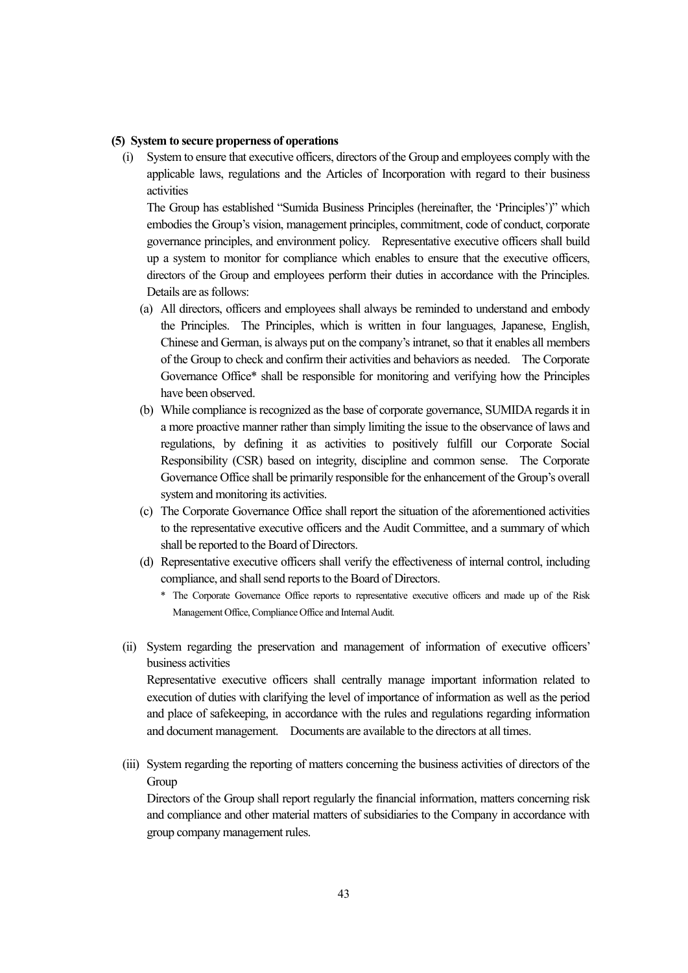#### **(5) System to secure properness of operations**

(i) System to ensure that executive officers, directors of the Group and employees comply with the applicable laws, regulations and the Articles of Incorporation with regard to their business activities

The Group has established "Sumida Business Principles (hereinafter, the 'Principles')" which embodies the Group's vision, management principles, commitment, code of conduct, corporate governance principles, and environment policy. Representative executive officers shall build up a system to monitor for compliance which enables to ensure that the executive officers, directors of the Group and employees perform their duties in accordance with the Principles. Details are as follows:

- (a) All directors, officers and employees shall always be reminded to understand and embody the Principles. The Principles, which is written in four languages, Japanese, English, Chinese and German, is always put on the company's intranet, so that it enables all members of the Group to check and confirm their activities and behaviors as needed. The Corporate Governance Office\* shall be responsible for monitoring and verifying how the Principles have been observed.
- (b) While compliance is recognized as the base of corporate governance, SUMIDA regards it in a more proactive manner rather than simply limiting the issue to the observance of laws and regulations, by defining it as activities to positively fulfill our Corporate Social Responsibility (CSR) based on integrity, discipline and common sense. The Corporate Governance Office shall be primarily responsible for the enhancement of the Group's overall system and monitoring its activities.
- (c) The Corporate Governance Office shall report the situation of the aforementioned activities to the representative executive officers and the Audit Committee, and a summary of which shall be reported to the Board of Directors.
- (d) Representative executive officers shall verify the effectiveness of internal control, including compliance, and shall send reports to the Board of Directors.
	- \* The Corporate Governance Office reports to representative executive officers and made up of the Risk Management Office, Compliance Office and Internal Audit.
- (ii) System regarding the preservation and management of information of executive officers' business activities

Representative executive officers shall centrally manage important information related to execution of duties with clarifying the level of importance of information as well as the period and place of safekeeping, in accordance with the rules and regulations regarding information and document management. Documents are available to the directors at all times.

(iii) System regarding the reporting of matters concerning the business activities of directors of the **Group** 

Directors of the Group shall report regularly the financial information, matters concerning risk and compliance and other material matters of subsidiaries to the Company in accordance with group company management rules.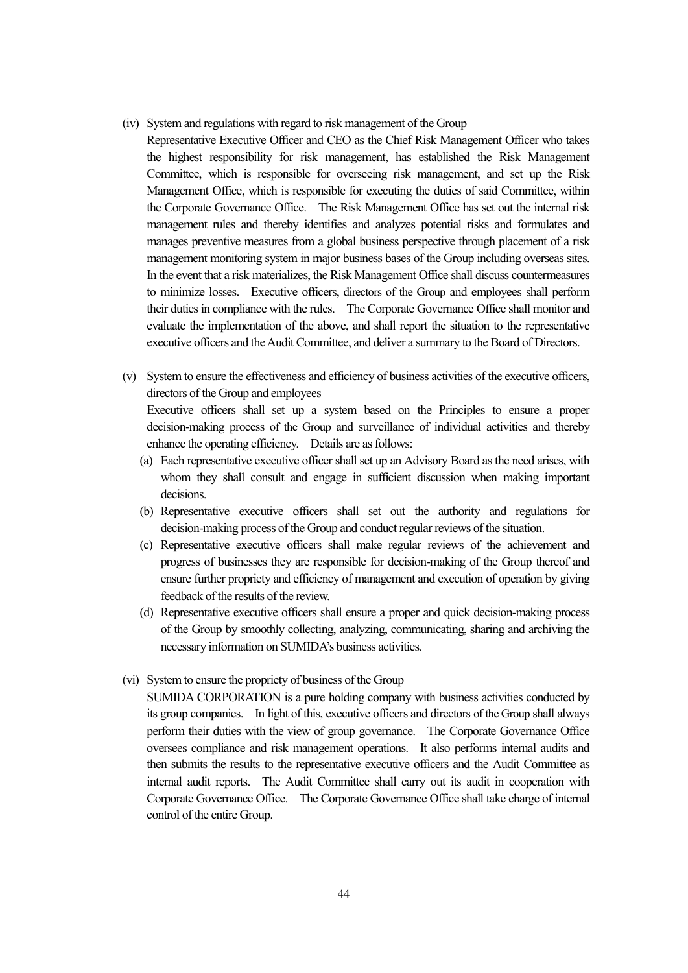(iv) System and regulations with regard to risk management of the Group

Representative Executive Officer and CEO as the Chief Risk Management Officer who takes the highest responsibility for risk management, has established the Risk Management Committee, which is responsible for overseeing risk management, and set up the Risk Management Office, which is responsible for executing the duties of said Committee, within the Corporate Governance Office. The Risk Management Office has set out the internal risk management rules and thereby identifies and analyzes potential risks and formulates and manages preventive measures from a global business perspective through placement of a risk management monitoring system in major business bases of the Group including overseas sites. In the event that a risk materializes, the Risk Management Office shall discuss countermeasures to minimize losses. Executive officers, directors of the Group and employees shall perform their duties in compliance with the rules. The Corporate Governance Office shall monitor and evaluate the implementation of the above, and shall report the situation to the representative executive officers and the Audit Committee, and deliver a summary to the Board of Directors.

- (v) System to ensure the effectiveness and efficiency of business activities of the executive officers, directors of the Group and employees Executive officers shall set up a system based on the Principles to ensure a proper decision-making process of the Group and surveillance of individual activities and thereby enhance the operating efficiency. Details are as follows:
	- (a) Each representative executive officer shall set up an Advisory Board as the need arises, with whom they shall consult and engage in sufficient discussion when making important decisions.
	- (b) Representative executive officers shall set out the authority and regulations for decision-making process of the Group and conduct regular reviews of the situation.
	- (c) Representative executive officers shall make regular reviews of the achievement and progress of businesses they are responsible for decision-making of the Group thereof and ensure further propriety and efficiency of management and execution of operation by giving feedback of the results of the review.
	- (d) Representative executive officers shall ensure a proper and quick decision-making process of the Group by smoothly collecting, analyzing, communicating, sharing and archiving the necessary information on SUMIDA's business activities.
- (vi) System to ensure the propriety of business of the Group

SUMIDA CORPORATION is a pure holding company with business activities conducted by its group companies. In light of this, executive officers and directors of the Group shall always perform their duties with the view of group governance. The Corporate Governance Office oversees compliance and risk management operations. It also performs internal audits and then submits the results to the representative executive officers and the Audit Committee as internal audit reports. The Audit Committee shall carry out its audit in cooperation with Corporate Governance Office. The Corporate Governance Office shall take charge of internal control of the entire Group.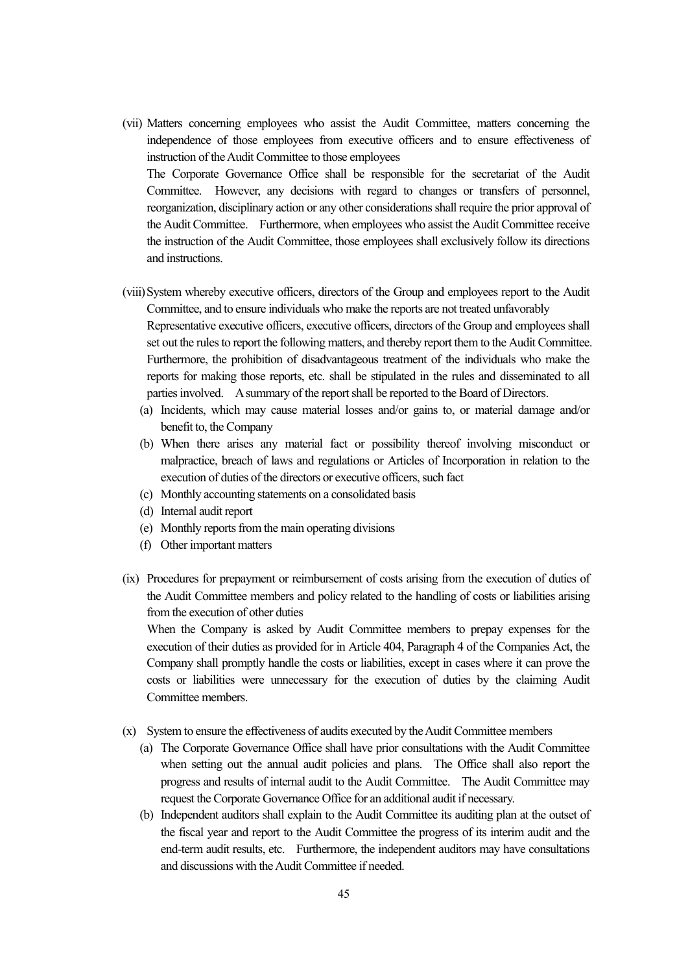(vii) Matters concerning employees who assist the Audit Committee, matters concerning the independence of those employees from executive officers and to ensure effectiveness of instruction of the Audit Committee to those employees

The Corporate Governance Office shall be responsible for the secretariat of the Audit Committee. However, any decisions with regard to changes or transfers of personnel, reorganization, disciplinary action or any other considerations shall require the prior approval of the Audit Committee. Furthermore, when employees who assist the Audit Committee receive the instruction of the Audit Committee, those employees shall exclusively follow its directions and instructions.

- (viii) System whereby executive officers, directors of the Group and employees report to the Audit Committee, and to ensure individuals who make the reports are not treated unfavorably Representative executive officers, executive officers, directors of the Group and employees shall set out the rules to report the following matters, and thereby report them to the Audit Committee. Furthermore, the prohibition of disadvantageous treatment of the individuals who make the reports for making those reports, etc. shall be stipulated in the rules and disseminated to all parties involved. A summary of the report shall be reported to the Board of Directors.
	- (a) Incidents, which may cause material losses and/or gains to, or material damage and/or benefit to, the Company
	- (b) When there arises any material fact or possibility thereof involving misconduct or malpractice, breach of laws and regulations or Articles of Incorporation in relation to the execution of duties of the directors or executive officers, such fact
	- (c) Monthly accounting statements on a consolidated basis
	- (d) Internal audit report
	- (e) Monthly reports from the main operating divisions
	- (f) Other important matters
- (ix) Procedures for prepayment or reimbursement of costs arising from the execution of duties of the Audit Committee members and policy related to the handling of costs or liabilities arising from the execution of other duties

When the Company is asked by Audit Committee members to prepay expenses for the execution of their duties as provided for in Article 404, Paragraph 4 of the Companies Act, the Company shall promptly handle the costs or liabilities, except in cases where it can prove the costs or liabilities were unnecessary for the execution of duties by the claiming Audit Committee members.

- (x) System to ensure the effectiveness of audits executed by the Audit Committee members
	- (a) The Corporate Governance Office shall have prior consultations with the Audit Committee when setting out the annual audit policies and plans. The Office shall also report the progress and results of internal audit to the Audit Committee. The Audit Committee may request the Corporate Governance Office for an additional audit if necessary.
	- (b) Independent auditors shall explain to the Audit Committee its auditing plan at the outset of the fiscal year and report to the Audit Committee the progress of its interim audit and the end-term audit results, etc. Furthermore, the independent auditors may have consultations and discussions with the Audit Committee if needed.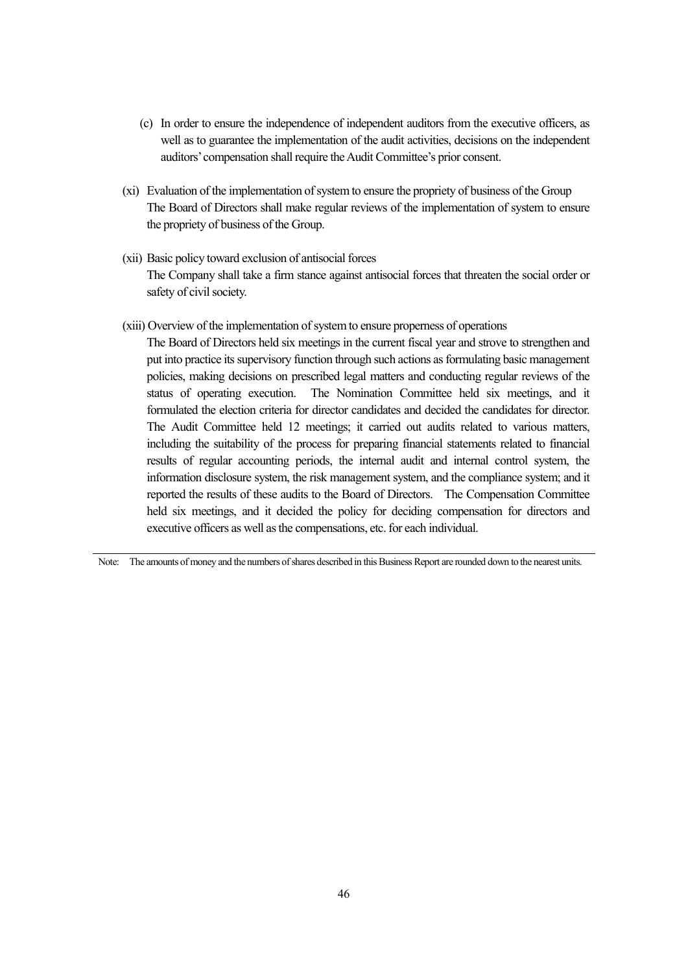- (c) In order to ensure the independence of independent auditors from the executive officers, as well as to guarantee the implementation of the audit activities, decisions on the independent auditors' compensation shall require the Audit Committee's prior consent.
- (xi) Evaluation of the implementation of system to ensure the propriety of business of the Group The Board of Directors shall make regular reviews of the implementation of system to ensure the propriety of business of the Group.
- (xii) Basic policy toward exclusion of antisocial forces The Company shall take a firm stance against antisocial forces that threaten the social order or safety of civil society.
- (xiii) Overview of the implementation of system to ensure properness of operations

The Board of Directors held six meetings in the current fiscal year and strove to strengthen and put into practice its supervisory function through such actions as formulating basic management policies, making decisions on prescribed legal matters and conducting regular reviews of the status of operating execution. The Nomination Committee held six meetings, and it formulated the election criteria for director candidates and decided the candidates for director. The Audit Committee held 12 meetings; it carried out audits related to various matters, including the suitability of the process for preparing financial statements related to financial results of regular accounting periods, the internal audit and internal control system, the information disclosure system, the risk management system, and the compliance system; and it reported the results of these audits to the Board of Directors. The Compensation Committee held six meetings, and it decided the policy for deciding compensation for directors and executive officers as well as the compensations, etc. for each individual.

Note: The amounts of money and the numbers of shares described in this Business Report are rounded down to the nearest units.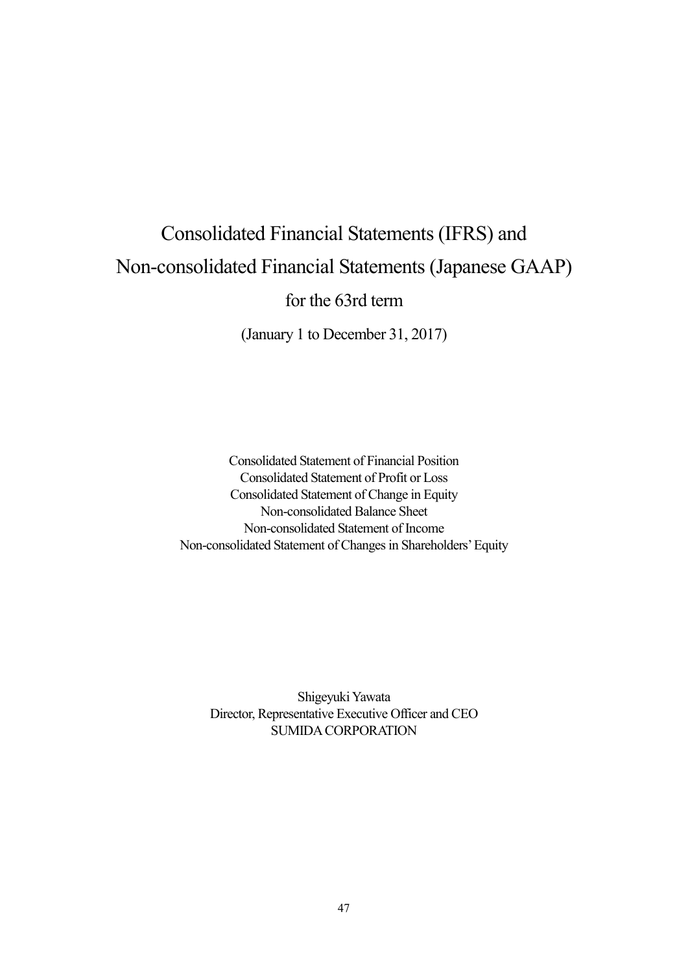# Consolidated Financial Statements (IFRS) and Non-consolidated Financial Statements (Japanese GAAP)

for the 63rd term

(January 1 to December 31, 2017)

Consolidated Statement of Financial Position Consolidated Statement of Profit or Loss Consolidated Statement of Change in Equity Non-consolidated Balance Sheet Non-consolidated Statement of Income Non-consolidated Statement of Changes in Shareholders' Equity

Shigeyuki Yawata Director, Representative Executive Officer and CEO SUMIDA CORPORATION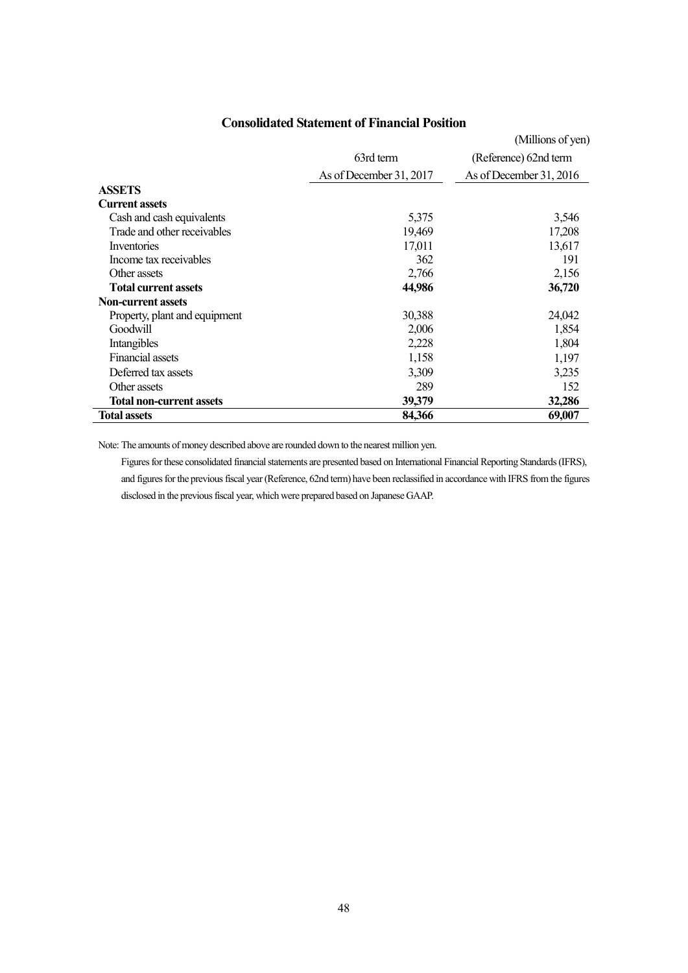## **Consolidated Statement of Financial Position**

|                                 |                         | (Millions of yen)       |
|---------------------------------|-------------------------|-------------------------|
|                                 | 63rd term               | (Reference) 62nd term   |
|                                 | As of December 31, 2017 | As of December 31, 2016 |
| <b>ASSETS</b>                   |                         |                         |
| <b>Current assets</b>           |                         |                         |
| Cash and cash equivalents       | 5,375                   | 3,546                   |
| Trade and other receivables     | 19,469                  | 17,208                  |
| Inventories                     | 17,011                  | 13,617                  |
| Income tax receivables          | 362                     | 191                     |
| Other assets                    | 2,766                   | 2,156                   |
| <b>Total current assets</b>     | 44,986                  | 36,720                  |
| <b>Non-current assets</b>       |                         |                         |
| Property, plant and equipment   | 30,388                  | 24,042                  |
| Goodwill                        | 2,006                   | 1,854                   |
| Intangibles                     | 2,228                   | 1,804                   |
| <b>Financial assets</b>         | 1,158                   | 1,197                   |
| Deferred tax assets             | 3,309                   | 3,235                   |
| Other assets                    | 289                     | 152                     |
| <b>Total non-current assets</b> | 39,379                  | 32,286                  |
| <b>Total assets</b>             | 84,366                  | 69,007                  |

Note: The amounts of money described above are rounded down to the nearest million yen.

Figures for these consolidated financial statements are presented based on International Financial Reporting Standards (IFRS), and figures for the previous fiscal year (Reference, 62nd term) have been reclassified in accordance with IFRS from the figures disclosed in the previous fiscal year, which were prepared based on Japanese GAAP.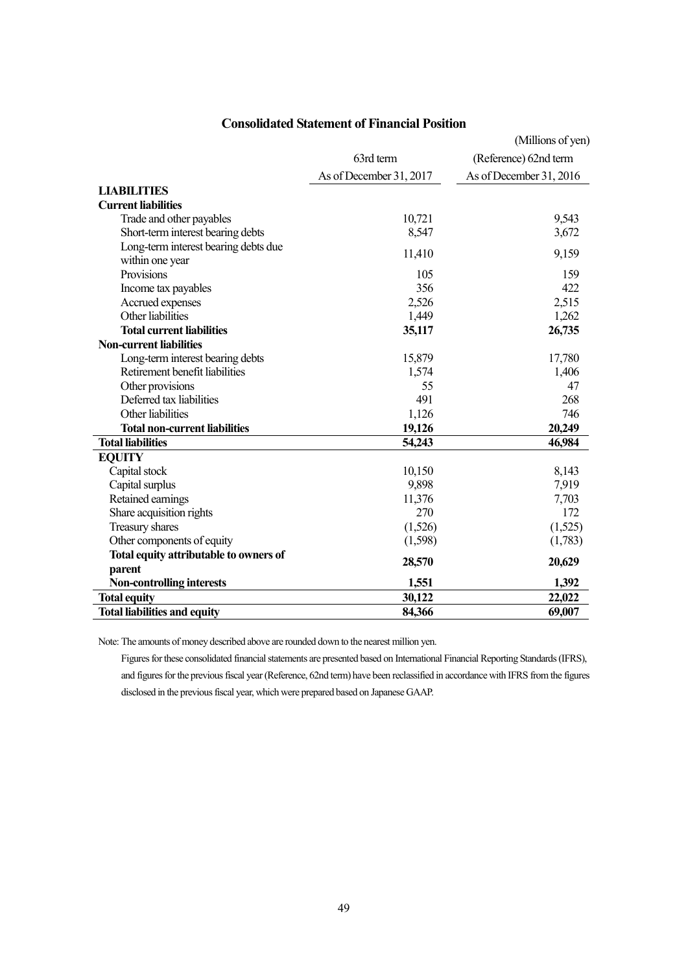|                                        |                         | (Millions of yen)       |
|----------------------------------------|-------------------------|-------------------------|
|                                        | 63rd term               | (Reference) 62nd term   |
|                                        | As of December 31, 2017 | As of December 31, 2016 |
| <b>LIABILITIES</b>                     |                         |                         |
| <b>Current liabilities</b>             |                         |                         |
| Trade and other payables               | 10,721                  | 9,543                   |
| Short-term interest bearing debts      | 8,547                   | 3,672                   |
| Long-term interest bearing debts due   |                         |                         |
| within one year                        | 11,410                  | 9,159                   |
| Provisions                             | 105                     | 159                     |
| Income tax payables                    | 356                     | 422                     |
| Accrued expenses                       | 2,526                   | 2,515                   |
| Other liabilities                      | 1,449                   | 1,262                   |
| <b>Total current liabilities</b>       | 35,117                  | 26,735                  |
| <b>Non-current liabilities</b>         |                         |                         |
| Long-term interest bearing debts       | 15,879                  | 17,780                  |
| Retirement benefit liabilities         | 1,574                   | 1,406                   |
| Other provisions                       | 55                      | 47                      |
| Deferred tax liabilities               | 491                     | 268                     |
| Other liabilities                      | 1,126                   | 746                     |
| <b>Total non-current liabilities</b>   | 19,126                  | 20,249                  |
| <b>Total liabilities</b>               | 54,243                  | 46,984                  |
| <b>EQUITY</b>                          |                         |                         |
| Capital stock                          | 10,150                  | 8,143                   |
| Capital surplus                        | 9,898                   | 7,919                   |
| Retained earnings                      | 11,376                  | 7,703                   |
| Share acquisition rights               | 270                     | 172                     |
| Treasury shares                        | (1,526)                 | (1,525)                 |
| Other components of equity             | (1,598)                 | (1,783)                 |
| Total equity attributable to owners of |                         |                         |
| parent                                 | 28,570                  | 20,629                  |
| <b>Non-controlling interests</b>       | 1,551                   | 1,392                   |
| <b>Total equity</b>                    | 30,122                  | 22,022                  |
| <b>Total liabilities and equity</b>    | 84,366                  | 69,007                  |

## **Consolidated Statement of Financial Position**

Note: The amounts of money described above are rounded down to the nearest million yen.

Figures for these consolidated financial statements are presented based on International Financial Reporting Standards (IFRS), and figures for the previous fiscal year (Reference, 62nd term) have been reclassified in accordance with IFRS from the figures disclosed in the previous fiscal year, which were prepared based on Japanese GAAP.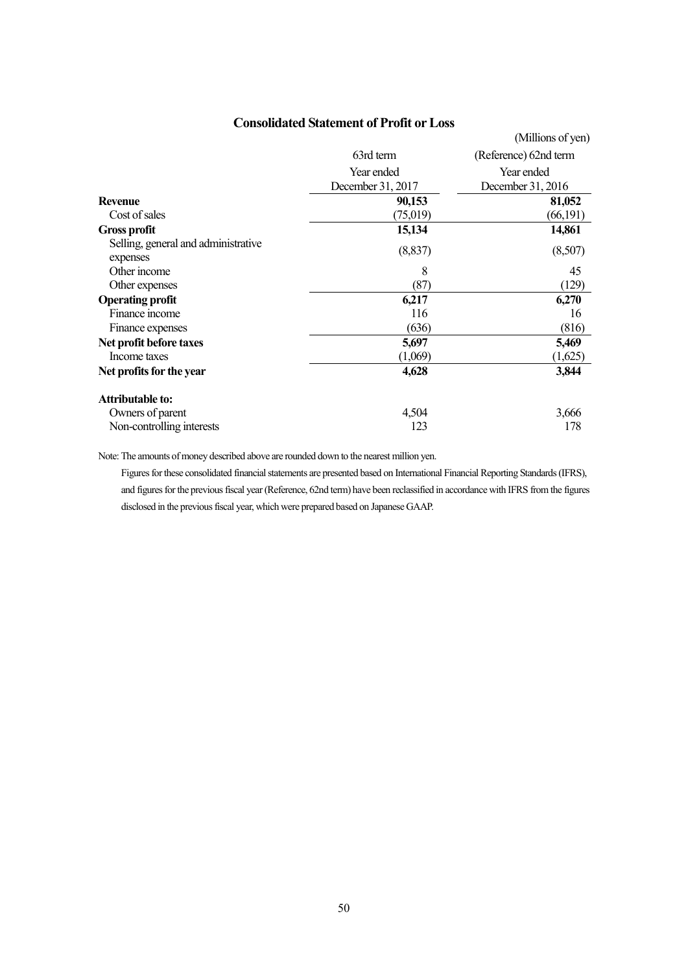## **Consolidated Statement of Profit or Loss**

|                                                 |                   | (Millions of yen)     |
|-------------------------------------------------|-------------------|-----------------------|
|                                                 | 63rd term         | (Reference) 62nd term |
|                                                 | Year ended        | Year ended            |
|                                                 | December 31, 2017 | December 31, 2016     |
| <b>Revenue</b>                                  | 90,153            | 81,052                |
| Cost of sales                                   | (75,019)          | (66, 191)             |
| <b>Gross profit</b>                             | 15,134            | 14,861                |
| Selling, general and administrative<br>expenses | (8, 837)          | (8,507)               |
| Other income                                    | 8                 | 45                    |
| Other expenses                                  | (87)              | (129)                 |
| <b>Operating profit</b>                         | 6,217             | 6,270                 |
| Finance income                                  | 116               | 16                    |
| Finance expenses                                | (636)             | (816)                 |
| Net profit before taxes                         | 5,697             | 5,469                 |
| Income taxes                                    | (1,069)           | (1,625)               |
| Net profits for the year                        | 4,628             | 3,844                 |
| <b>Attributable to:</b>                         |                   |                       |
| Owners of parent                                | 4,504             | 3,666                 |
| Non-controlling interests                       | 123               | 178                   |

Note: The amounts of money described above are rounded down to the nearest million yen.

Figures for these consolidated financial statements are presented based on International Financial Reporting Standards (IFRS), and figures for the previous fiscal year (Reference, 62nd term) have been reclassified in accordance with IFRS from the figures disclosed in the previous fiscal year, which were prepared based on Japanese GAAP.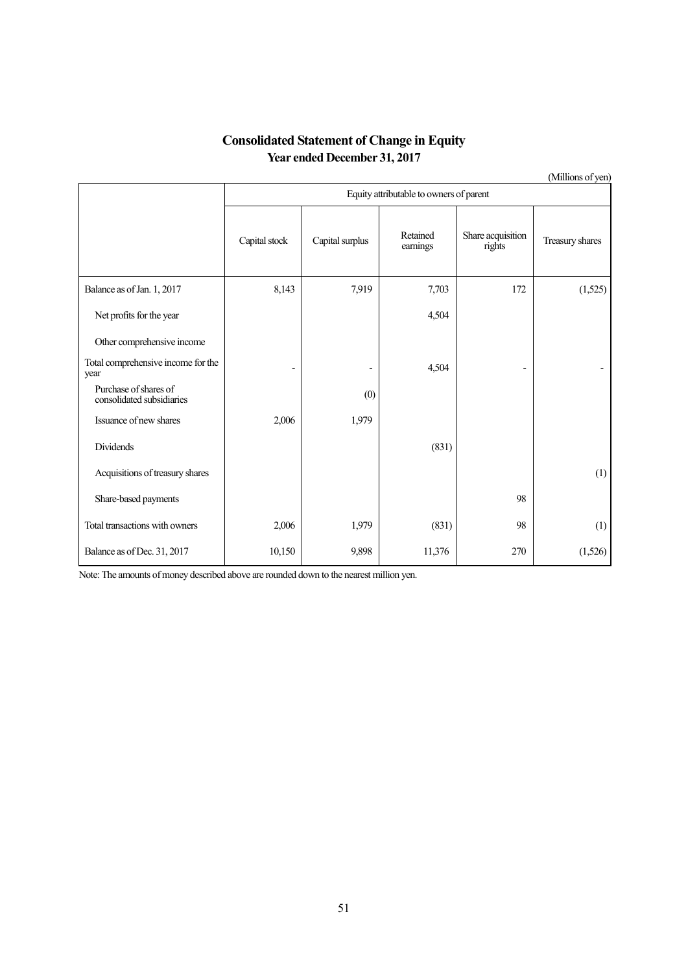## **Consolidated Statement of Change in Equity Year ended December 31, 2017**

(Millions of yen)

|                                                    |                          | Equity attributable to owners of parent |                      |                             |                 |  |  |  |
|----------------------------------------------------|--------------------------|-----------------------------------------|----------------------|-----------------------------|-----------------|--|--|--|
|                                                    | Capital stock            | Capital surplus                         | Retained<br>earnings | Share acquisition<br>rights | Treasury shares |  |  |  |
| Balance as of Jan. 1, 2017                         | 8,143                    | 7,919                                   | 7,703                | 172                         | (1,525)         |  |  |  |
| Net profits for the year                           |                          |                                         | 4,504                |                             |                 |  |  |  |
| Other comprehensive income                         |                          |                                         |                      |                             |                 |  |  |  |
| Total comprehensive income for the<br>year         | $\overline{\phantom{0}}$ |                                         | 4,504                |                             |                 |  |  |  |
| Purchase of shares of<br>consolidated subsidiaries |                          | (0)                                     |                      |                             |                 |  |  |  |
| Issuance of new shares                             | 2,006                    | 1,979                                   |                      |                             |                 |  |  |  |
| Dividends                                          |                          |                                         | (831)                |                             |                 |  |  |  |
| Acquisitions of treasury shares                    |                          |                                         |                      |                             | (1)             |  |  |  |
| Share-based payments                               |                          |                                         |                      | 98                          |                 |  |  |  |
| Total transactions with owners                     | 2,006                    | 1,979                                   | (831)                | 98                          | (1)             |  |  |  |
| Balance as of Dec. 31, 2017                        | 10,150                   | 9,898                                   | 11,376               | 270                         | (1,526)         |  |  |  |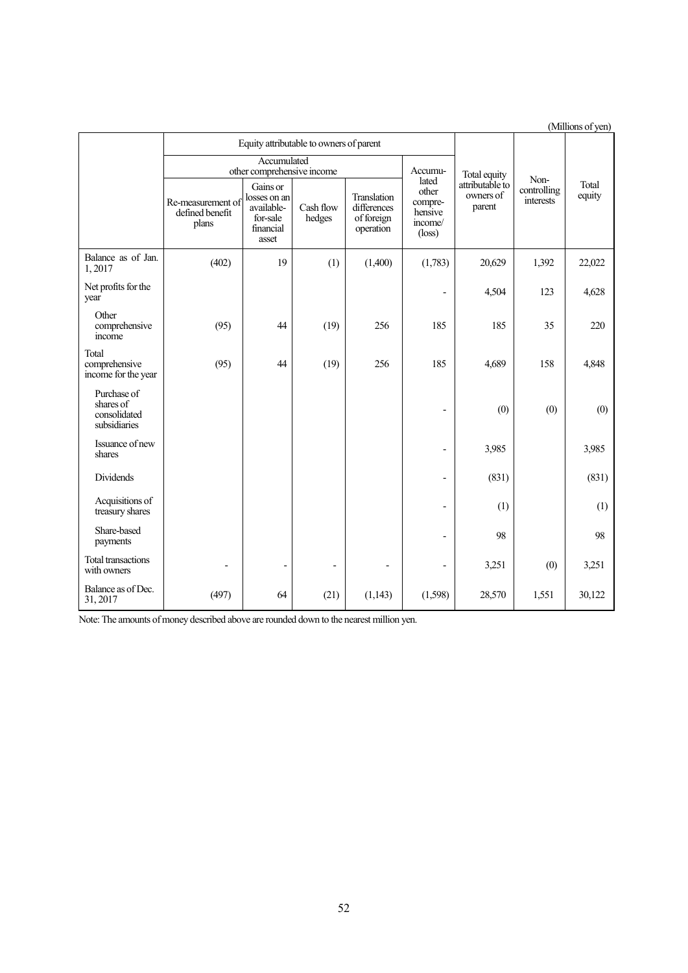|                                                          |                                               |                                                                          |                                         |                                                       |                                                                    |                                        |                                  | (Millions of yen) |
|----------------------------------------------------------|-----------------------------------------------|--------------------------------------------------------------------------|-----------------------------------------|-------------------------------------------------------|--------------------------------------------------------------------|----------------------------------------|----------------------------------|-------------------|
|                                                          |                                               |                                                                          | Equity attributable to owners of parent |                                                       |                                                                    |                                        |                                  |                   |
|                                                          | Accumulated<br>other comprehensive income     |                                                                          |                                         | Accumu-                                               | Total equity                                                       |                                        |                                  |                   |
|                                                          | Re-measurement of<br>defined benefit<br>plans | Gains or<br>losses on an<br>available-<br>for-sale<br>financial<br>asset | Cash flow<br>hedges                     | Translation<br>differences<br>of foreign<br>operation | lated<br>other<br>compre-<br>hensive<br>income/<br>$(\text{loss})$ | attributable to<br>owners of<br>parent | Non-<br>controlling<br>interests | Total<br>equity   |
| Balance as of Jan.<br>1,2017                             | (402)                                         | 19                                                                       | (1)                                     | (1,400)                                               | (1,783)                                                            | 20,629                                 | 1,392                            | 22,022            |
| Net profits for the<br>year                              |                                               |                                                                          |                                         |                                                       | $\overline{\phantom{a}}$                                           | 4,504                                  | 123                              | 4,628             |
| Other<br>comprehensive<br>income                         | (95)                                          | 44                                                                       | (19)                                    | 256                                                   | 185                                                                | 185                                    | 35                               | 220               |
| Total<br>comprehensive<br>income for the year            | (95)                                          | 44                                                                       | (19)                                    | 256                                                   | 185                                                                | 4,689                                  | 158                              | 4,848             |
| Purchase of<br>shares of<br>consolidated<br>subsidiaries |                                               |                                                                          |                                         |                                                       | $\overline{a}$                                                     | (0)                                    | (0)                              | (0)               |
| Issuance of new<br>shares                                |                                               |                                                                          |                                         |                                                       | $\overline{a}$                                                     | 3,985                                  |                                  | 3,985             |
| Dividends                                                |                                               |                                                                          |                                         |                                                       | $\overline{a}$                                                     | (831)                                  |                                  | (831)             |
| Acquisitions of<br>treasury shares                       |                                               |                                                                          |                                         |                                                       | $\overline{a}$                                                     | (1)                                    |                                  | (1)               |
| Share-based<br>payments                                  |                                               |                                                                          |                                         |                                                       | $\overline{a}$                                                     | 98                                     |                                  | 98                |
| <b>Total transactions</b><br>with owners                 |                                               |                                                                          | ٠                                       | ÷,                                                    | $\qquad \qquad \blacksquare$                                       | 3,251                                  | (0)                              | 3,251             |
| Balance as of Dec.<br>31, 2017                           | (497)                                         | 64                                                                       | (21)                                    | (1,143)                                               | (1,598)                                                            | 28,570                                 | 1,551                            | 30,122            |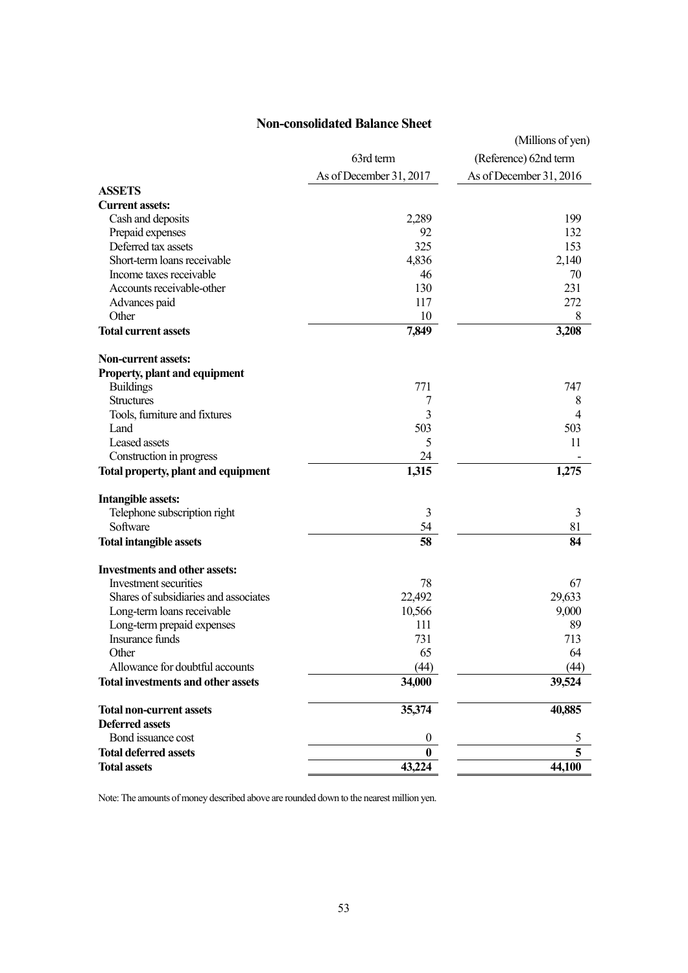## **Non-consolidated Balance Sheet**

|                                           |                         | (Millions of yen)       |
|-------------------------------------------|-------------------------|-------------------------|
|                                           | 63rd term               | (Reference) 62nd term   |
|                                           | As of December 31, 2017 | As of December 31, 2016 |
| <b>ASSETS</b>                             |                         |                         |
| <b>Current assets:</b>                    |                         |                         |
| Cash and deposits                         | 2,289                   | 199                     |
| Prepaid expenses                          | 92                      | 132                     |
| Deferred tax assets                       | 325                     | 153                     |
| Short-term loans receivable               | 4,836                   | 2,140                   |
| Income taxes receivable                   | 46                      | 70                      |
| Accounts receivable-other                 | 130                     | 231                     |
| Advances paid                             | 117                     | 272                     |
| Other                                     | 10                      | 8                       |
| <b>Total current assets</b>               | 7,849                   | 3,208                   |
| <b>Non-current assets:</b>                |                         |                         |
| <b>Property, plant and equipment</b>      |                         |                         |
| <b>Buildings</b>                          | 771                     | 747                     |
| <b>Structures</b>                         | 7                       | 8                       |
| Tools, furniture and fixtures             | 3                       | 4                       |
| Land                                      | 503                     | 503                     |
| Leased assets                             | 5                       | 11                      |
| Construction in progress                  | 24                      |                         |
| Total property, plant and equipment       | 1,315                   | 1,275                   |
| <b>Intangible assets:</b>                 |                         |                         |
| Telephone subscription right              | 3                       | 3                       |
| Software                                  | 54                      | 81                      |
| <b>Total intangible assets</b>            | 58                      | 84                      |
| <b>Investments and other assets:</b>      |                         |                         |
| Investment securities                     | 78                      | 67                      |
| Shares of subsidiaries and associates     | 22,492                  | 29,633                  |
| Long-term loans receivable                | 10,566                  | 9,000                   |
| Long-term prepaid expenses                | 111                     | 89                      |
| Insurance funds                           | 731                     | 713                     |
| Other                                     | 65                      | 64                      |
| Allowance for doubtful accounts           | (44)                    | (44)                    |
| <b>Total investments and other assets</b> | 34,000                  | 39,524                  |
| <b>Total non-current assets</b>           | 35,374                  | 40,885                  |
| <b>Deferred assets</b>                    |                         |                         |
| Bond issuance cost                        | 0                       | C                       |
| <b>Total deferred assets</b>              | $\bf{0}$                | 5                       |
| <b>Total assets</b>                       | 43,224                  | 44,100                  |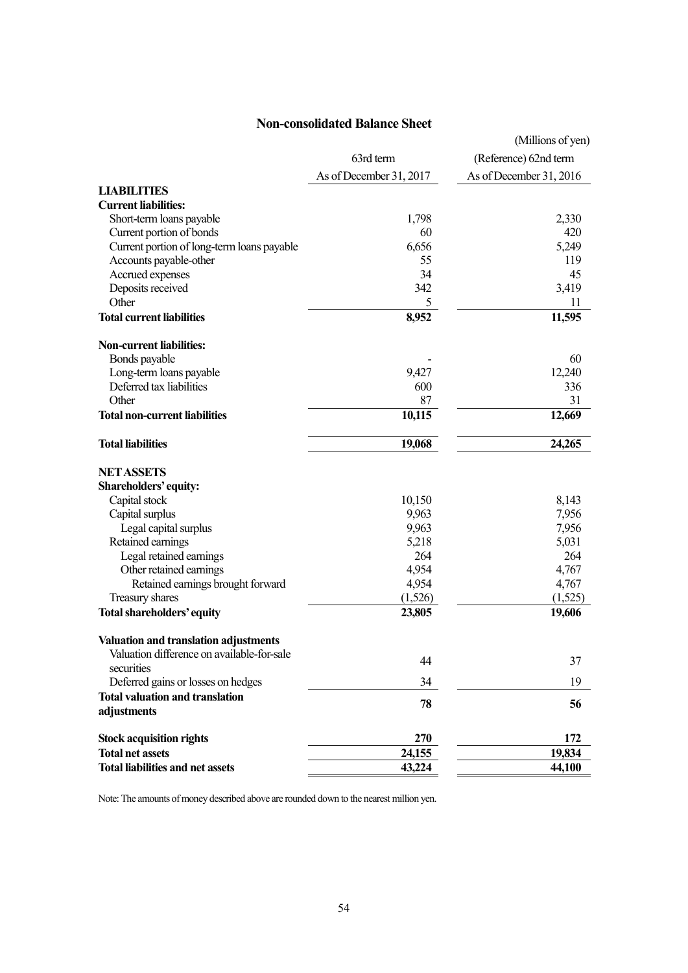## **Non-consolidated Balance Sheet**

|                                            |                         | (Millions of yen)       |
|--------------------------------------------|-------------------------|-------------------------|
|                                            | 63rd term               | (Reference) 62nd term   |
|                                            | As of December 31, 2017 | As of December 31, 2016 |
| <b>LIABILITIES</b>                         |                         |                         |
| <b>Current liabilities:</b>                |                         |                         |
| Short-term loans payable                   | 1,798                   | 2,330                   |
| Current portion of bonds                   | 60                      | 420                     |
| Current portion of long-term loans payable | 6,656                   | 5,249                   |
| Accounts payable-other                     | 55                      | 119                     |
| Accrued expenses                           | 34                      | 45                      |
| Deposits received                          | 342                     | 3,419                   |
| Other                                      | 5                       | 11                      |
| <b>Total current liabilities</b>           | 8,952                   | 11,595                  |
| <b>Non-current liabilities:</b>            |                         |                         |
| Bonds payable                              |                         | 60                      |
| Long-term loans payable                    | 9,427                   | 12,240                  |
| Deferred tax liabilities                   | 600                     | 336                     |
| Other                                      | 87                      | 31                      |
| <b>Total non-current liabilities</b>       | 10,115                  | 12,669                  |
| <b>Total liabilities</b>                   | 19,068                  | 24,265                  |
| <b>NET ASSETS</b>                          |                         |                         |
| Shareholders' equity:                      |                         |                         |
| Capital stock                              | 10,150                  | 8,143                   |
| Capital surplus                            | 9,963                   | 7,956                   |
| Legal capital surplus                      | 9,963                   | 7,956                   |
| Retained earnings                          | 5,218                   | 5,031                   |
| Legal retained earnings                    | 264                     | 264                     |
| Other retained earnings                    | 4,954                   | 4,767                   |
| Retained earnings brought forward          | 4,954                   | 4,767                   |
| Treasury shares                            | (1,526)                 | (1,525)                 |
| Total shareholders' equity                 | 23,805                  | 19,606                  |
| Valuation and translation adjustments      |                         |                         |
| Valuation difference on available-for-sale | 44                      | 37                      |
| securities                                 |                         |                         |
| Deferred gains or losses on hedges         | 34                      | 19                      |
| <b>Total valuation and translation</b>     | 78                      | 56                      |
| adjustments                                |                         |                         |
| <b>Stock acquisition rights</b>            | 270                     | 172                     |
| <b>Total net assets</b>                    | 24,155                  | 19,834                  |
| <b>Total liabilities and net assets</b>    | 43,224                  | 44,100                  |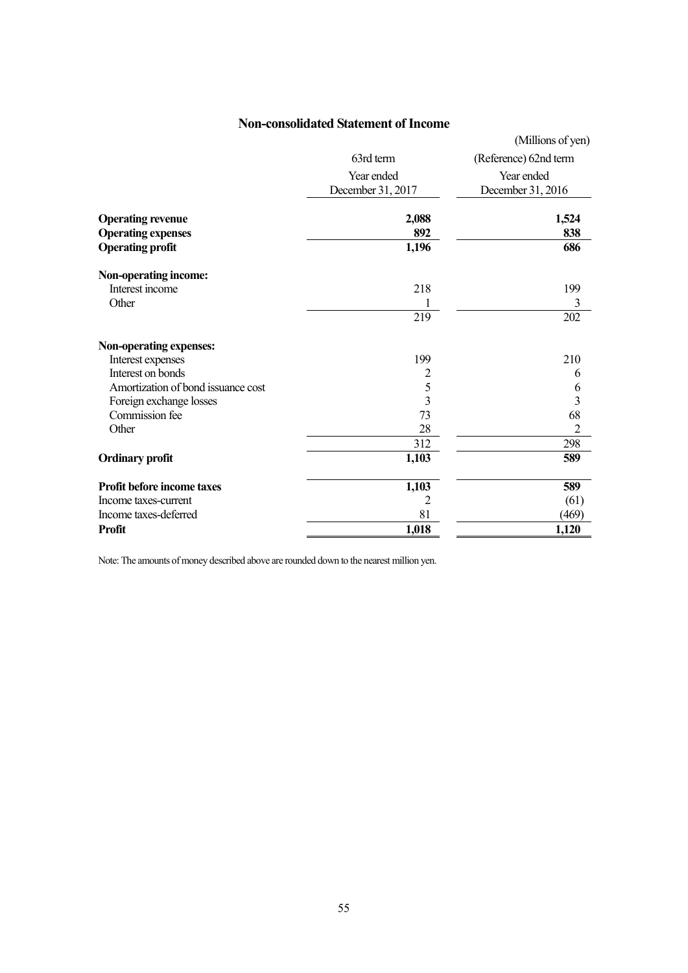## **Non-consolidated Statement of Income**

|                                                       |                                 | (Millions of yen)               |
|-------------------------------------------------------|---------------------------------|---------------------------------|
|                                                       | 63rd term                       | (Reference) 62nd term           |
|                                                       | Year ended<br>December 31, 2017 | Year ended<br>December 31, 2016 |
| <b>Operating revenue</b><br><b>Operating expenses</b> | 2,088<br>892                    | 1,524<br>838                    |
| <b>Operating profit</b>                               | 1,196                           | 686                             |
| Non-operating income:                                 |                                 |                                 |
| Interest income                                       | 218                             | 199                             |
| Other                                                 |                                 | $\mathfrak{Z}$                  |
|                                                       | 219                             | 202                             |
| Non-operating expenses:                               |                                 |                                 |
| Interest expenses                                     | 199                             | 210                             |
| Interest on bonds                                     | $\overline{2}$                  | 6                               |
| Amortization of bond issuance cost                    | $\frac{5}{3}$                   | 6                               |
| Foreign exchange losses                               |                                 | 3                               |
| Commission fee                                        | 73                              | 68                              |
| Other                                                 | 28                              | $\overline{2}$                  |
|                                                       | 312                             | 298                             |
| <b>Ordinary profit</b>                                | 1,103                           | 589                             |
| <b>Profit before income taxes</b>                     | 1,103                           | 589                             |
| Income taxes-current                                  | 2                               | (61)                            |
| Income taxes-deferred                                 | 81                              | (469)                           |
| <b>Profit</b>                                         | 1,018                           | 1,120                           |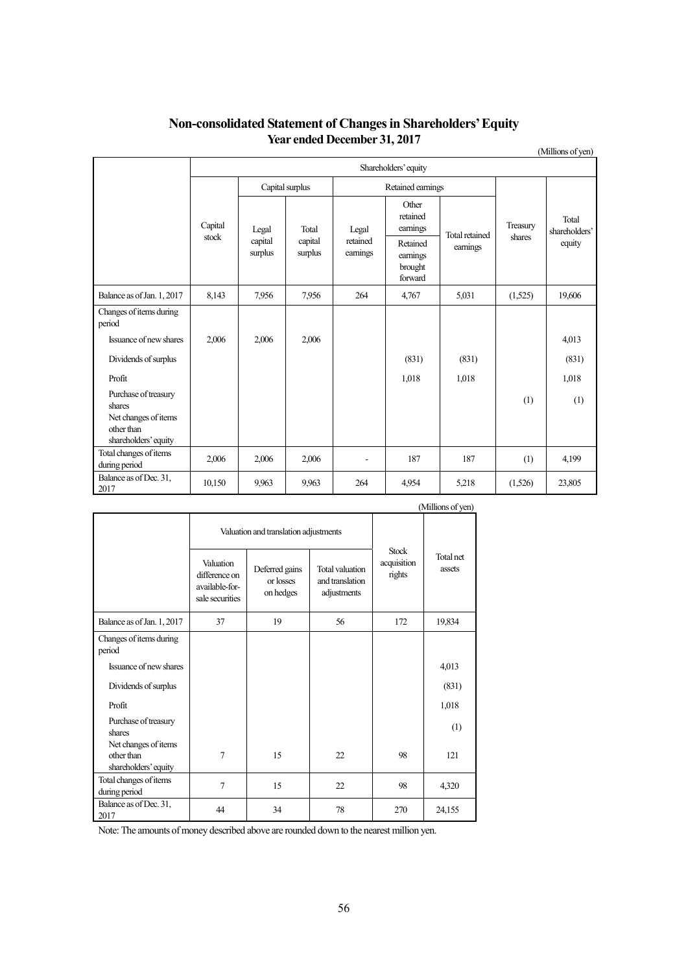|                                                                                              | Shareholders' equity |                                                            |                     |                                            |                               |                |          |                        |
|----------------------------------------------------------------------------------------------|----------------------|------------------------------------------------------------|---------------------|--------------------------------------------|-------------------------------|----------------|----------|------------------------|
|                                                                                              |                      | Capital surplus                                            |                     |                                            | Retained earnings             |                |          |                        |
|                                                                                              | Capital<br>stock     | Total<br>Legal<br>capital<br>capital<br>surplus<br>surplus |                     | Legal                                      | Other<br>retained<br>earnings | Total retained | Treasury | Total<br>shareholders' |
|                                                                                              |                      |                                                            | retained<br>eamings | Retained<br>earnings<br>brought<br>forward | earnings                      | shares         | equity   |                        |
| Balance as of Jan. 1, 2017                                                                   | 8,143                | 7.956                                                      | 7,956               | 264                                        | 4,767                         | 5,031          | (1,525)  | 19,606                 |
| Changes of items during<br>period                                                            |                      |                                                            |                     |                                            |                               |                |          |                        |
| Issuance of new shares                                                                       | 2,006                | 2,006                                                      | 2,006               |                                            |                               |                |          | 4,013                  |
| Dividends of surplus                                                                         |                      |                                                            |                     |                                            | (831)                         | (831)          |          | (831)                  |
| Profit                                                                                       |                      |                                                            |                     |                                            | 1,018                         | 1,018          |          | 1,018                  |
| Purchase of treasury<br>shares<br>Net changes of items<br>other than<br>shareholders' equity |                      |                                                            |                     |                                            |                               |                | (1)      | (1)                    |
| Total changes of items<br>during period                                                      | 2,006                | 2,006                                                      | 2,006               |                                            | 187                           | 187            | (1)      | 4,199                  |
| Balance as of Dec. 31,<br>2017                                                               | 10,150               | 9.963                                                      | 9,963               | 264                                        | 4,954                         | 5,218          | (1,526)  | 23,805                 |

## **Non-consolidated Statement of Changes in Shareholders' Equity Year ended December 31, 2017**

(Millions of yen)

|                                                            |                                                                 |                                          |                                                   |                                       | $\ldots$ $\ldots$ $\ldots$ |
|------------------------------------------------------------|-----------------------------------------------------------------|------------------------------------------|---------------------------------------------------|---------------------------------------|----------------------------|
|                                                            |                                                                 | Valuation and translation adjustments    |                                                   |                                       |                            |
|                                                            | Valuation<br>difference on<br>available-for-<br>sale securities | Deferred gains<br>or losses<br>on hedges | Total valuation<br>and translation<br>adjustments | <b>Stock</b><br>acquisition<br>rights | Total net<br>assets        |
| Balance as of Jan. 1, 2017                                 | 37                                                              | 19                                       | 56                                                | 172                                   | 19,834                     |
| Changes of items during<br>period                          |                                                                 |                                          |                                                   |                                       |                            |
| Issuance of new shares                                     |                                                                 |                                          |                                                   |                                       | 4,013                      |
| Dividends of surplus                                       |                                                                 |                                          |                                                   |                                       | (831)                      |
| Profit                                                     |                                                                 |                                          |                                                   |                                       | 1,018                      |
| Purchase of treasury<br>shares                             |                                                                 |                                          |                                                   |                                       | (1)                        |
| Net changes of items<br>other than<br>shareholders' equity | $\overline{7}$                                                  | 15                                       | 22                                                | 98                                    | 121                        |
| Total changes of items<br>during period                    | $\tau$                                                          | 15                                       | 22                                                | 98                                    | 4,320                      |
| Balance as of Dec. 31,<br>2017                             | 44                                                              | 34                                       | 78                                                | 270                                   | 24,155                     |

(Millions of yen)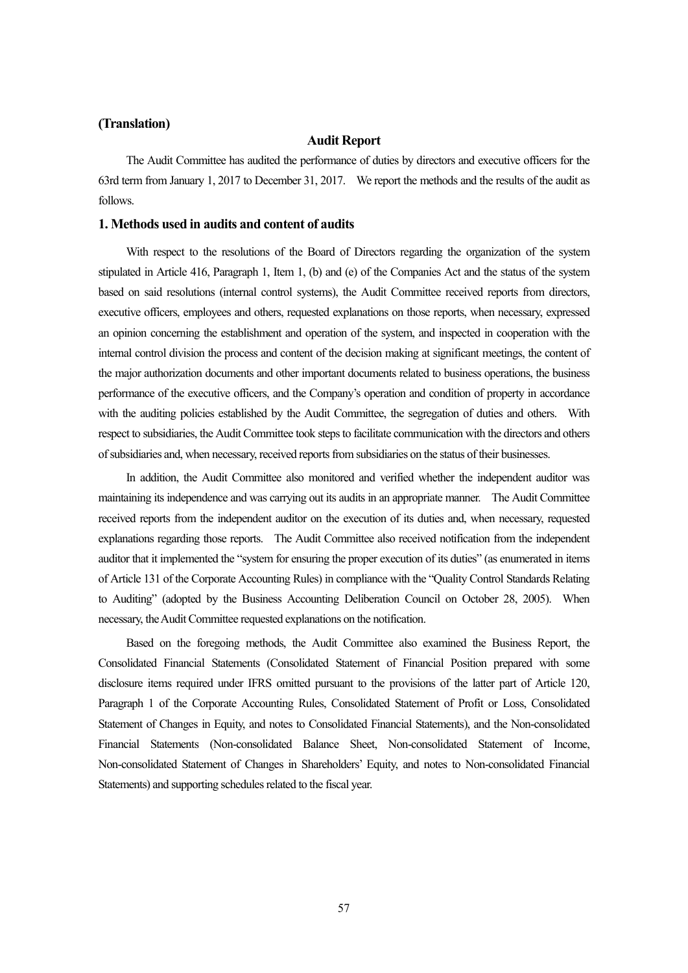#### **(Translation)**

#### **Audit Report**

The Audit Committee has audited the performance of duties by directors and executive officers for the 63rd term from January 1, 2017 to December 31, 2017. We report the methods and the results of the audit as follows.

#### **1. Methods used in audits and content of audits**

With respect to the resolutions of the Board of Directors regarding the organization of the system stipulated in Article 416, Paragraph 1, Item 1, (b) and (e) of the Companies Act and the status of the system based on said resolutions (internal control systems), the Audit Committee received reports from directors, executive officers, employees and others, requested explanations on those reports, when necessary, expressed an opinion concerning the establishment and operation of the system, and inspected in cooperation with the internal control division the process and content of the decision making at significant meetings, the content of the major authorization documents and other important documents related to business operations, the business performance of the executive officers, and the Company's operation and condition of property in accordance with the auditing policies established by the Audit Committee, the segregation of duties and others. With respect to subsidiaries, the Audit Committee took steps to facilitate communication with the directors and others of subsidiaries and, when necessary, received reports from subsidiaries on the status of their businesses.

In addition, the Audit Committee also monitored and verified whether the independent auditor was maintaining its independence and was carrying out its audits in an appropriate manner. The Audit Committee received reports from the independent auditor on the execution of its duties and, when necessary, requested explanations regarding those reports. The Audit Committee also received notification from the independent auditor that it implemented the "system for ensuring the proper execution of its duties" (as enumerated in items of Article 131 of the Corporate Accounting Rules) in compliance with the "Quality Control Standards Relating to Auditing" (adopted by the Business Accounting Deliberation Council on October 28, 2005). When necessary, the Audit Committee requested explanations on the notification.

Based on the foregoing methods, the Audit Committee also examined the Business Report, the Consolidated Financial Statements (Consolidated Statement of Financial Position prepared with some disclosure items required under IFRS omitted pursuant to the provisions of the latter part of Article 120, Paragraph 1 of the Corporate Accounting Rules, Consolidated Statement of Profit or Loss, Consolidated Statement of Changes in Equity, and notes to Consolidated Financial Statements), and the Non-consolidated Financial Statements (Non-consolidated Balance Sheet, Non-consolidated Statement of Income, Non-consolidated Statement of Changes in Shareholders' Equity, and notes to Non-consolidated Financial Statements) and supporting schedules related to the fiscal year.